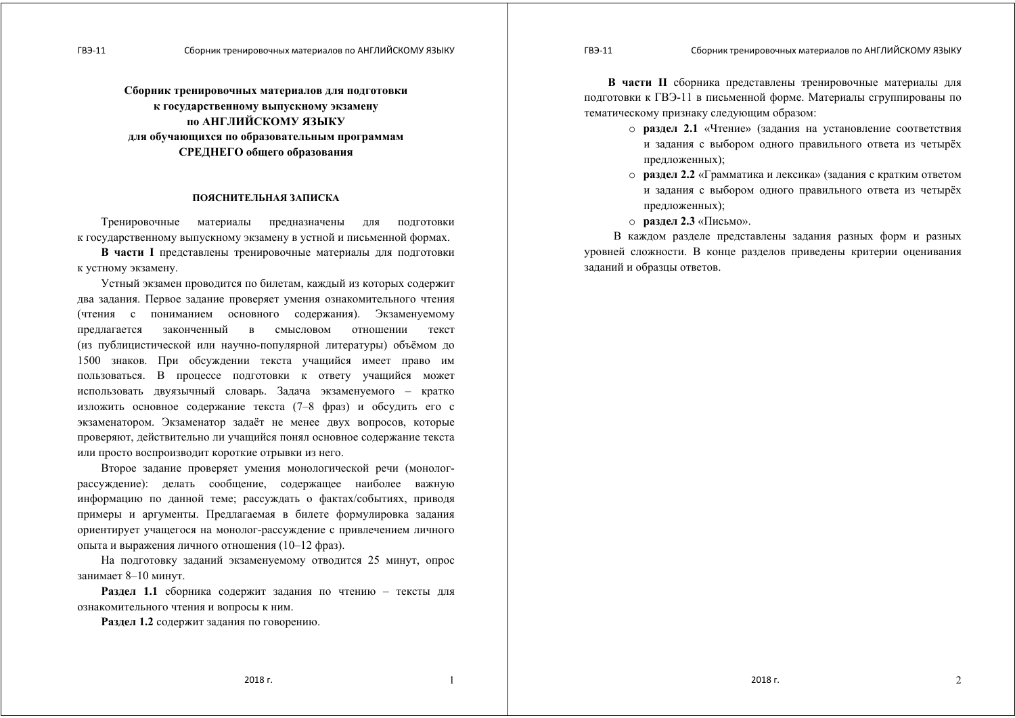**Сборник тренировочных материалов для подготовки <sup>к</sup> государственному выпускному экзамену по АНГЛИЙСКОМУ ЯЗЫКУ для обучающихся по образовательным программам СРЕДНЕГО общего образования**

#### **ПОЯСНИТЕЛЬНАЯ ЗАПИСКА**

Тренировочные материалы предназначены для подготовки <sup>к</sup> государственному выпускному экзамену <sup>в</sup> устной <sup>и</sup> письменной формах.

**В части I** представлены тренировочные материалы для подготовки <sup>к</sup> устному экзамену.

Устный экзамен проводится по билетам, каждый из которых содержит два задания. Первое задание проверяет умения ознакомительного чтения (чтения <sup>с</sup> пониманием основного содержания). Экзаменуемому предлагается законченный <sup>в</sup> смысловом отношении текст (из публицистической или научно-популярной литературы) объёмом до 1500 знаков. При обсуждении текста учащийся имеет право им пользоваться. В процессе подготовки <sup>к</sup> ответу учащийся может использовать двуязычный словарь. Задача экзаменуемого – кратко изложить основное содержание текста (7–8 фраз) <sup>и</sup> обсудить его <sup>с</sup> экзаменатором. Экзаменатор задаёт не менее двух вопросов, которые проверяют, действительно ли учащийся понял основное содержание текста или просто воспроизводит короткие отрывки из него.

Второе задание проверяет умения монологической речи (монолограссуждение): делать сообщение, содержащее наиболее важную информацию по данной теме; рассуждать <sup>о</sup> фактах/событиях, приводя примеры <sup>и</sup> аргументы. Предлагаемая <sup>в</sup> билете формулировка задания ориентирует учащегося на монолог-рассуждение с привлечением личного опыта <sup>и</sup> выражения личного отношения (10–12 фраз).

На подготовку заданий экзаменуемому отводится 25 минут, опрос занимает 8–10 минут.

**Раздел 1.1** сборника содержит задания по чтению – тексты для ознакомительного чтения <sup>и</sup> вопросы <sup>к</sup> ним.

**Раздел 1.2** содержит задания по говорению.

**В части II** сборника представлены тренировочные материалы для подготовки <sup>к</sup> ГВЭ-11 <sup>в</sup> письменной форме. Материалы сгруппированы по тематическому признаку следующим образом:

- <sup>o</sup> **раздел 2.1** «Чтение» (задания на установление соответствия <sup>и</sup> задания <sup>с</sup> выбором одного правильного ответа из четырёх предложенных);
- <sup>o</sup> **раздел 2.2** «Грамматика <sup>и</sup> лексика» (задания <sup>с</sup> кратким ответом <sup>и</sup> задания <sup>с</sup> выбором одного правильного ответа из четырёх предложенных);
- <sup>o</sup> **раздел 2.3** «Письмо».

В каждом разделе представлены задания разных форм <sup>и</sup> разных уровней сложности. В конце разделов приведены критерии оценивания заданий <sup>и</sup> образцы ответов.

2018 г. 1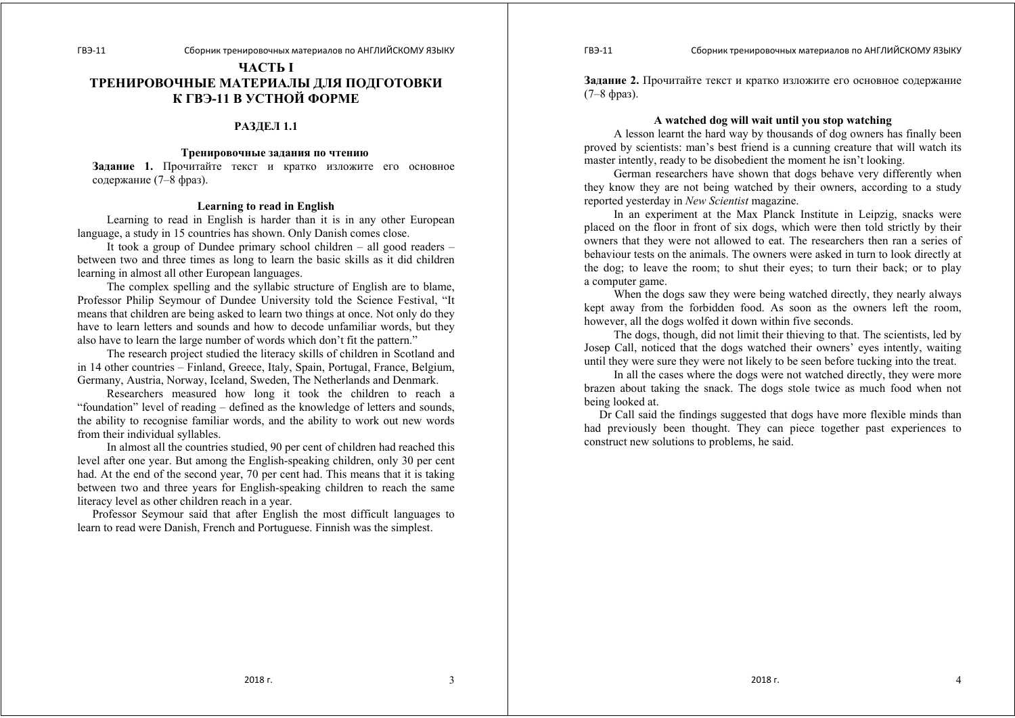### **ЧАСТЬ I ТРЕНИРОВОЧНЫЕ МАТЕРИАЛЫ ДЛЯ ПОДГОТОВКИ К ГВЭ-11 В УСТНОЙ ФОРМЕ**

### **РАЗДЕЛ 1.1**

#### **Тренировочные задания по чтению**

**Задание 1.** Прочитайте текст <sup>и</sup> кратко изложите его основное содержание (7–8 фраз).

#### **Learning to read in English**

Learning to read in English is harder than it is in any other European language, a study in 15 countries has shown. Only Danish comes close.

It took a group of Dundee primary school children – all good readers – between two and three times as long to learn the basic skills as it did children learning in almost all other European languages.

The complex spelling and the syllabic structure of English are to blame, Professor Philip Seymour of Dundee University told the Science Festival, "It means that children are being asked to learn two things at once. Not only do they have to learn letters and sounds and how to decode unfamiliar words, but they also have to learn the large number of words which don't fit the pattern."

The research project studied the literacy skills of children in Scotland and in 14 other countries – Finland, Greece, Italy, Spain, Portugal, France, Belgium, Germany, Austria, Norway, Iceland, Sweden, The Netherlands and Denmark.

Researchers measured how long it took the children to reach a "foundation" level of reading – defined as the knowledge of letters and sounds, the ability to recognise familiar words, and the ability to work out new words from their individual syllables.

In almost all the countries studied, 90 per cent of children had reached this level after one year. But among the English-speaking children, only 30 per cent had. At the end of the second year, 70 per cent had. This means that it is taking between two and three years for English-speaking children to reach the same literacy level as other children reach in a year.

Professor Seymour said that after English the most difficult languages to learn to read were Danish, French and Portuguese. Finnish was the simplest.

**Задание 2.** Прочитайте текст <sup>и</sup> кратко изложите его основное содержание (7–8 фраз).

#### **A watched dog will wait until you stop watching**

A lesson learnt the hard way by thousands of dog owners has finally been proved by scientists: man's best friend is a cunning creature that will watch its master intently, ready to be disobedient the moment he isn't looking.

German researchers have shown that dogs behave very differently when they know they are not being watched by their owners, according to a study reported yesterday in *New Scientist* magazine.

In an experiment at the Max Planck Institute in Leipzig, snacks were placed on the floor in front of six dogs, which were then told strictly by their owners that they were not allowed to eat. The researchers then ran a series of behaviour tests on the animals. The owners were asked in turn to look directly at the dog; to leave the room; to shut their eyes; to turn their back; or to play a computer game.

When the dogs saw they were being watched directly, they nearly always kept away from the forbidden food. As soon as the owners left the room, however, all the dogs wolfed it down within five seconds.

The dogs, though, did not limit their thieving to that. The scientists, led by Josep Call, noticed that the dogs watched their owners' eyes intently, waiting until they were sure they were not likely to be seen before tucking into the treat.

In all the cases where the dogs were not watched directly, they were more brazen about taking the snack. The dogs stole twice as much food when not being looked at.

Dr Call said the findings suggested that dogs have more flexible minds than had previously been thought. They can piece together past experiences to construct new solutions to problems, he said.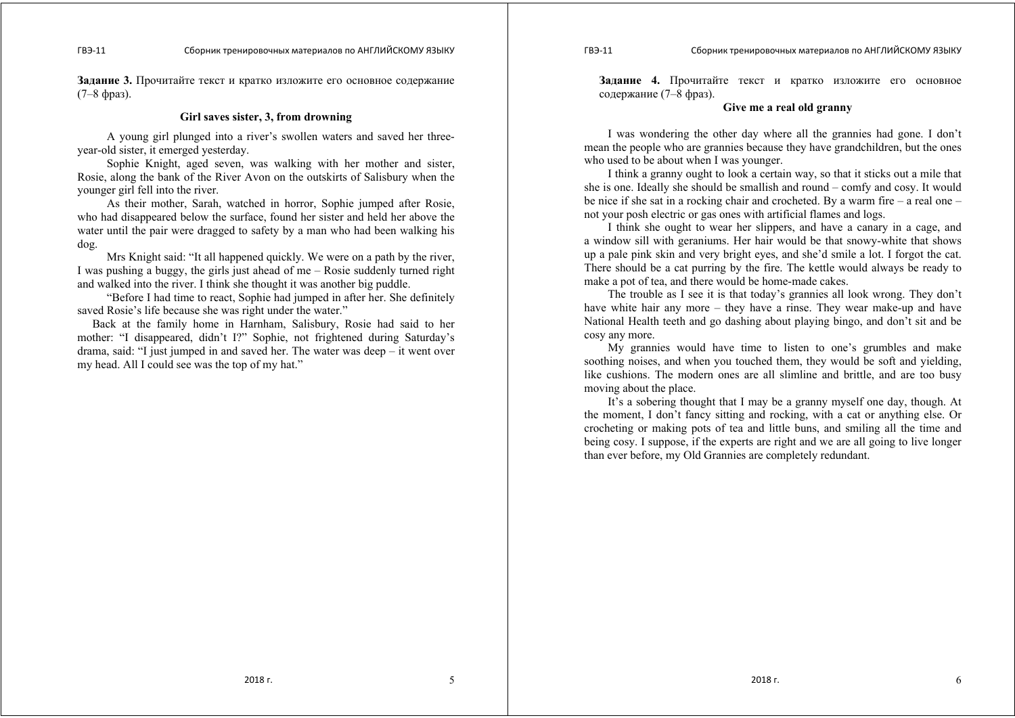**Задание 3.** Прочитайте текст <sup>и</sup> кратко изложите его основное содержание (7–8 фраз).

#### **Girl saves sister, 3, from drowning**

A young girl plunged into a river's swollen waters and saved her threeyear-old sister, it emerged yesterday.

Sophie Knight, aged seven, was walking with her mother and sister, Rosie, along the bank of the River Avon on the outskirts of Salisbury when the younger girl fell into the river.

As their mother, Sarah, watched in horror, Sophie jumped after Rosie, who had disappeared below the surface, found her sister and held her above the water until the pair were dragged to safety by a man who had been walking his dog.

Mrs Knight said: "It all happened quickly. We were on a path by the river, I was pushing a buggy, the girls just ahead of me – Rosie suddenly turned right and walked into the river. I think she thought it was another big puddle.

"Before I had time to react, Sophie had jumped in after her. She definitely saved Rosie's life because she was right under the water."

Back at the family home in Harnham, Salisbury, Rosie had said to her mother: "I disappeared, didn't I?" Sophie, not frightened during Saturday's drama, said: "I just jumped in and saved her. The water was deep – it went over my head. All I could see was the top of my hat."

ГВЭ‐<sup>11</sup> Сборник тренировочных материалов по АНГЛИЙСКОМУ ЯЗЫКУ

**Задание 4.** Прочитайте текст <sup>и</sup> кратко изложите его основное содержание (7–8 фраз).

#### **Give me a real old granny**

I was wondering the other day where all the grannies had gone. I don't mean the people who are grannies because they have grandchildren, but the ones who used to be about when I was younger.

I think a granny ought to look a certain way, so that it sticks out a mile that she is one. Ideally she should be smallish and round – comfy and cosy. It would be nice if she sat in a rocking chair and crocheted. By a warm fire – a real one – not your posh electric or gas ones with artificial flames and logs.

I think she ought to wear her slippers, and have a canary in a cage, and a window sill with geraniums. Her hair would be that snowy-white that shows up a pale pink skin and very bright eyes, and she'd smile a lot. I forgot the cat. There should be a cat purring by the fire. The kettle would always be ready to make a pot of tea, and there would be home-made cakes.

The trouble as I see it is that today's grannies all look wrong. They don't have white hair any more – they have a rinse. They wear make-up and have National Health teeth and go dashing about playing bingo, and don't sit and be cosy any more.

My grannies would have time to listen to one's grumbles and make soothing noises, and when you touched them, they would be soft and yielding, like cushions. The modern ones are all slimline and brittle, and are too busy moving about the place.

It's a sobering thought that I may be a granny myself one day, though. At the moment, I don't fancy sitting and rocking, with a cat or anything else. Or crocheting or making pots of tea and little buns, and smiling all the time and being cosy. I suppose, if the experts are right and we are all going to live longer than ever before, my Old Grannies are completely redundant.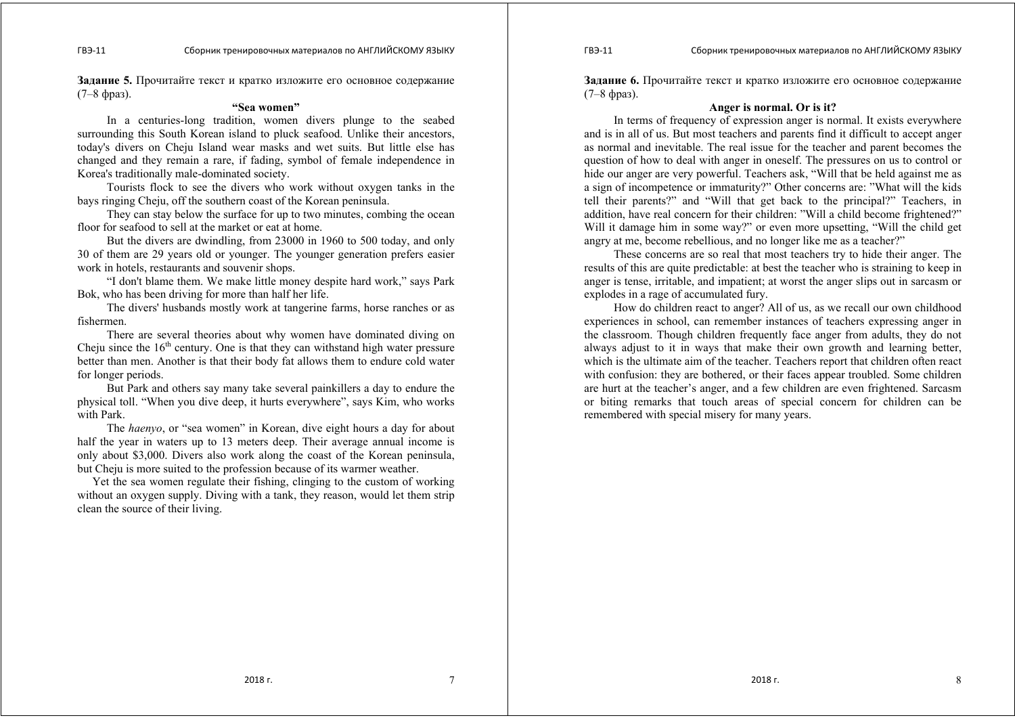**Задание 5.** Прочитайте текст <sup>и</sup> кратко изложите его основное содержание (7–8 фраз).

#### **"Sea women"**

In a centuries-long tradition, women divers plunge to the seabed surrounding this South Korean island to pluck seafood. Unlike their ancestors, today's divers on Cheju Island wear masks and wet suits. But little else has changed and they remain a rare, if fading, symbol of female independence in Korea's traditionally male-dominated society.

Tourists flock to see the divers who work without oxygen tanks in the bays ringing Cheju, off the southern coast of the Korean peninsula.

They can stay below the surface for up to two minutes, combing the ocean floor for seafood to sell at the market or eat at home.

But the divers are dwindling, from 23000 in 1960 to 500 today, and only 30 of them are 29 years old or younger. The younger generation prefers easier work in hotels, restaurants and souvenir shops.

"I don't blame them. We make little money despite hard work," says Park Bok, who has been driving for more than half her life.

The divers' husbands mostly work at tangerine farms, horse ranches or as fishermen.

There are several theories about why women have dominated diving on Cheju since the  $16<sup>th</sup>$  century. One is that they can withstand high water pressure better than men. Another is that their body fat allows them to endure cold water for longer periods.

But Park and others say many take several painkillers a day to endure the physical toll. "When you dive deep, it hurts everywhere", says Kim, who works with Park.

The *haenyo*, or "sea women" in Korean, dive eight hours a day for about half the year in waters up to 13 meters deep. Their average annual income is only about \$3,000. Divers also work along the coast of the Korean peninsula, but Cheju is more suited to the profession because of its warmer weather.

Yet the sea women regulate their fishing, clinging to the custom of working without an oxygen supply. Diving with a tank, they reason, would let them strip clean the source of their living.

**Задание 6.** Прочитайте текст <sup>и</sup> кратко изложите его основное содержание (7–8 фраз).

#### **Anger is normal. Or is it?**

In terms of frequency of expression anger is normal. It exists everywhere and is in all of us. But most teachers and parents find it difficult to accept anger as normal and inevitable. The real issue for the teacher and parent becomes the question of how to deal with anger in oneself. The pressures on us to control or hide our anger are very powerful. Teachers ask, "Will that be held against me as a sign of incompetence or immaturity?" Other concerns are: "What will the kids tell their parents?" and "Will that get back to the principal?" Teachers, in addition, have real concern for their children: "Will a child become frightened?" Will it damage him in some way?" or even more upsetting, "Will the child get angry at me, become rebellious, and no longer like me as a teacher?"

These concerns are so real that most teachers try to hide their anger. The results of this are quite predictable: at best the teacher who is straining to keep in anger is tense, irritable, and impatient; at worst the anger slips out in sarcasm or explodes in a rage of accumulated fury.

How do children react to anger? All of us, as we recall our own childhood experiences in school, can remember instances of teachers expressing anger in the classroom. Though children frequently face anger from adults, they do not always adjust to it in ways that make their own growth and learning better, which is the ultimate aim of the teacher. Teachers report that children often react with confusion: they are bothered, or their faces appear troubled. Some children are hurt at the teacher's anger, and a few children are even frightened. Sarcasm or biting remarks that touch areas of special concern for children can be remembered with special misery for many years.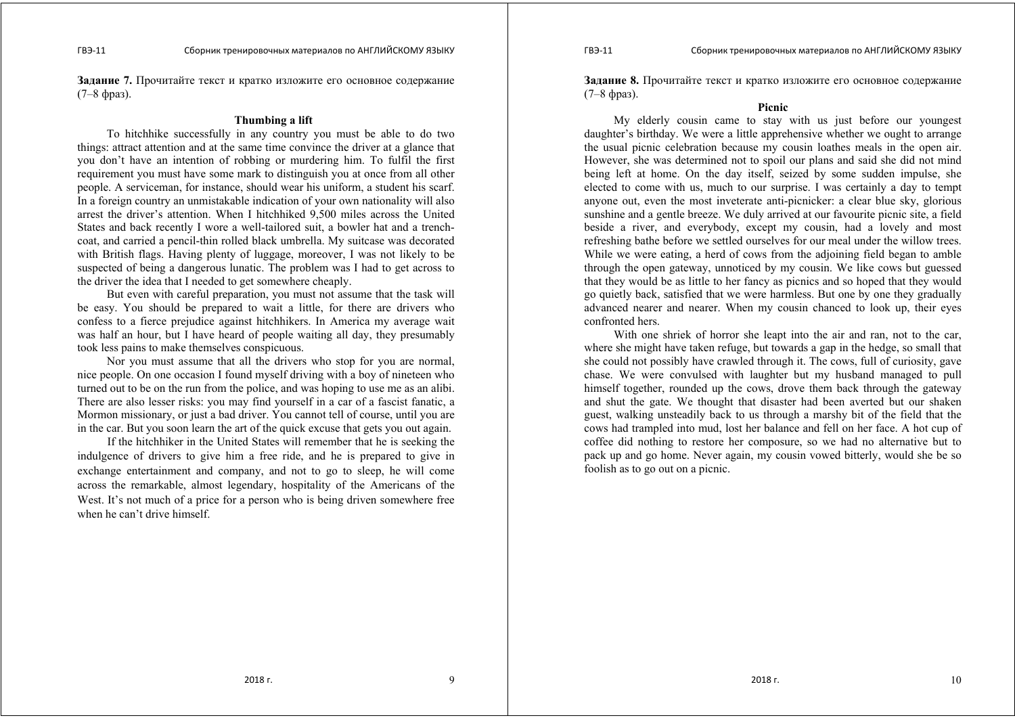**Задание 7.** Прочитайте текст <sup>и</sup> кратко изложите его основное содержание (7–8 фраз).

#### **Thumbing a lift**

To hitchhike successfully in any country you must be able to do two things: attract attention and at the same time convince the driver at a glance that you don't have an intention of robbing or murdering him. To fulfil the first requirement you must have some mark to distinguish you at once from all other people. A serviceman, for instance, should wear his uniform, a student his scarf. In a foreign country an unmistakable indication of your own nationality will also arrest the driver's attention. When I hitchhiked 9,500 miles across the United States and back recently I wore a well-tailored suit, a bowler hat and a trenchcoat, and carried a pencil-thin rolled black umbrella. My suitcase was decorated with British flags. Having plenty of luggage, moreover, I was not likely to be suspected of being a dangerous lunatic. The problem was I had to get across to the driver the idea that I needed to get somewhere cheaply.

But even with careful preparation, you must not assume that the task will be easy. You should be prepared to wait a little, for there are drivers who confess to a fierce prejudice against hitchhikers. In America my average wait was half an hour, but I have heard of people waiting all day, they presumably took less pains to make themselves conspicuous.

Nor you must assume that all the drivers who stop for you are normal, nice people. On one occasion I found myself driving with a boy of nineteen who turned out to be on the run from the police, and was hoping to use me as an alibi. There are also lesser risks: you may find yourself in a car of a fascist fanatic, a Mormon missionary, or just a bad driver. You cannot tell of course, until you are in the car. But you soon learn the art of the quick excuse that gets you out again.

If the hitchhiker in the United States will remember that he is seeking the indulgence of drivers to give him a free ride, and he is prepared to give in exchange entertainment and company, and not to go to sleep, he will come across the remarkable, almost legendary, hospitality of the Americans of the West. It's not much of a price for a person who is being driven somewhere free when he can't drive himself.

**Задание 8.** Прочитайте текст <sup>и</sup> кратко изложите его основное содержание (7–8 фраз).

#### **Picnic**

My elderly cousin came to stay with us just before our youngest daughter's birthday. We were a little apprehensive whether we ought to arrange the usual picnic celebration because my cousin loathes meals in the open air. However, she was determined not to spoil our plans and said she did not mind being left at home. On the day itself, seized by some sudden impulse, she elected to come with us, much to our surprise. I was certainly a day to tempt anyone out, even the most inveterate anti-picnicker: a clear blue sky, glorious sunshine and a gentle breeze. We duly arrived at our favourite picnic site, a field beside a river, and everybody, except my cousin, had a lovely and most refreshing bathe before we settled ourselves for our meal under the willow trees. While we were eating, a herd of cows from the adjoining field began to amble through the open gateway, unnoticed by my cousin. We like cows but guessed that they would be as little to her fancy as picnics and so hoped that they would go quietly back, satisfied that we were harmless. But one by one they gradually advanced nearer and nearer. When my cousin chanced to look up, their eyes confronted hers.

 With one shriek of horror she leapt into the air and ran, not to the car, where she might have taken refuge, but towards a gap in the hedge, so small that she could not possibly have crawled through it. The cows, full of curiosity, gave chase. We were convulsed with laughter but my husband managed to pull himself together, rounded up the cows, drove them back through the gateway and shut the gate. We thought that disaster had been averted but our shaken guest, walking unsteadily back to us through a marshy bit of the field that the cows had trampled into mud, lost her balance and fell on her face. A hot cup of coffee did nothing to restore her composure, so we had no alternative but to pack up and go home. Never again, my cousin vowed bitterly, would she be so foolish as to go out on a picnic.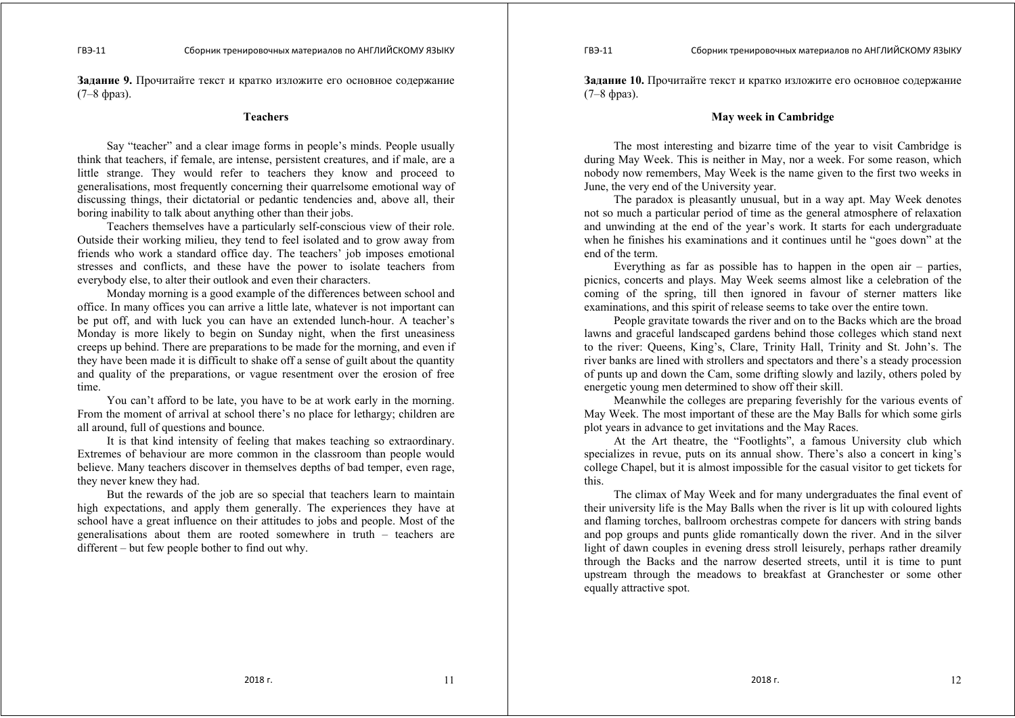**Задание 9.** Прочитайте текст <sup>и</sup> кратко изложите его основное содержание (7–8 фраз).

### **Teachers**

Say "teacher" and a clear image forms in people's minds. People usually think that teachers, if female, are intense, persistent creatures, and if male, are a little strange. They would refer to teachers they know and proceed to generalisations, most frequently concerning their quarrelsome emotional way of discussing things, their dictatorial or pedantic tendencies and, above all, their boring inability to talk about anything other than their jobs.

 Teachers themselves have a particularly self-conscious view of their role. Outside their working milieu, they tend to feel isolated and to grow away from friends who work a standard office day. The teachers' job imposes emotional stresses and conflicts, and these have the power to isolate teachers from everybody else, to alter their outlook and even their characters.

Monday morning is a good example of the differences between school and office. In many offices you can arrive a little late, whatever is not important can be put off, and with luck you can have an extended lunch-hour. A teacher's Monday is more likely to begin on Sunday night, when the first uneasiness creeps up behind. There are preparations to be made for the morning, and even if they have been made it is difficult to shake off a sense of guilt about the quantity and quality of the preparations, or vague resentment over the erosion of free time.

You can't afford to be late, you have to be at work early in the morning. From the moment of arrival at school there's no place for lethargy; children are all around, full of questions and bounce.

It is that kind intensity of feeling that makes teaching so extraordinary. Extremes of behaviour are more common in the classroom than people would believe. Many teachers discover in themselves depths of bad temper, even rage, they never knew they had.

But the rewards of the job are so special that teachers learn to maintain high expectations, and apply them generally. The experiences they have at school have a great influence on their attitudes to jobs and people. Most of the generalisations about them are rooted somewhere in truth – teachers are different – but few people bother to find out why.

**Задание 10.** Прочитайте текст <sup>и</sup> кратко изложите его основное содержание (7–8 фраз).

#### **May week in Cambridge**

The most interesting and bizarre time of the year to visit Cambridge is during May Week. This is neither in May, nor a week. For some reason, which nobody now remembers, May Week is the name given to the first two weeks in June, the very end of the University year.

The paradox is pleasantly unusual, but in a way apt. May Week denotes not so much a particular period of time as the general atmosphere of relaxation and unwinding at the end of the year's work. It starts for each undergraduate when he finishes his examinations and it continues until he "goes down" at the end of the term.

Everything as far as possible has to happen in the open air  $-$  parties, picnics, concerts and plays. May Week seems almost like a celebration of the coming of the spring, till then ignored in favour of sterner matters like examinations, and this spirit of release seems to take over the entire town.

People gravitate towards the river and on to the Backs which are the broad lawns and graceful landscaped gardens behind those colleges which stand next to the river: Queens, King's, Clare, Trinity Hall, Trinity and St. John's. The river banks are lined with strollers and spectators and there's a steady procession of punts up and down the Cam, some drifting slowly and lazily, others poled by energetic young men determined to show off their skill.

Meanwhile the colleges are preparing feverishly for the various events of May Week. The most important of these are the May Balls for which some girls plot years in advance to get invitations and the May Races.

At the Art theatre, the "Footlights", a famous University club which specializes in revue, puts on its annual show. There's also a concert in king's college Chapel, but it is almost impossible for the casual visitor to get tickets for this.

The climax of May Week and for many undergraduates the final event of their university life is the May Balls when the river is lit up with coloured lights and flaming torches, ballroom orchestras compete for dancers with string bands and pop groups and punts glide romantically down the river. And in the silver light of dawn couples in evening dress stroll leisurely, perhaps rather dreamily through the Backs and the narrow deserted streets, until it is time to punt upstream through the meadows to breakfast at Granchester or some other equally attractive spot.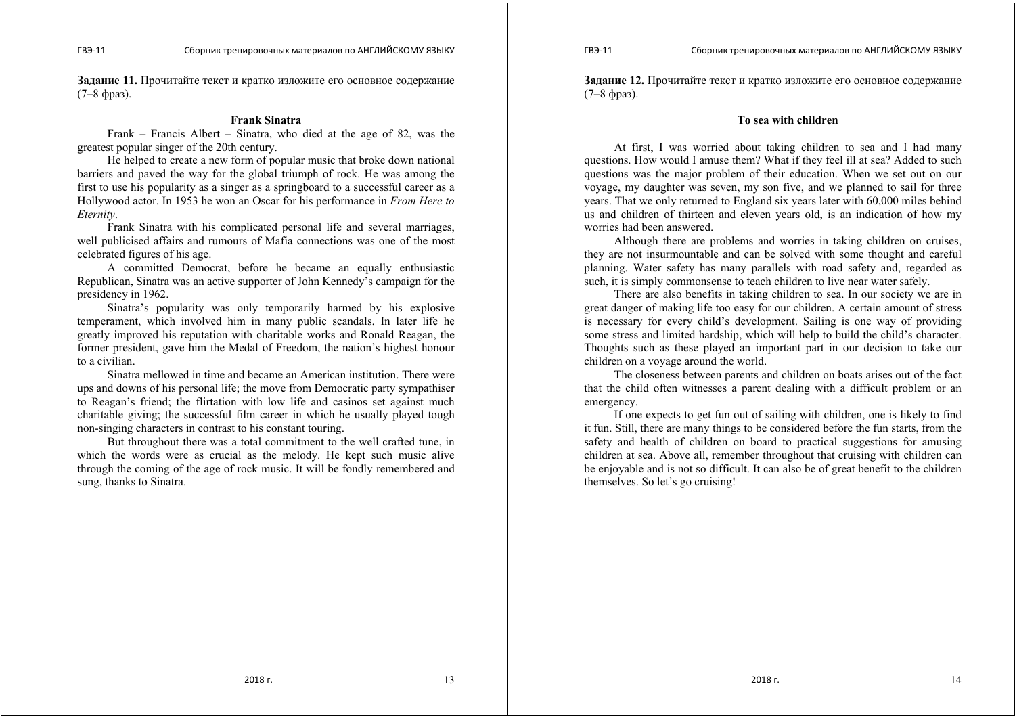**Задание 11.** Прочитайте текст <sup>и</sup> кратко изложите его основное содержание (7–8 фраз).

### **Frank Sinatra**

Frank – Francis Albert – Sinatra, who died at the age of 82, was the greatest popular singer of the 20th century.

He helped to create a new form of popular music that broke down national barriers and paved the way for the global triumph of rock. He was among the first to use his popularity as a singer as a springboard to a successful career as a Hollywood actor. In 1953 he won an Oscar for his performance in *From Here to Eternity*.

Frank Sinatra with his complicated personal life and several marriages, well publicised affairs and rumours of Mafia connections was one of the most celebrated figures of his age.

A committed Democrat, before he became an equally enthusiastic Republican, Sinatra was an active supporter of John Kennedy's campaign for the presidency in 1962.

Sinatra's popularity was only temporarily harmed by his explosive temperament, which involved him in many public scandals. In later life he greatly improved his reputation with charitable works and Ronald Reagan, the former president, gave him the Medal of Freedom, the nation's highest honour to a civilian.

Sinatra mellowed in time and became an American institution. There were ups and downs of his personal life; the move from Democratic party sympathiser to Reagan's friend; the flirtation with low life and casinos set against much charitable giving; the successful film career in which he usually played tough non-singing characters in contrast to his constant touring.

But throughout there was a total commitment to the well crafted tune, in which the words were as crucial as the melody. He kept such music alive through the coming of the age of rock music. It will be fondly remembered and sung, thanks to Sinatra.

**Задание 12.** Прочитайте текст <sup>и</sup> кратко изложите его основное содержание (7–8 фраз).

### **To sea with children**

At first, I was worried about taking children to sea and I had many questions. How would I amuse them? What if they feel ill at sea? Added to such questions was the major problem of their education. When we set out on our voyage, my daughter was seven, my son five, and we planned to sail for three years. That we only returned to England six years later with 60,000 miles behind us and children of thirteen and eleven years old, is an indication of how my worries had been answered.

Although there are problems and worries in taking children on cruises, they are not insurmountable and can be solved with some thought and careful planning. Water safety has many parallels with road safety and, regarded as such, it is simply commonsense to teach children to live near water safely.

There are also benefits in taking children to sea. In our society we are in great danger of making life too easy for our children. A certain amount of stress is necessary for every child's development. Sailing is one way of providing some stress and limited hardship, which will help to build the child's character. Thoughts such as these played an important part in our decision to take our children on a voyage around the world.

The closeness between parents and children on boats arises out of the fact that the child often witnesses a parent dealing with a difficult problem or an emergency.

If one expects to get fun out of sailing with children, one is likely to find it fun. Still, there are many things to be considered before the fun starts, from the safety and health of children on board to practical suggestions for amusing children at sea. Above all, remember throughout that cruising with children can be enjoyable and is not so difficult. It can also be of great benefit to the children themselves. So let's go cruising!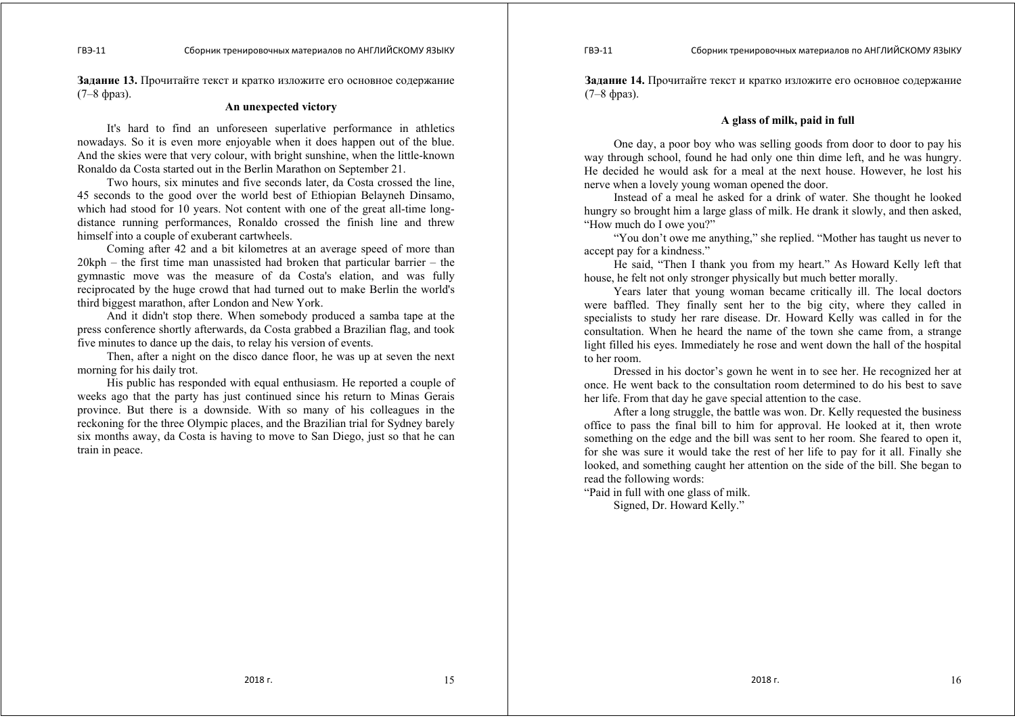**Задание 13.** Прочитайте текст <sup>и</sup> кратко изложите его основное содержание (7–8 фраз).

### **An unexpected victory**

It's hard to find an unforeseen superlative performance in athletics nowadays. So it is even more enjoyable when it does happen out of the blue. And the skies were that very colour, with bright sunshine, when the little-known Ronaldo da Costa started out in the Berlin Marathon on September 21.

 Two hours, six minutes and five seconds later, da Costa crossed the line, 45 seconds to the good over the world best of Ethiopian Belayneh Dinsamo, which had stood for 10 years. Not content with one of the great all-time longdistance running performances, Ronaldo crossed the finish line and threw himself into a couple of exuberant cartwheels.

 Coming after 42 and a bit kilometres at an average speed of more than 20kph – the first time man unassisted had broken that particular barrier – the gymnastic move was the measure of da Costa's elation, and was fully reciprocated by the huge crowd that had turned out to make Berlin the world's third biggest marathon, after London and New York.

 And it didn't stop there. When somebody produced a samba tape at the press conference shortly afterwards, da Costa grabbed a Brazilian flag, and took five minutes to dance up the dais, to relay his version of events.

 Then, after a night on the disco dance floor, he was up at seven the next morning for his daily trot.

 His public has responded with equal enthusiasm. He reported a couple of weeks ago that the party has just continued since his return to Minas Gerais province. But there is a downside. With so many of his colleagues in the reckoning for the three Olympic places, and the Brazilian trial for Sydney barely six months away, da Costa is having to move to San Diego, just so that he can train in peace.

**Задание 14.** Прочитайте текст <sup>и</sup> кратко изложите его основное содержание (7–8 фраз).

#### **A glass of milk, paid in full**

One day, a poor boy who was selling goods from door to door to pay his way through school, found he had only one thin dime left, and he was hungry. He decided he would ask for a meal at the next house. However, he lost his nerve when a lovely young woman opened the door.

Instead of a meal he asked for a drink of water. She thought he looked hungry so brought him a large glass of milk. He drank it slowly, and then asked, "How much do I owe you?"

"You don't owe me anything," she replied. "Mother has taught us never to accept pay for a kindness."

He said, "Then I thank you from my heart." As Howard Kelly left that house, he felt not only stronger physically but much better morally.

Years later that young woman became critically ill. The local doctors were baffled. They finally sent her to the big city, where they called in specialists to study her rare disease. Dr. Howard Kelly was called in for the consultation. When he heard the name of the town she came from, a strange light filled his eyes. Immediately he rose and went down the hall of the hospital to her room.

Dressed in his doctor's gown he went in to see her. He recognized her at once. He went back to the consultation room determined to do his best to save her life. From that day he gave special attention to the case.

After a long struggle, the battle was won. Dr. Kelly requested the business office to pass the final bill to him for approval. He looked at it, then wrote something on the edge and the bill was sent to her room. She feared to open it, for she was sure it would take the rest of her life to pay for it all. Finally she looked, and something caught her attention on the side of the bill. She began to read the following words:

"Paid in full with one glass of milk. Signed, Dr. Howard Kelly."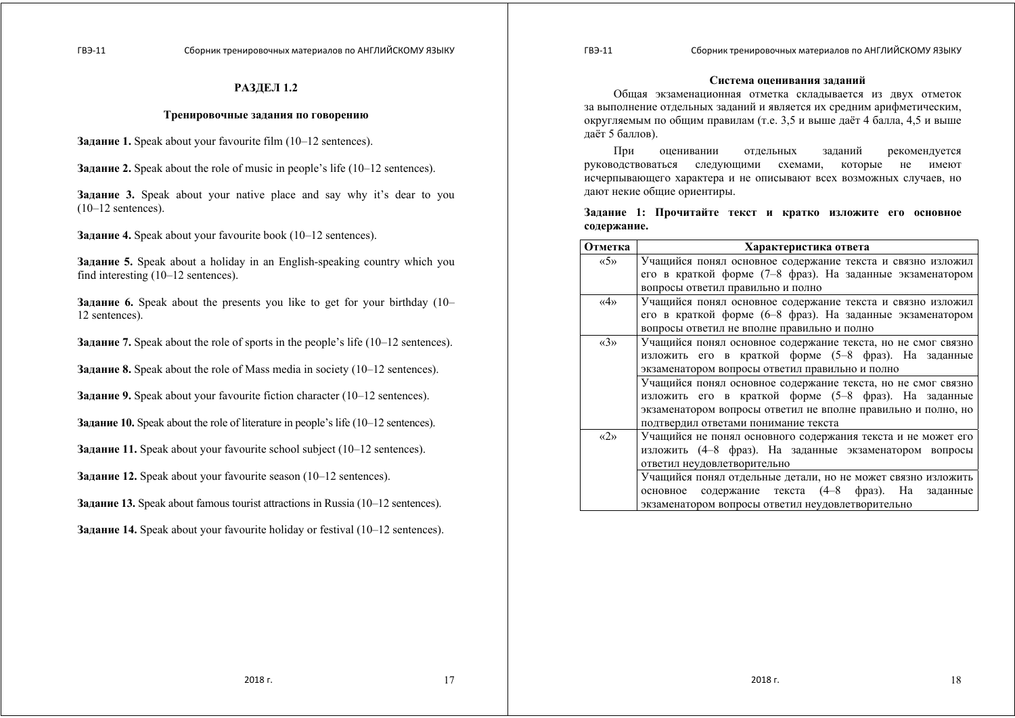### **РАЗДЕЛ 1.2**

#### **Тренировочные задания по говорению**

**Задание 1.** Speak about your favourite film (10–12 sentences).

**Задание 2.** Speak about the role of music in people's life (10–12 sentences).

**Задание 3.** Speak about your native place and say why it's dear to you  $(10-12$  sentences).

**Задание 4.** Speak about your favourite book (10–12 sentences).

**Задание 5.** Speak about a holiday in an English-speaking country which you find interesting (10–12 sentences).

**Задание 6.** Speak about the presents you like to get for your birthday (10– 12 sentences).

**Задание 7.** Speak about the role of sports in the people's life (10–12 sentences).

**Задание 8.** Speak about the role of Mass media in society (10–12 sentences).

**Задание 9.** Speak about your favourite fiction character (10–12 sentences).

**Задание 10.** Speak about the role of literature in people's life (10–12 sentences).

**Задание 11.** Speak about your favourite school subject (10–12 sentences).

**Задание 12.** Speak about your favourite season (10–12 sentences).

**Задание 13.** Speak about famous tourist attractions in Russia (10–12 sentences).

**Задание 14.** Speak about your favourite holiday or festival (10–12 sentences).

#### **Система оценивания заданий**

Общая экзаменационная отметка складывается из двух отметок за выполнение отдельных заданий <sup>и</sup> является их средним арифметическим, округляемым по общим правилам (<sup>т</sup>.<sup>е</sup>. 3,5 <sup>и</sup> выше даёт 4 балла, 4,5 <sup>и</sup> выше даёт 5 баллов).

При оценивании отдельных заданий рекомендуется руководствоваться следующими схемами, которые не имеют исчерпывающего характера <sup>и</sup> не описывают всех возможных случаев, но дают некие общие ориентиры.

**Задание 1: Прочитайте текст <sup>и</sup> кратко изложите его основное содержание.**

| Отметка                             | Характеристика ответа                                         |  |  |  |  |  |  |
|-------------------------------------|---------------------------------------------------------------|--|--|--|--|--|--|
| $\langle \langle 5 \rangle \rangle$ | Учащийся понял основное содержание текста и связно изложил    |  |  |  |  |  |  |
|                                     | его в краткой форме (7-8 фраз). На заданные экзаменатором     |  |  |  |  |  |  |
|                                     | вопросы ответил правильно и полно                             |  |  |  |  |  |  |
| $\langle 4 \rangle$                 | Учащийся понял основное содержание текста и связно изложил    |  |  |  |  |  |  |
|                                     | его в краткой форме (6-8 фраз). На заданные экзаменатором     |  |  |  |  |  |  |
|                                     | вопросы ответил не вполне правильно и полно                   |  |  |  |  |  |  |
| $\langle 3 \rangle$                 | Учащийся понял основное содержание текста, но не смог связно  |  |  |  |  |  |  |
|                                     | изложить его в краткой форме (5-8 фраз). На заданные          |  |  |  |  |  |  |
|                                     | экзаменатором вопросы ответил правильно и полно               |  |  |  |  |  |  |
|                                     | Учащийся понял основное содержание текста, но не смог связно  |  |  |  |  |  |  |
|                                     | изложить его в краткой форме (5-8 фраз). На заданные          |  |  |  |  |  |  |
|                                     | экзаменатором вопросы ответил не вполне правильно и полно, но |  |  |  |  |  |  |
|                                     | подтвердил ответами понимание текста                          |  |  |  |  |  |  |
| $\langle \langle 2 \rangle \rangle$ | Учащийся не понял основного содержания текста и не может его  |  |  |  |  |  |  |
|                                     | изложить (4-8 фраз). На заданные экзаменатором вопросы        |  |  |  |  |  |  |
|                                     | ответил неудовлетворительно                                   |  |  |  |  |  |  |
|                                     | Учащийся понял отдельные детали, но не может связно изложить  |  |  |  |  |  |  |
|                                     | основное содержание текста (4-8 фраз). На заданные            |  |  |  |  |  |  |
|                                     | экзаменатором вопросы ответил неудовлетворительно             |  |  |  |  |  |  |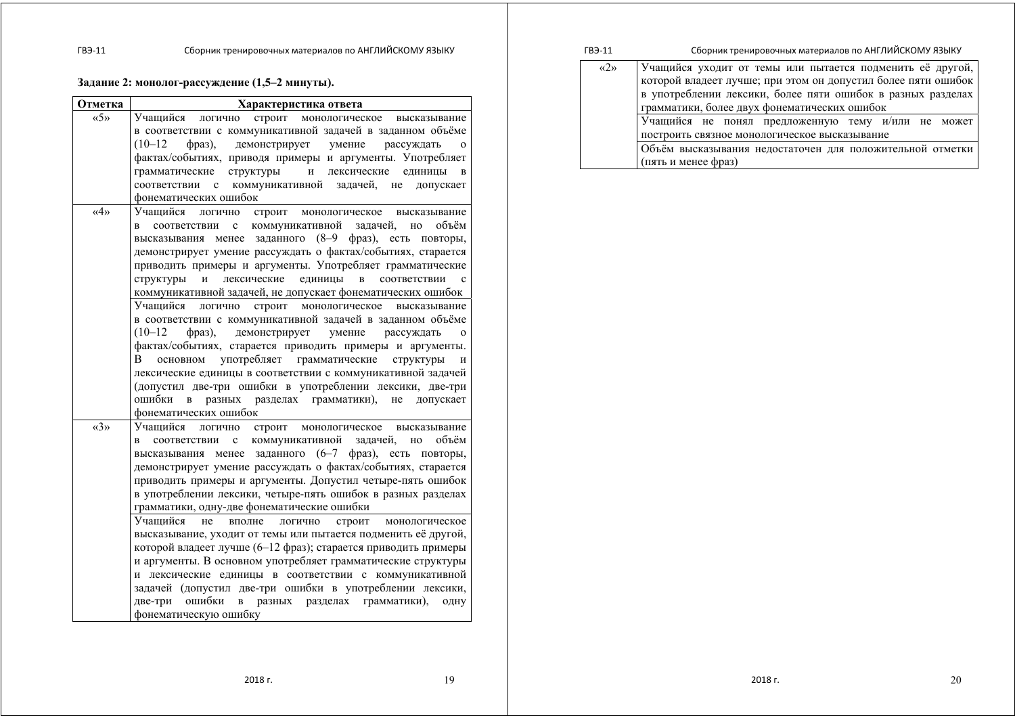### **Задание 2: монолог-рассуждение (1,5–2 минуты).**

| Отметка                             | Характеристика ответа                                                                |
|-------------------------------------|--------------------------------------------------------------------------------------|
| $\langle \langle 5 \rangle \rangle$ | Учащийся<br>логично<br>строит<br>монологическое<br>высказывание                      |
|                                     | в соответствии с коммуникативной задачей в заданном объёме                           |
|                                     | $(10-12)$<br>фраз),<br>демонстрирует<br>умение<br>рассуждать<br>$\mathbf{o}$         |
|                                     | фактах/событиях, приводя примеры и аргументы. Употребляет                            |
|                                     | грамматические<br>структуры<br>лексические<br>И<br>единицы<br>B                      |
|                                     | соответствии<br>коммуникативной<br>задачей,<br>$\mathbf c$<br>нe<br>допускает        |
|                                     | фонематических ошибок                                                                |
| $\langle 4 \rangle$                 | Учашийся<br>строит<br>монологическое<br>логично<br>высказывание                      |
|                                     | коммуникативной<br>объём<br>$\mathbf c$<br>задачей,<br>соответствии<br>HO<br>B       |
|                                     | заданного<br>$(8-9 \text{ dpaa}),$<br>менее<br>есть<br>повторы,<br>высказывания      |
|                                     | демонстрирует умение рассуждать о фактах/событиях, старается                         |
|                                     | приводить примеры и аргументы. Употребляет грамматические                            |
|                                     | лексические<br>единицы<br>соответствии<br>структуры<br>И<br>$\bf{B}$<br>$\mathbf{c}$ |
|                                     | коммуникативной задачей, не допускает фонематических ошибок                          |
|                                     | Учащийся<br>строит<br>логично<br>монологическое<br>высказывание                      |
|                                     | в соответствии с коммуникативной задачей в заданном объёме                           |
|                                     | фраз),<br>демонстрирует<br>$(10-12)$<br>умение<br>рассуждать<br>$\mathbf{o}$         |
|                                     | фактах/событиях, старается приводить примеры и аргументы.                            |
|                                     | употребляет грамматические<br>основном<br>структуры<br>И                             |
|                                     | лексические единицы в соответствии с коммуникативной задачей                         |
|                                     | (допустил две-три ошибки в употреблении лексики, две-три                             |
|                                     | ошибки<br>разделах<br>грамматики),<br>разных<br>не<br>допускает<br>$\, {\bf B}$      |
|                                     | фонематических ошибок                                                                |
| $\langle$ 3»                        | Учащийся<br>монологическое<br>логично<br>строит<br>высказывание                      |
|                                     | коммуникативной<br>задачей,<br>соответствии<br>$\mathbf c$<br>HO<br>объём<br>B       |
|                                     | заданного (6-7 фраз), есть<br>менее<br>повторы,<br>высказывания                      |
|                                     | демонстрирует умение рассуждать о фактах/событиях, старается                         |
|                                     | приводить примеры и аргументы. Допустил четыре-пять ошибок                           |
|                                     | в употреблении лексики, четыре-пять ошибок в разных разделах                         |
|                                     | грамматики, одну-две фонематические ошибки                                           |
|                                     | Учашийся<br>He<br>вполне<br>логично<br>строит<br>монологическое                      |
|                                     | высказывание, уходит от темы или пытается подменить её другой,                       |
|                                     | которой владеет лучше (6-12 фраз); старается приводить примеры                       |
|                                     | и аргументы. В основном употребляет грамматические структуры                         |
|                                     | и лексические единицы в соответствии с коммуникативной                               |
|                                     | задачей (допустил две-три ошибки в употреблении лексики,                             |
|                                     | ошибки<br>разных разделах<br>две-три<br>$\, {\bf B}$<br>грамматики),<br>одну         |
|                                     | фонематическую ошибку                                                                |

| FB <sub>3</sub> -11                 | Сборник тренировочных материалов по АНГЛИЙСКОМУ ЯЗЫКУ                                                                                                                                                                                     |
|-------------------------------------|-------------------------------------------------------------------------------------------------------------------------------------------------------------------------------------------------------------------------------------------|
| $\langle \langle 2 \rangle \rangle$ | Учащийся уходит от темы или пытается подменить её другой,<br>которой владеет лучше; при этом он допустил более пяти ошибок<br>в употреблении лексики, более пяти ошибок в разных разделах<br>грамматики, более двух фонематических ошибок |
|                                     | Учащийся не понял предложенную тему и/или не может<br>построить связное монологическое высказывание<br>Объём высказывания недостаточен для положительной отметки<br>(пять и менее фраз)                                                   |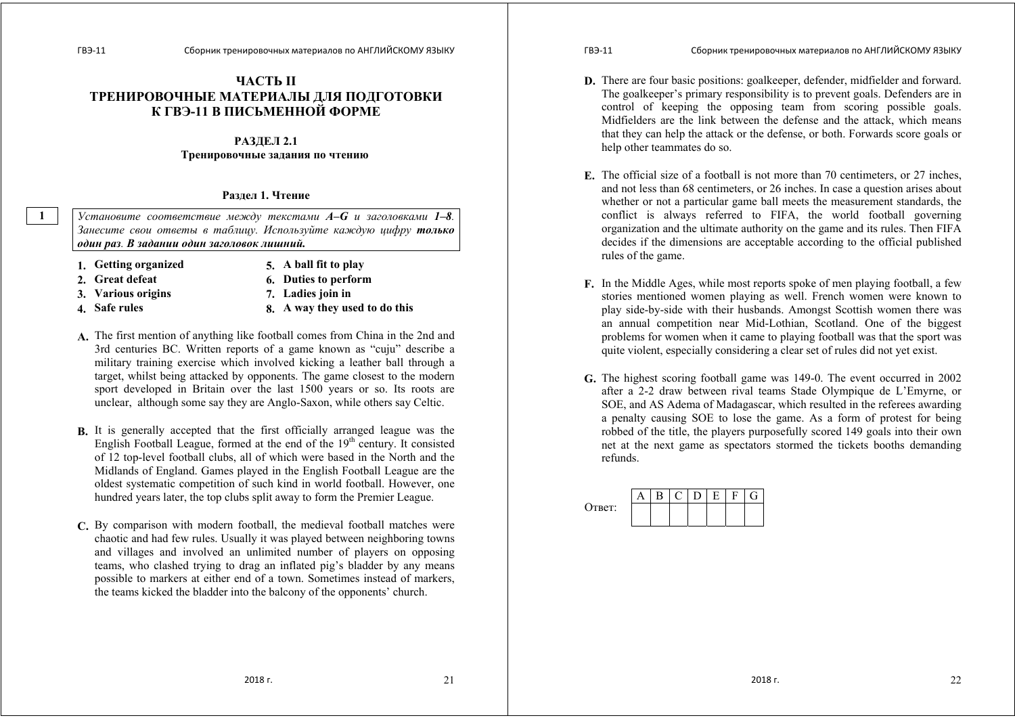### **ЧАСТЬ II ТРЕНИРОВОЧНЫЕ МАТЕРИАЛЫ ДЛЯ ПОДГОТОВКИ К ГВЭ-11 В ПИСЬМЕННОЙ ФОРМЕ**

### **РАЗДЕЛ 2.1**

#### **Тренировочные задания по чтению**

### **Раздел 1. Чтение**

*Установите соответствие между текстами A–G <sup>и</sup> заголовками 1–8. Занесите свои ответы <sup>в</sup> таблицу. Используйте каждую цифру только один раз. В задании один заголовок лишний.*

- 
- **1. Getting organized 5. A ball fit to play 2. Great defeat 6. Duties to perform**
- 
- **3. Various origins 7. Ladies join in 4. Safe rules 8. A way they used to do this**
- **A.** The first mention of anything like football comes from China in the 2nd and 3rd centuries BC. Written reports of a game known as "cuju" describe a military training exercise which involved kicking a leather ball through a target, whilst being attacked by opponents. The game closest to the modern
- sport developed in Britain over the last 1500 years or so. Its roots are unclear, although some say they are Anglo-Saxon, while others say Celtic.
- **B.** It is generally accepted that the first officially arranged league was the English Football League, formed at the end of the  $19<sup>th</sup>$  century. It consisted of 12 top-level football clubs, all of which were based in the North and the Midlands of England. Games played in the English Football League are the oldest systematic competition of such kind in world football. However, one hundred years later, the top clubs split away to form the Premier League.
- **C.** By comparison with modern football, the medieval football matches were chaotic and had few rules. Usually it was played between neighboring towns and villages and involved an unlimited number of players on opposing teams, who clashed trying to drag an inflated pig's bladder by any means possible to markers at either end of a town. Sometimes instead of markers, the teams kicked the bladder into the balcony of the opponents' church.

- **D.** There are four basic positions: goalkeeper, defender, midfielder and forward. The goalkeeper's primary responsibility is to prevent goals. Defenders are in control of keeping the opposing team from scoring possible goals. Midfielders are the link between the defense and the attack, which means that they can help the attack or the defense, or both. Forwards score goals or help other teammates do so.
- **E.** The official size of a football is not more than 70 centimeters, or 27 inches, and not less than 68 centimeters, or 26 inches. In case a question arises about whether or not a particular game ball meets the measurement standards, the conflict is always referred to FIFA, the world football governing organization and the ultimate authority on the game and its rules. Then FIFA decides if the dimensions are acceptable according to the official published rules of the game.
- **F.** In the Middle Ages, while most reports spoke of men playing football, a few stories mentioned women playing as well. French women were known to play side-by-side with their husbands. Amongst Scottish women there was an annual competition near Mid-Lothian, Scotland. One of the biggest problems for women when it came to playing football was that the sport was quite violent, especially considering a clear set of rules did not yet exist.
- **G.** The highest scoring football game was 149-0. The event occurred in 2002 after a 2-2 draw between rival teams Stade Olympique de L'Emyrne, or SOE, and AS Adema of Madagascar, which resulted in the referees awarding a penalty causing SOE to lose the game. As a form of protest for being robbed of the title, the players purposefully scored 149 goals into their own net at the next game as spectators stormed the tickets booths demanding refunds.

|        |  | $\mathbf{C}$ | Ð | Е. |  |
|--------|--|--------------|---|----|--|
| Ответ: |  |              |   |    |  |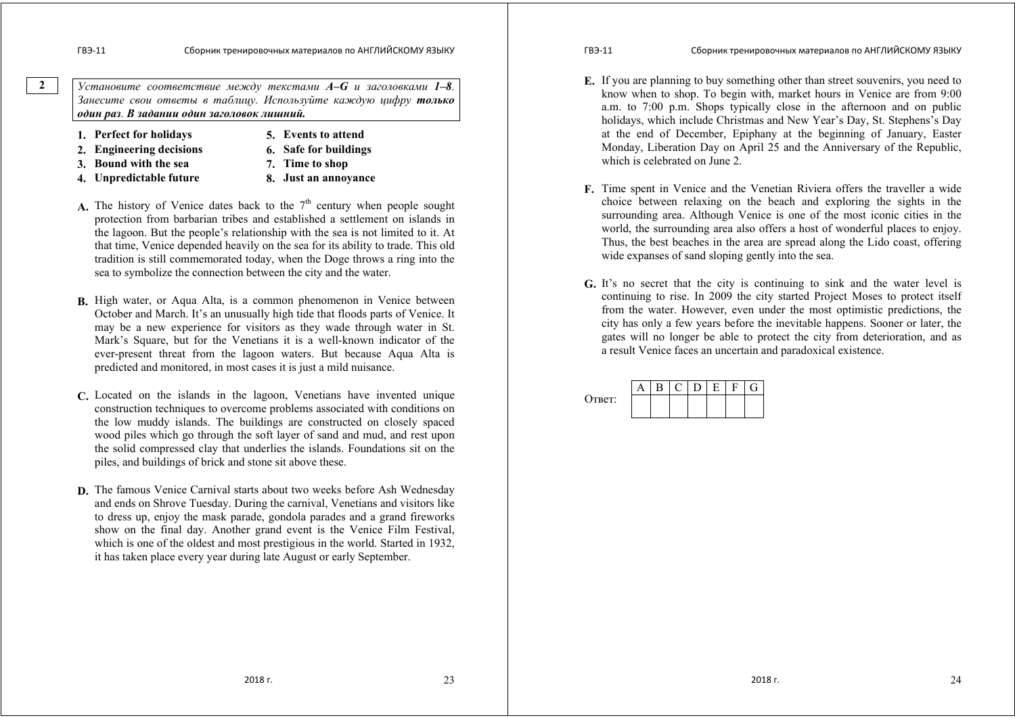*Установите соответствие между текстами A–G <sup>и</sup> заголовками 1–8. Занесите свои ответы <sup>в</sup> таблицу. Используйте каждую цифру только один раз. В задании один заголовок лишний.*

- **1. Perfect for holidays 5. Events to attend**
- **2. Engineering decisions 6. Safe for buildings**
	-
- 
- **3. Bound with the sea 7. Time to shop**
- **4. Unpredictable future 8. Just an annoyance**
- 
- **A.** The history of Venice dates back to the  $7<sup>th</sup>$  century when people sought protection from barbarian tribes and established a settlement on islands in the lagoon. But the people's relationship with the sea is not limited to it. At that time, Venice depended heavily on the sea for its ability to trade. This old tradition is still commemorated today, when the Doge throws a ring into the sea to symbolize the connection between the city and the water.
- **B.** High water, or Aqua Alta, is a common phenomenon in Venice between October and March. It's an unusually high tide that floods parts of Venice. It may be a new experience for visitors as they wade through water in St. Mark's Square, but for the Venetians it is a well-known indicator of the ever-present threat from the lagoon waters. But because Aqua Alta is predicted and monitored, in most cases it is just a mild nuisance.
- **C.** Located on the islands in the lagoon, Venetians have invented unique construction techniques to overcome problems associated with conditions on the low muddy islands. The buildings are constructed on closely spaced wood piles which go through the soft layer of sand and mud, and rest upon the solid compressed clay that underlies the islands. Foundations sit on the piles, and buildings of brick and stone sit above these.
- **D.** The famous Venice Carnival starts about two weeks before Ash Wednesday and ends on Shrove Tuesday. During the carnival, Venetians and visitors like to dress up, enjoy the mask parade, gondola parades and a grand fireworks show on the final day. Another grand event is the Venice Film Festival, which is one of the oldest and most prestigious in the world. Started in 1932, it has taken place every year during late August or early September.

- **E.** If you are planning to buy something other than street souvenirs, you need to know when to shop. To begin with, market hours in Venice are from 9:00 a.m. to 7:00 p.m. Shops typically close in the afternoon and on public holidays, which include Christmas and New Year's Day, St. Stephens's Day at the end of December, Epiphany at the beginning of January, Easter Monday, Liberation Day on April 25 and the Anniversary of the Republic, which is celebrated on June 2.
- **F.** Time spent in Venice and the Venetian Riviera offers the traveller a wide choice between relaxing on the beach and exploring the sights in the surrounding area. Although Venice is one of the most iconic cities in the world, the surrounding area also offers a host of wonderful places to enjoy. Thus, the best beaches in the area are spread along the Lido coast, offering wide expanses of sand sloping gently into the sea.
- **G.** It's no secret that the city is continuing to sink and the water level is continuing to rise. In 2009 the city started Project Moses to protect itself from the water. However, even under the most optimistic predictions, the city has only a few years before the inevitable happens. Sooner or later, the gates will no longer be able to protect the city from deterioration, and as a result Venice faces an uncertain and paradoxical existence.

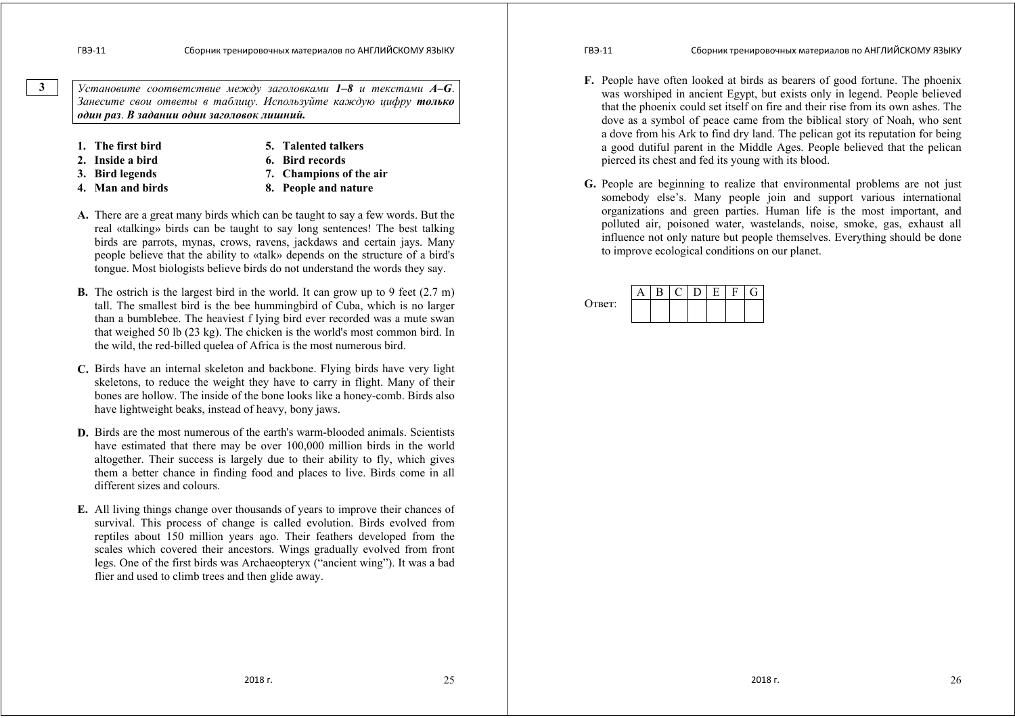*Установите соответствие между заголовками 1–8 <sup>и</sup> текстами A–G*. *Занесите свои ответы <sup>в</sup> таблицу. Используйте каждую цифру только один раз*. *В задании один заголовок лишний.*

| 1. The first bird | 5. Talented talkers     |
|-------------------|-------------------------|
| 2. Inside a bird  | 6. Bird records         |
| 3. Bird legends   | 7. Champions of the air |

- **4. Маn and birds 8. People and nature**
- 
- **A.** There are <sup>а</sup> great mа<sup>n</sup>у birds which can be taught to say а few words. But the real «talking» birds саn be taught to say long sentences! The best talking birds are parrots, mynas, crows, ravens, jackdaws and certain jays. Ма<sup>n</sup>у реорlе believe that the ability to «talk» depends оn the structure of а bird's tongue. Most biologists believe birds dо not understand the words they say.
- **B.** The ostrich is the largest bird in the world. It can grow up to 9 feet (2.7 m) tall. The smallest bird is the bee hummingbird of Cuba, which is nо larger than а bumblebee. The heaviest f lying bird ever recorded was <sup>а</sup> mute swan that weighed 50 lb (23 kg). The chicken is the world's most соmm<sup>о</sup>n bird. In the wild, the red-billed quelea of Africa is the most numerous bird.
- **C.** Birds have аn internal skeleton аnd backbone. Flying birds have very light skeletons, to reduce the weight they have to carry in flight. Ма<sup>n</sup>у of their bones are hollow. The inside of the b<sup>о</sup>n<sup>е</sup> looks like а honey-comb. Birds also have lightweight beaks, instead of heavy, bony jaws.
- **D.** Birds are the most numerous of the earth's warm-blооdеd animals. Scientists have estimated that there mау be over 100,000 million birds in the world altogether. Their success is largely duе to their ability to fly, which gives them а better chance in finding food and places to live. Birds соm<sup>е</sup> in аll different sizes аnd colours.
- **E.** Аll living things change over thousands of years to improve their chances of survival. This process of change is саllеd evolution. Birds evolved from reptiles about 150 million years ago. Their feathers develореd from the scales which covered their ancestors. Wings gradually evolved from front legs. Оn<sup>е</sup> of the first birds was Archaeopteryx ("ancient wing"). It was а bad flier аnd used to climb trees and then glide away.

- **F.** Реорlе have often looked at birds as bearers of good fortune. The phoenix was worshiped in ancient Egypt, but exists only in legend. People believed that the phoenix соuld set itself оn fire аnd their rise from its own ashes. The dove as а symbol of реасе саm<sup>е</sup> from the biblical story of Noah, who sent <sup>а</sup> dove from his Ark to find dry land. The pelican got its reputation for being <sup>а</sup> good dutiful parent in the Middle Ages. Реорlе believed that the pelican pierced its chest аnd fed its young with its blооd.
- **G.** People are beginning to realize that environmental problems are not just somebody else's. Many people join and support various international organizations and green parties. Human life is the most important, and polluted air, poisoned water, wastelands, noise, smoke, gas, exhaust all influence not only nature but people themselves. Everything should be done to improve ecological conditions on our planet.

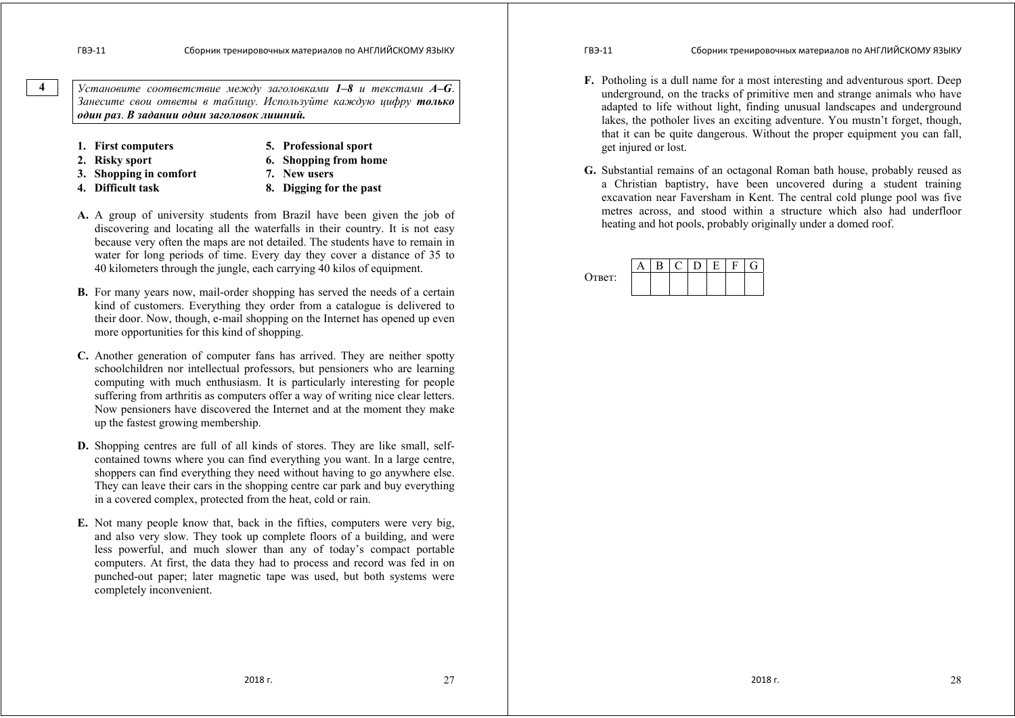*Установите соответствие между заголовками 1–8 <sup>и</sup> текстами A–G*. *Занесите свои ответы <sup>в</sup> таблицу. Используйте каждую цифру только один раз*. *В задании один заголовок лишний.*

| 1. First computers     | 5. Professional sport |
|------------------------|-----------------------|
| 2. Risky sport         | 6. Shopping from home |
| 3. Shopping in comfort | 7. New users          |

- 
- 
- **4. Difficult task 8. Digging for the past**
- **A.** A group of university students from Brazil have been given the job of discovering and locating all the waterfalls in their country. It is not easy because very often the maps are not detailed. The students have to remain in water for long periods of time. Every day they cover a distance of 35 to 40 kilometers through the jungle, each carrying 40 kilos of equipment.
- **B.** For many years now, mail-order shopping has served the needs of a certain kind of customers. Everything they order from a catalogue is delivered to their door. Now, though, e-mail shopping on the Internet has opened up even more opportunities for this kind of shopping.
- **C.** Another generation of computer fans has arrived. They are neither spotty schoolchildren nor intellectual professors, but pensioners who are learning computing with much enthusiasm. It is particularly interesting for people suffering from arthritis as computers offer a way of writing nice clear letters. Now pensioners have discovered the Internet and at the moment they make up the fastest growing membership.
- **D.** Shopping centres are full of all kinds of stores. They are like small, selfcontained towns where you can find everything you want. In a large centre, shoppers can find everything they need without having to go anywhere else. They can leave their cars in the shopping centre car park and buy everything in a covered complex, protected from the heat, cold or rain.
- **E.** Not many people know that, back in the fifties, computers were very big, and also very slow. They took up complete floors of a building, and were less powerful, and much slower than any of today's compact portable computers. At first, the data they had to process and record was fed in on punched-out paper; later magnetic tape was used, but both systems were completely inconvenient.

### ГВЭ‐<sup>11</sup> Сборник тренировочных материалов по АНГЛИЙСКОМУ ЯЗЫКУ

- **F.** Potholing is a dull name for a most interesting and adventurous sport. Deep underground, on the tracks of primitive men and strange animals who have adapted to life without light, finding unusual landscapes and underground lakes, the potholer lives an exciting adventure. You mustn't forget, though, that it can be quite dangerous. Without the proper equipment you can fall, get injured or lost.
- **G.** Substantial remains of an octagonal Roman bath house, probably reused as a Christian baptistry, have been uncovered during a student training excavation near Faversham in Kent. The central cold plunge pool was five metres across, and stood within a structure which also had underfloor heating and hot pools, probably originally under a domed roof.

| Ответ: |  |  |  |  |
|--------|--|--|--|--|
|        |  |  |  |  |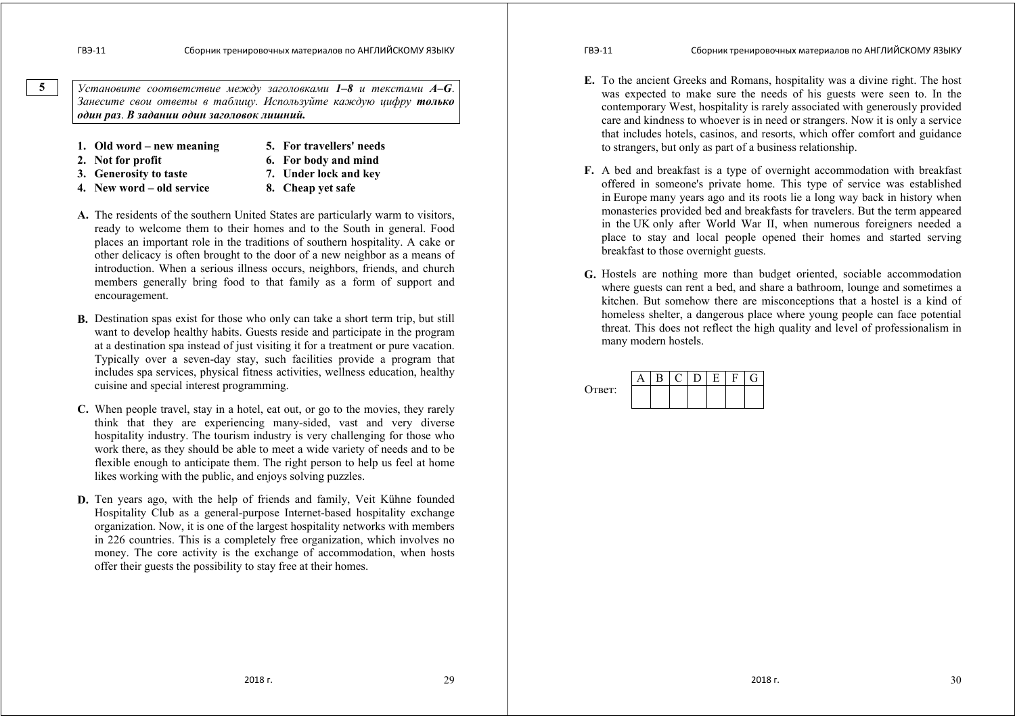*Установите соответствие между заголовками 1–8 <sup>и</sup> текстами A–G*. *Занесите свои ответы <sup>в</sup> таблицу. Используйте каждую цифру только один раз*. *В задании один заголовок лишний.*

| 1. Old word – new meaning | 5. For travellers' needs |
|---------------------------|--------------------------|
| 2. Not for profit         | 6. For body and mind     |
| 3. Generosity to taste    | 7. Under lock and key    |

- **4. New word old service 8. Cheap yet safe**
- 
- **A.** The residents of the southern United States are particularly warm to visitors, ready to welcome them to their homes and to the South in general. Food places an important role in the traditions of southern hospitality. A cake or other delicacy is often brought to the door of a new neighbor as a means of introduction. When a serious illness occurs, neighbors, friends, and church members generally bring food to that family as a form of support and encouragement.
- **B.** Destination spas exist for those who only can take a short term trip, but still want to develop healthy habits. Guests reside and participate in the program at a destination spa instead of just visiting it for a treatment or pure vacation. Typically over a seven-day stay, such facilities provide a program that includes spa services, physical fitness activities, wellness education, healthy cuisine and special interest programming.
- **C.** When people travel, stay in a hotel, eat out, or go to the movies, they rarely think that they are experiencing many-sided, vast and very diverse hospitality industry. The tourism industry is very challenging for those who work there, as they should be able to meet a wide variety of needs and to be flexible enough to anticipate them. The right person to help us feel at home likes working with the public, and enjoys solving puzzles.
- **D.** Ten years ago, with the help of friends and family, Veit Kühne founded Hospitality Club as a general-purpose Internet-based hospitality exchange organization. Now, it is one of the largest hospitality networks with members in 226 countries. This is a completely free organization, which involves no money. The core activity is the exchange of accommodation, when hosts offer their guests the possibility to stay free at their homes.

- **E.** To the ancient Greeks and Romans, hospitality was a divine right. The host was expected to make sure the needs of his guests were seen to. In the contemporary West, hospitality is rarely associated with generously provided care and kindness to whoever is in need or strangers. Now it is only a service that includes hotels, casinos, and resorts, which offer comfort and guidance to strangers, but only as part of a business relationship.
- **F.** A bed and breakfast is a type of overnight accommodation with breakfast offered in someone's private home. This type of service was established in Europe many years ago and its roots lie a long way back in history when monasteries provided bed and breakfasts for travelers. But the term appeared in the UK only after World War II, when numerous foreigners needed a place to stay and local people opened their homes and started serving breakfast to those overnight guests.
- **G.** Hostels are nothing more than budget oriented, sociable accommodation where guests can rent a bed, and share a bathroom, lounge and sometimes a kitchen. But somehow there are misconceptions that a hostel is a kind of homeless shelter, a dangerous place where young people can face potential threat. This does not reflect the high quality and level of professionalism in many modern hostels.

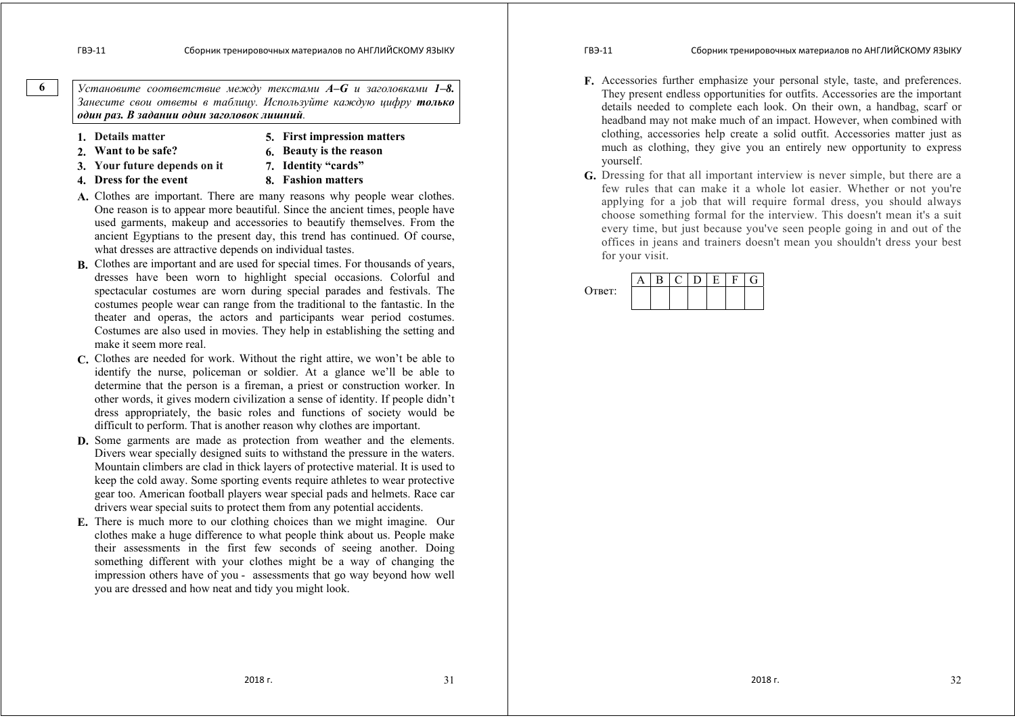*Установите соответствие между текстами A–G <sup>и</sup> заголовками 1–8. Занесите свои ответы <sup>в</sup> таблицу. Используйте каждую цифру только один раз. В задании один заголовок лишний.*

- 
- **1. Details matter 5. First impression matters**
- **2. Want to be safe? 6. Beauty is the reason**
- **3. Your future depends on it 7. Identity "cards"**
	-
- **4. Dress for the event 8. Fashion matters**
- **A.** Clothes are important. There are many reasons why people wear clothes. One reason is to appear more beautiful. Since the ancient times, people have used garments, makeup and accessories to beautify themselves. From the ancient Egyptians to the present day, this trend has continued. Of course, what dresses are attractive depends on individual tastes.
- **B.** Clothes are important and are used for special times. For thousands of years, dresses have been worn to highlight special occasions. Colorful and spectacular costumes are worn during special parades and festivals. The costumes people wear can range from the traditional to the fantastic. In the theater and operas, the actors and participants wear period costumes. Costumes are also used in movies. They help in establishing the setting and make it seem more real.
- **C.** Clothes are needed for work. Without the right attire, we won't be able to identify the nurse, policeman or soldier. At a glance we'll be able to determine that the person is a fireman, a priest or construction worker. In other words, it gives modern civilization a sense of identity. If people didn't dress appropriately, the basic roles and functions of society would be difficult to perform. That is another reason why clothes are important.
- **D.** Some garments are made as protection from weather and the elements. Divers wear specially designed suits to withstand the pressure in the waters. Mountain climbers are clad in thick layers of protective material. It is used to keep the cold away. Some sporting events require athletes to wear protective gear too. American football players wear special pads and helmets. Race car drivers wear special suits to protect them from any potential accidents.
- **E.** There is much more to our clothing choices than we might imagine. Our clothes make a huge difference to what people think about us. People make their assessments in the first few seconds of seeing another. Doing something different with your clothes might be a way of changing the impression others have of you - assessments that go way beyond how well you are dressed and how neat and tidy you might look.

- **F.** Accessories further emphasize your personal style, taste, and preferences. They present endless opportunities for outfits. Accessories are the important details needed to complete each look. On their own, a handbag, scarf or headband may not make much of an impact. However, when combined with clothing, accessories help create a solid outfit. Accessories matter just as much as clothing, they give you an entirely new opportunity to express yourself.
- **G.** Dressing for that all important interview is never simple, but there are a few rules that can make it a whole lot easier. Whether or not you're applying for a job that will require formal dress, you should always choose something formal for the interview. This doesn't mean it's a suit every time, but just because you've seen people going in and out of the offices in jeans and trainers doesn't mean you shouldn't dress your best for your visit.

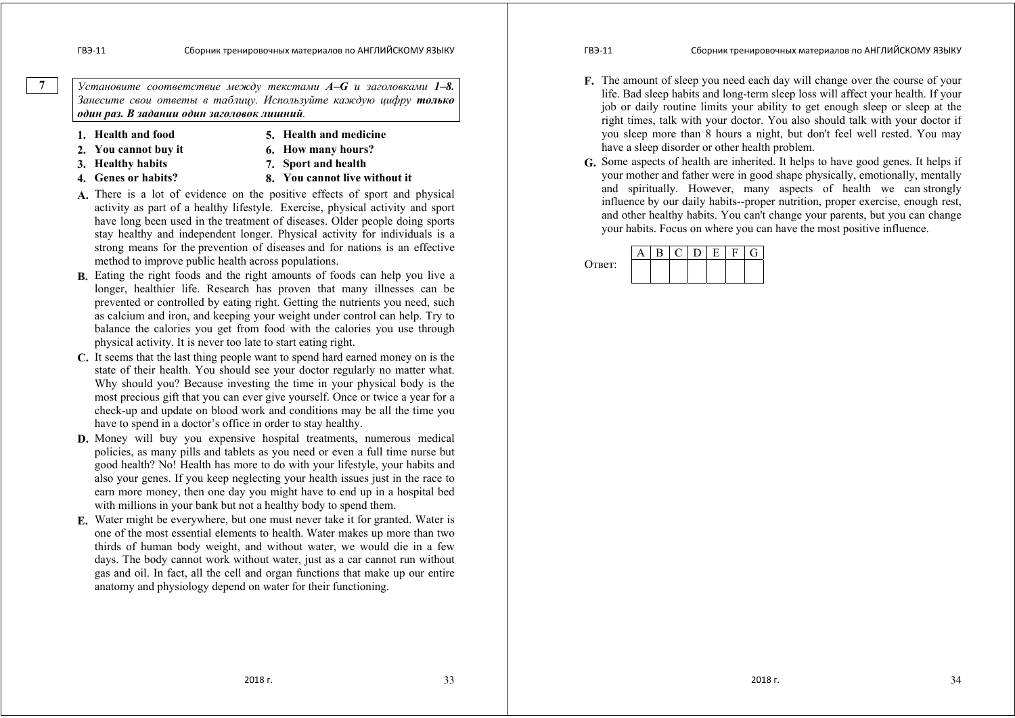#### ГВЭ‐<sup>11</sup> Сборник тренировочных материалов по АНГЛИЙСКОМУ ЯЗЫКУ

*Установите соответствие между текстами A–G <sup>и</sup> заголовками 1–8. Занесите свои ответы <sup>в</sup> таблицу. Используйте каждую цифру только один раз. В задании один заголовок лишний.*

- 
- **1. Health and food 5. Health and medicine**
- **2. You cannot buy it 6. How many hours?**
	-
- **3. Healthy habits 7. Sport and health**
- 
- **4. Genes or habits? 8. You cannot live without it**
- **A.** There is a lot of evidence on the positive effects of sport and physical activity as part of a healthy lifestyle. Exercise, physical activity and sport have long been used in the treatment of diseases. Older people doing sports stay healthy and independent longer. Physical activity for individuals is a strong means for the prevention of diseases and for nations is an effective method to improve public health across populations.
- **B.** Eating the right foods and the right amounts of foods can help you live a longer, healthier life. Research has proven that many illnesses can be prevented or controlled by eating right. Getting the nutrients you need, such as calcium and iron, and keeping your weight under control can help. Try to balance the calories you get from food with the calories you use through physical activity. It is never too late to start eating right.
- **C.** It seems that the last thing people want to spend hard earned money on is the state of their health. You should see your doctor regularly no matter what. Why should you? Because investing the time in your physical body is the most precious gift that you can ever give yourself. Once or twice a year for a check-up and update on blood work and conditions may be all the time you have to spend in a doctor's office in order to stay healthy.
- **D.** Money will buy you expensive hospital treatments, numerous medical policies, as many pills and tablets as you need or even a full time nurse but good health? No! Health has more to do with your lifestyle, your habits and also your genes. If you keep neglecting your health issues just in the race to earn more money, then one day you might have to end up in a hospital bed with millions in your bank but not a healthy body to spend them.
- **E.** Water might be everywhere, but one must never take it for granted. Water is one of the most essential elements to health. Water makes up more than two thirds of human body weight, and without water, we would die in a few days. The body cannot work without water, just as a car cannot run without gas and oil. In fact, all the cell and organ functions that make up our entire anatomy and physiology depend on water for their functioning.

- **F.** The amount of sleep you need each day will change over the course of your life. Bad sleep habits and long-term sleep loss will affect your health. If your job or daily routine limits your ability to get enough sleep or sleep at the right times, talk with your doctor. You also should talk with your doctor if you sleep more than 8 hours a night, but don't feel well rested. You may have a sleep disorder or other health problem.
- **G.** Some aspects of health are inherited. It helps to have good genes. It helps if your mother and father were in good shape physically, emotionally, mentally and spiritually. However, many aspects of health we can strongly influence by our daily habits--proper nutrition, proper exercise, enough rest, and other healthy habits. You can't change your parents, but you can change your habits. Focus on where you can have the most positive influence.

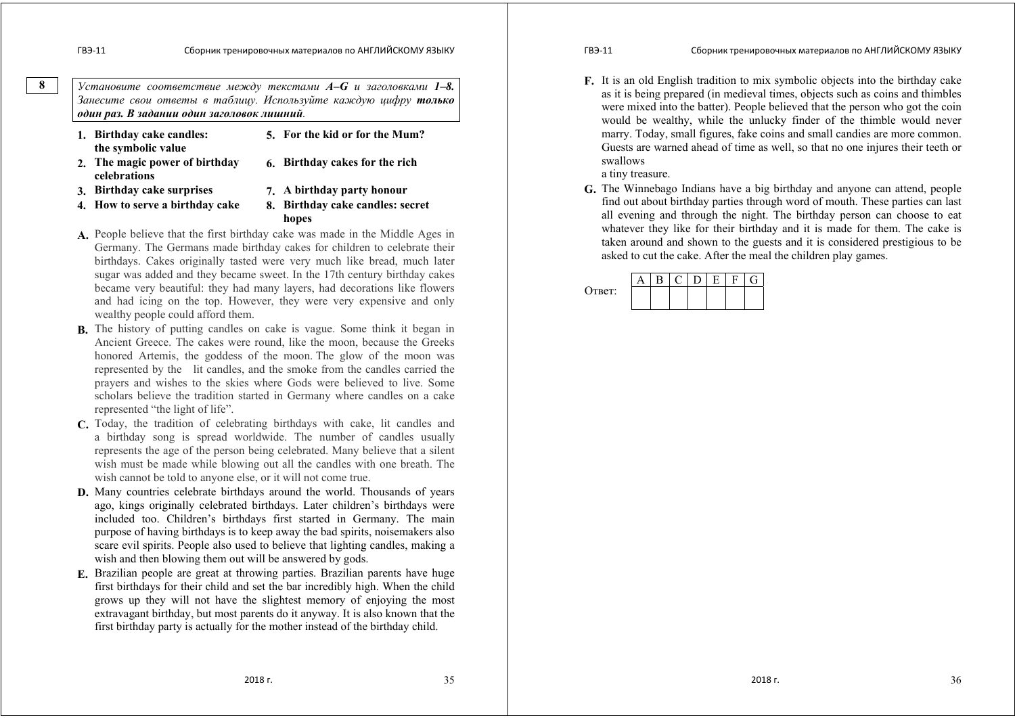*Установите соответствие между текстами A–G <sup>и</sup> заголовками 1–8. Занесите свои ответы <sup>в</sup> таблицу. Используйте каждую цифру только один раз. В задании один заголовок лишний.*

| 1. Birthday cake candles:<br>the symbolic value | 5. For the kid or for the Mum? |  |
|-------------------------------------------------|--------------------------------|--|
| 2. The magic power of birthday                  | 6. Birthday cakes for the rich |  |
| celebrations                                    |                                |  |

- **3. Birthday cake surprises 7. A birthday party honour**
- **4. How to serve a birthday cake 8. Birthday cake candles: secret**

# **hopes**

- **A.** People believe that the first birthday cake was made in the Middle Ages in Germany. The Germans made birthday cakes for children to celebrate their birthdays. Cakes originally tasted were very much like bread, much later sugar was added and they became sweet. In the 17th century birthday cakes became very beautiful: they had many layers, had decorations like flowers and had icing on the top. However, they were very expensive and only wealthy people could afford them.
- **B.** The history of putting candles on cake is vague. Some think it began in Ancient Greece. The cakes were round, like the moon, because the Greeks honored Artemis, the goddess of the moon. The glow of the moon was represented by the lit candles, and the smoke from the candles carried the prayers and wishes to the skies where Gods were believed to live. Some scholars believe the tradition started in Germany where candles on a cake represented "the light of life".
- **C.** Today, the tradition of celebrating birthdays with cake, lit candles and a birthday song is spread worldwide. The number of candles usually represents the age of the person being celebrated. Many believe that a silent wish must be made while blowing out all the candles with one breath. The wish cannot be told to anyone else, or it will not come true.
- **D.** Many countries celebrate birthdays around the world. Thousands of years ago, kings originally celebrated birthdays. Later children's birthdays were included too. Children's birthdays first started in Germany. The main purpose of having birthdays is to keep away the bad spirits, noisemakers also scare evil spirits. People also used to believe that lighting candles, making a wish and then blowing them out will be answered by gods.
- **E.** Brazilian people are great at throwing parties. Brazilian parents have huge first birthdays for their child and set the bar incredibly high. When the child grows up they will not have the slightest memory of enjoying the most extravagant birthday, but most parents do it anyway. It is also known that the first birthday party is actually for the mother instead of the birthday child.

### ГВЭ‐<sup>11</sup> Сборник тренировочных материалов по АНГЛИЙСКОМУ ЯЗЫКУ

**F.** It is an old English tradition to mix symbolic objects into the birthday cake as it is being prepared (in medieval times, objects such as coins and thimbles were mixed into the batter). People believed that the person who got the coin would be wealthy, while the unlucky finder of the thimble would never marry. Today, small figures, fake coins and small candies are more common. Guests are warned ahead of time as well, so that no one injures their teeth or swallows

a tiny treasure.

**G.** The Winnebago Indians have a big birthday and anyone can attend, people find out about birthday parties through word of mouth. These parties can last all evening and through the night. The birthday person can choose to eat whatever they like for their birthday and it is made for them. The cake is taken around and shown to the guests and it is considered prestigious to be asked to cut the cake. After the meal the children play games.

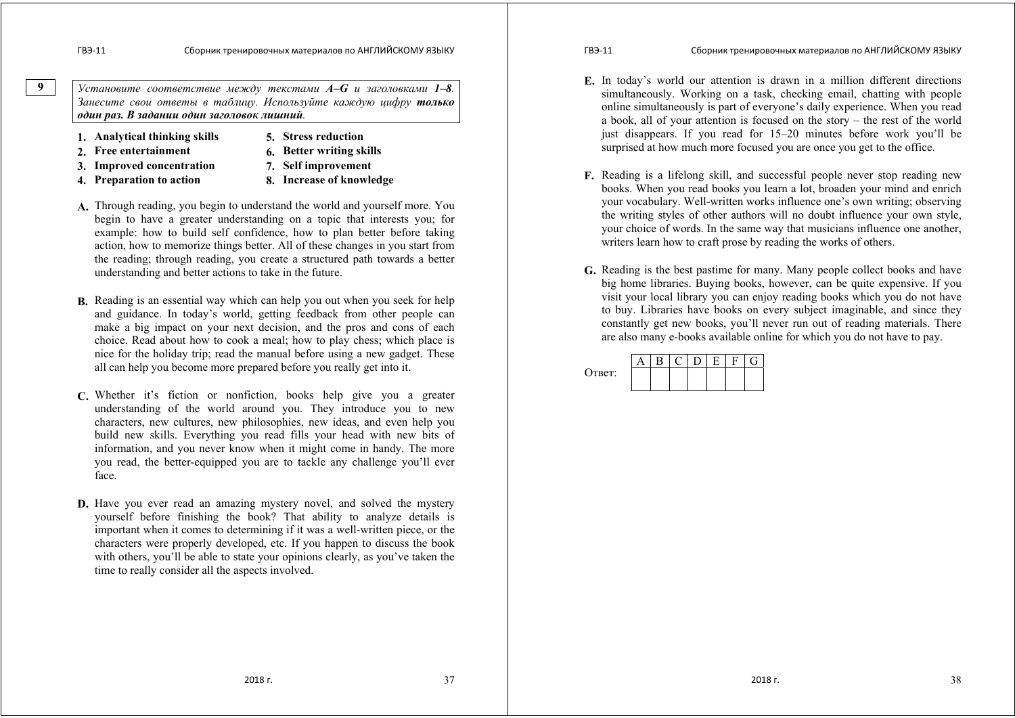*Установите соответствие между текстами A–G <sup>и</sup> заголовками 1–8. Занесите свои ответы <sup>в</sup> таблицу. Используйте каждую цифру только один раз. В задании один заголовок лишний.*

- **1. Analytical thinking skills 5. Stress reduction**
- 
- **2. Free entertainment 6. Better writing skills**
- 
- **3. Improved concentration 7. Self improvement**
- 
- **4. Preparation to action 8. Increase of knowledge**
- **A.** Through reading, you begin to understand the world and yourself more. You begin to have a greater understanding on a topic that interests you; for example: how to build self confidence, how to plan better before taking action, how to memorize things better. All of these changes in you start from the reading; through reading, you create a structured path towards a better understanding and better actions to take in the future.
- **B.** Reading is an essential way which can help you out when you seek for help and guidance. In today's world, getting feedback from other people can make a big impact on your next decision, and the pros and cons of each choice. Read about how to cook a meal; how to play chess; which place is nice for the holiday trip; read the manual before using a new gadget. These all can help you become more prepared before you really get into it.
- **C.** Whether it's fiction or nonfiction, books help give you a greater understanding of the world around you. They introduce you to new characters, new cultures, new philosophies, new ideas, and even help you build new skills. Everything you read fills your head with new bits of information, and you never know when it might come in handy. The more you read, the better-equipped you are to tackle any challenge you'll ever face.
- **D.** Have you ever read an amazing mystery novel, and solved the mystery yourself before finishing the book? That ability to analyze details is important when it comes to determining if it was a well-written piece, or the characters were properly developed, etc. If you happen to discuss the book with others, you'll be able to state your opinions clearly, as you've taken the time to really consider all the aspects involved.

- **E.** In today's world our attention is drawn in a million different directions simultaneously. Working on a task, checking email, chatting with people online simultaneously is part of everyone's daily experience. When you read a book, all of your attention is focused on the story – the rest of the world just disappears. If you read for 15–20 minutes before work you'll be surprised at how much more focused you are once you get to the office.
- **F.** Reading is a lifelong skill, and successful people never stop reading new books. When you read books you learn a lot, broaden your mind and enrich your vocabulary. Well-written works influence one's own writing; observing the writing styles of other authors will no doubt influence your own style, your choice of words. In the same way that musicians influence one another, writers learn how to craft prose by reading the works of others.
- **G.** Reading is the best pastime for many. Many people collect books and have big home libraries. Buying books, however, can be quite expensive. If you visit your local library you can enjoy reading books which you do not have to buy. Libraries have books on every subject imaginable, and since they constantly get new books, you'll never run out of reading materials. There are also many e-books available online for which you do not have to pay.

|        |  | (1) | н. |  |
|--------|--|-----|----|--|
| Ответ: |  |     |    |  |
|        |  |     |    |  |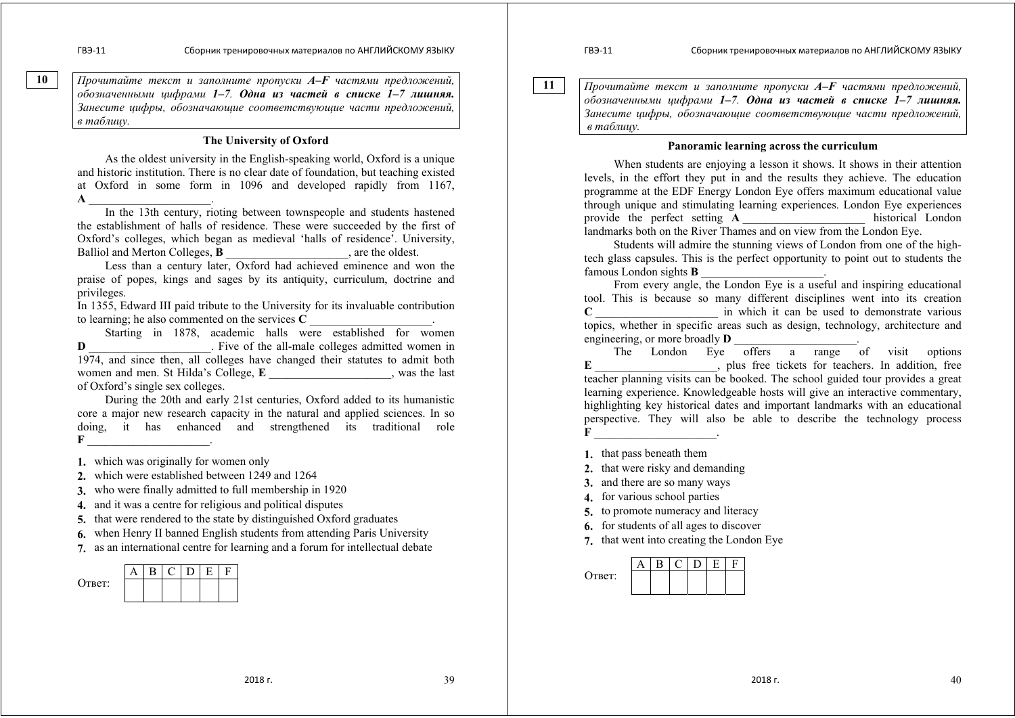**11** 

*Прочитайте текст <sup>и</sup> заполните пропуски A–F частями предложений, обозначенными цифрами 1–7. Одна из частей <sup>в</sup> списке 1–7 лишняя. Занесите цифры, обозначающие соответствующие части предложений, <sup>в</sup> таблицу.* 

### **The University of Oxford**

As the oldest university in the English-speaking world, Oxford is a unique and historic institution. There is no clear date of foundation, but teaching existed at Oxford in some form in 1096 and developed rapidly from 1167, **A** 

In the 13th century, rioting between townspeople and students hastened the establishment of halls of residence. These were succeeded by the first of Oxford's colleges, which began as medieval 'halls of residence'. University, Balliol and Merton Colleges, **B**, are the oldest. are the oldest.

Less than a century later. Oxford had achieved eminence and won the praise of popes, kings and sages by its antiquity, curriculum, doctrine and privileges.

In 1355, Edward III paid tribute to the University for its invaluable contribution to learning; he also commented on the services **C** \_\_\_\_\_\_\_\_\_\_\_\_\_\_\_\_\_\_\_\_\_.

Starting in 1878, academic halls were established for women **D** \_\_\_\_\_\_\_\_\_\_\_\_\_\_\_\_\_\_\_\_\_. Five of the all-male colleges admitted women in 1974, and since then, all colleges have changed their statutes to admit both women and men. St Hilda's College, **E** , was the last of Oxford's single sex colleges.

During the 20th and early 21st centuries, Oxford added to its humanistic core a major new research capacity in the natural and applied sciences. In so doing, it has enhanced and strengthened its traditional role **F**  $\mathcal{L}=\mathcal{L}=\mathcal{L}=\mathcal{L}=\mathcal{L}=\mathcal{L}=\mathcal{L}$ 

**2.** which were established between 1249 and 1264

**3.** who were finally admitted to full membership in 1920

**4.** and it was a centre for religious and political disputes

**5.** that were rendered to the state by distinguished Oxford graduates

**6.** when Henry II banned English students from attending Paris University

**7.** as an international centre for learning and a forum for intellectual debate



*Прочитайте текст <sup>и</sup> заполните пропуски A–F частями предложений,* 

*обозначенными цифрами 1–7. Одна из частей <sup>в</sup> списке 1–7 лишняя. Занесите цифры, обозначающие соответствующие части предложений, <sup>в</sup> таблицу.* 

### **Panoramic learning across the curriculum**

When students are enjoying a lesson it shows. It shows in their attention levels, in the effort they put in and the results they achieve. The education programme at the EDF Energy London Eye offers maximum educational value through unique and stimulating learning experiences. London Eye experiences provide the perfect setting **A** historical London landmarks both on the River Thames and on view from the London Eye.

Students will admire the stunning views of London from one of the hightech glass capsules. This is the perfect opportunity to point out to students the famous London sights **B** \_\_\_\_\_\_\_\_\_\_\_\_\_\_\_\_\_\_\_\_\_.

From every angle, the London Eye is a useful and inspiring educational tool. This is because so many different disciplines went into its creation **C** in which it can be used to demonstrate various topics, whether in specific areas such as design, technology, architecture and engineering, or more broadly **D** \_\_\_\_\_\_\_\_\_\_\_\_\_\_\_\_\_\_\_\_\_.

The London Eye offers a range of visit options **E** \_\_\_\_\_\_\_\_\_\_\_\_\_\_\_\_\_\_\_\_\_, plus free tickets for teachers. In addition, free teacher planning visits can be booked. The school guided tour provides a great learning experience. Knowledgeable hosts will give an interactive commentary, highlighting key historical dates and important landmarks with an educational perspective. They will also be able to describe the technology process **F** \_\_\_\_\_\_\_\_\_\_\_\_\_\_\_\_\_\_\_\_\_.

**1.** that pass beneath them

- **2.** that were risky and demanding
- **3.** and there are so many ways
- **4.** for various school parties
- **5.** to promote numeracy and literacy
- **6.** for students of all ages to discover
- **7.** that went into creating the London Eye



**<sup>1.</sup>** which was originally for women only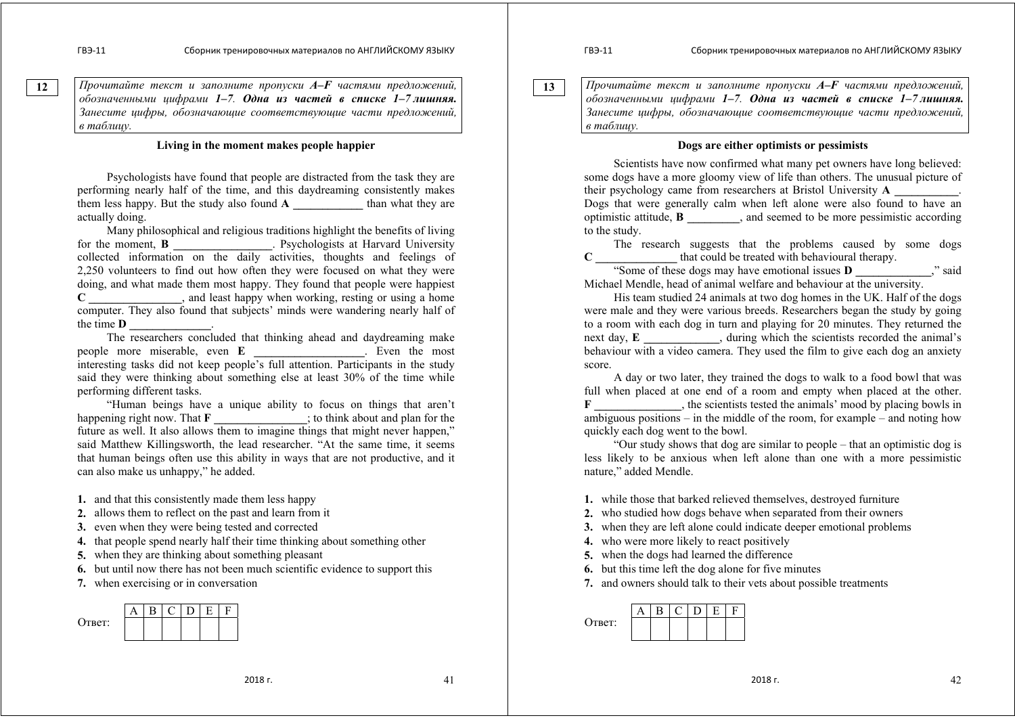*Прочитайте текст <sup>и</sup> заполните пропуски A–F частями предложений, обозначенными цифрами 1–7. Одна из частей <sup>в</sup> списке 1–7 лишняя. Занесите цифры, обозначающие соответствующие части предложений, <sup>в</sup> таблицу.* 

### **Living in the moment makes people happier**

Psychologists have found that people are distracted from the task they are performing nearly half of the time, and this daydreaming consistently makes them less happy. But the study also found **A \_\_\_\_\_\_\_\_\_\_\_\_** than what they are actually doing.

Many philosophical and religious traditions highlight the benefits of living for the moment, **B** . Psychologists at Harvard University collected information on the daily activities, thoughts and feelings of 2,250 volunteers to find out how often they were focused on what they were doing, and what made them most happy. They found that people were happiest **C \_\_\_\_\_\_\_\_\_\_\_\_\_\_\_\_**, and least happy when working, resting or using a home computer. They also found that subjects' minds were wandering nearly half of the time **D \_\_\_\_\_\_\_\_\_\_\_\_\_\_**.

The researchers concluded that thinking ahead and daydreaming make people more miserable, even **E \_\_\_\_\_\_\_\_\_\_\_\_\_\_\_\_\_\_\_**. Even the most interesting tasks did not keep people's full attention. Participants in the study said they were thinking about something else at least 30% of the time while performing different tasks.

"Human beings have a unique ability to focus on things that aren't happening right now. That **F**  $\qquad$ ; to think about and plan for the future as well. It also allows them to imagine things that might never happen," said Matthew Killingsworth, the lead researcher. "At the same time, it seems that human beings often use this ability in ways that are not productive, and it can also make us unhappy," he added.

**1.** and that this consistently made them less happy

- **2.** allows them to reflect on the past and learn from it
- **3.** even when they were being tested and corrected

**4.** that people spend nearly half their time thinking about something other

- **5.** when they are thinking about something pleasant
- **6.** but until now there has not been much scientific evidence to support this
- **7.** when exercising or in conversation



**13** 

*Прочитайте текст <sup>и</sup> заполните пропуски A–F частями предложений, обозначенными цифрами 1–7. Одна из частей <sup>в</sup> списке 1–7 лишняя. Занесите цифры, обозначающие соответствующие части предложений, <sup>в</sup> таблицу.* 

### **Dogs are either optimists or pessimists**

Scientists have now confirmed what many pet owners have long believed: some dogs have a more gloomy view of life than others. The unusual picture of their psychology came from researchers at Bristol University **A \_\_\_\_\_\_\_\_\_\_\_**.

Dogs that were generally calm when left alone were also found to have an optimistic attitude, **B \_\_\_\_\_\_\_\_\_**, and seemed to be more pessimistic according to the study.

The research suggests that the problems caused by some dogs **C \_\_\_\_\_\_\_\_\_\_\_\_\_\_** that could be treated with behavioural therapy.

"Some of these dogs may have emotional issues **D \_\_\_\_\_\_\_\_\_\_\_\_\_**," said Michael Mendle, head of animal welfare and behaviour at the university.

His team studied 24 animals at two dog homes in the UK. Half of the dogs were male and they were various breeds. Researchers began the study by going to a room with each dog in turn and playing for 20 minutes. They returned the next day, **E** \_\_\_\_\_\_\_\_\_\_\_, during which the scientists recorded the animal's behaviour with a video camera. They used the film to give each dog an anxiety score.

A day or two later, they trained the dogs to walk to a food bowl that was full when placed at one end of a room and empty when placed at the other. **F** \_\_\_\_\_\_\_\_\_\_, the scientists tested the animals' mood by placing bowls in  $\overline{\text{ambiguous positions}}$  – in the middle of the room, for example – and noting how quickly each dog went to the bowl.

"Our study shows that dog are similar to people – that an optimistic dog is less likely to be anxious when left alone than one with a more pessimistic nature," added Mendle.

- **1.** while those that barked relieved themselves, destroyed furniture
- **2.** who studied how dogs behave when separated from their owners
- **3.** when they are left alone could indicate deeper emotional problems
- **4.** who were more likely to react positively
- **5.** when the dogs had learned the difference
- **6.** but this time left the dog alone for five minutes
- **7.** and owners should talk to their vets about possible treatments

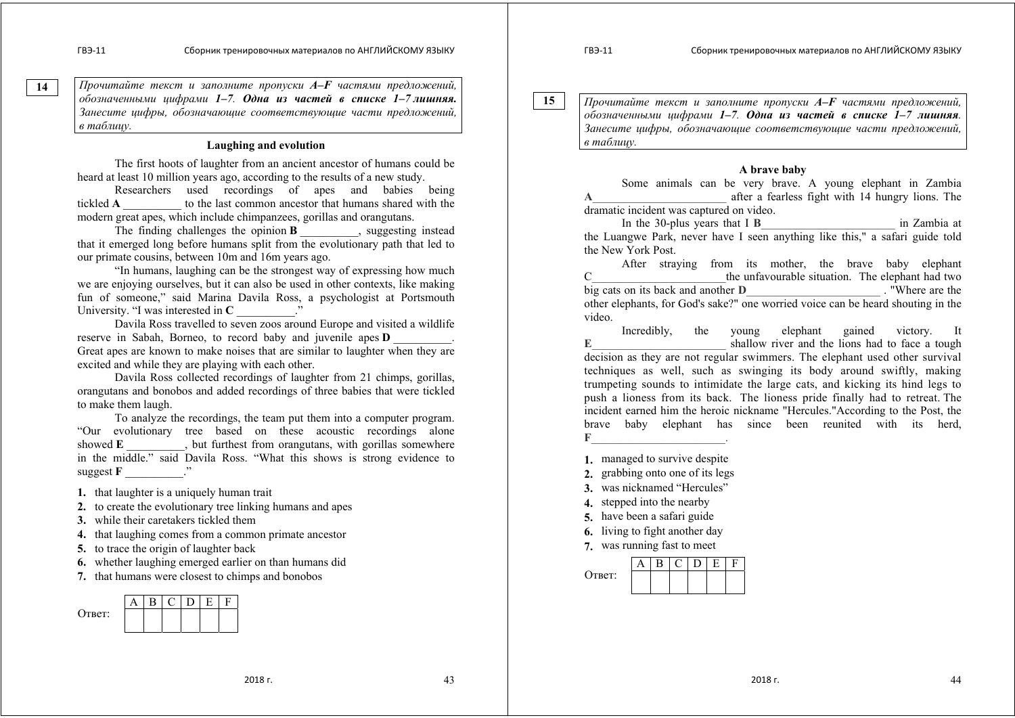*Прочитайте текст <sup>и</sup> заполните пропуски A–F частями предложений, обозначенными цифрами 1–7. Одна из частей <sup>в</sup> списке 1–7 лишняя. Занесите цифры, обозначающие соответствующие части предложений, <sup>в</sup> таблицу.* 

#### **Laughing and evolution**

The first hoots of laughter from an ancient ancestor of humans could be heard at least 10 million years ago, according to the results of a new study.

Researchers used recordings of apes and babies being tickled **A** \_\_\_\_\_\_\_\_\_\_ to the last common ancestor that humans shared with the modern great apes, which include chimpanzees, gorillas and orangutans.

The finding challenges the opinion **B** \_\_\_\_\_\_, suggesting instead that it emerged long before humans split from the evolutionary path that led to our primate cousins, between 10m and 16m years ago.

"In humans, laughing can be the strongest way of expressing how much we are enjoying ourselves, but it can also be used in other contexts, like making fun of someone," said Marina Davila Ross, a psychologist at Portsmouth University. "I was interested in C  $\cdots$ 

Davila Ross travelled to seven zoos around Europe and visited a wildlife reserve in Sabah, Borneo, to record baby and juvenile apes **D** Great apes are known to make noises that are similar to laughter when they are excited and while they are playing with each other.

Davila Ross collected recordings of laughter from 21 chimps, gorillas, orangutans and bonobos and added recordings of three babies that were tickled to make them laugh.

To analyze the recordings, the team put them into a computer program. "Our evolutionary tree based on these acoustic recordings alone showed **E** \_\_\_\_\_\_\_\_\_, but furthest from orangutans, with gorillas somewhere in the middle." said Davila Ross. "What this shows is strong evidence to suggest **F** \_\_\_\_\_\_\_\_\_\_."

**1.** that laughter is a uniquely human trait

**2.** to create the evolutionary tree linking humans and apes

**3.** while their caretakers tickled them

**4.** that laughing comes from a common primate ancestor

- **5.** to trace the origin of laughter back
- **6.** whether laughing emerged earlier on than humans did
- **7.** that humans were closest to chimps and bonobos



**15** 

*Прочитайте текст <sup>и</sup> заполните пропуски A–F частями предложений, обозначенными цифрами 1–7. Одна из частей <sup>в</sup> списке 1–7 лишняя. Занесите цифры, обозначающие соответствующие части предложений, <sup>в</sup> таблицу.*

#### **A brave baby**

Some animals can be very brave. A young elephant in Zambia **A** \_\_\_\_\_\_\_\_\_\_\_\_\_\_\_\_\_\_\_\_\_\_\_ after a fearless fight with 14 hungry lions. The dramatic incident was captured on video.

In the 30-plus years that I **B** and in Zambia at the Luangwe Park, never have I seen anything like this," a safari guide told the New York Post.

After straying from its mother, the brave baby elephant  $\mathcal{C}$ \_\_\_\_\_\_\_\_\_\_\_\_\_\_\_\_\_\_\_\_\_\_\_the unfavourable situation. The elephant had two big cats on its back and another **D**\_\_\_\_\_\_\_\_\_\_\_\_\_\_\_\_\_\_\_\_\_\_\_ . "Where are the other elephants, for God's sake?" one worried voice can be heard shouting in the video.

Incredibly, the young elephant gained victory. It **E** shallow river and the lions had to face a tough decision as they are not regular swimmers. The elephant used other survival techniques as well, such as swinging its body around swiftly, making trumpeting sounds to intimidate the large cats, and kicking its hind legs to push a lioness from its back. The lioness pride finally had to retreat. The incident earned him the heroic nickname "Hercules."According to the Post, the brave baby elephant has since been reunited with its herd, **F**

- \_\_\_\_\_\_\_\_\_\_\_\_\_\_\_\_\_\_\_\_\_\_\_. **1.** managed to survive despite
- **2.** grabbing onto one of its legs
- **3.** was nicknamed "Hercules"
- **4.** stepped into the nearby
- **5.** have been a safari guide
- **6.** living to fight another day
- **7.** was running fast to meet

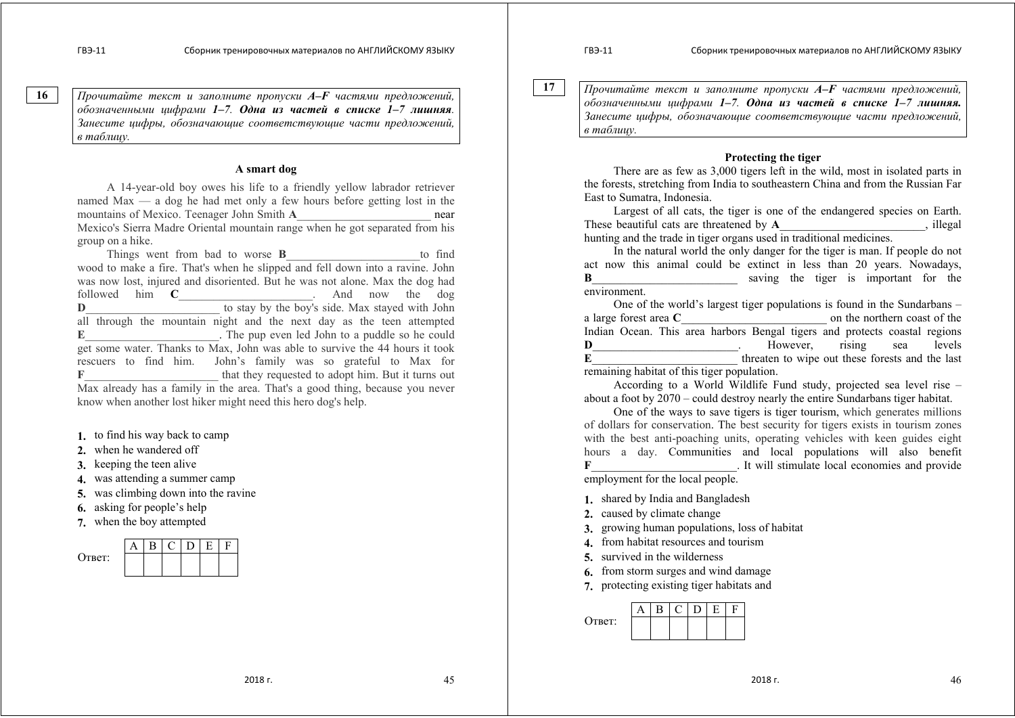*Прочитайте текст <sup>и</sup> заполните пропуски A–F частями предложений, обозначенными цифрами 1–7. Одна из частей <sup>в</sup> списке 1–7 лишняя. Занесите цифры, обозначающие соответствующие части предложений, <sup>в</sup> таблицу.*

#### **A smart dog**

A 14-year-old boy owes his life to a friendly yellow labrador retriever named Max — a dog he had met only a few hours before getting lost in the mountains of Mexico. Teenager John Smith **A** Mexico's Sierra Madre Oriental mountain range when he got separated from his group on a hike.

Things went from bad to worse **B** to find wood to make a fire. That's when he slipped and fell down into a ravine. John was now lost, injured and disoriented. But he was not alone. Max the dog had followed him **C**\_\_\_\_\_\_\_\_\_\_\_\_\_\_\_\_\_\_\_\_\_\_\_. And now the dog **D** to stay by the boy's side. Max stayed with John all through the mountain night and the next day as the teen attempted **E** \_\_\_\_\_\_\_\_\_\_\_\_\_\_\_\_\_\_\_\_\_\_\_ . The pup even led John to a puddle so he could get some water. Thanks to Max, John was able to survive the 44 hours it took rescuers to find him. John's family was so grateful to Max for **F** \_\_\_\_\_\_\_\_\_\_\_\_\_\_\_\_\_\_\_\_\_\_\_ that they requested to adopt him. But it turns out Max already has a family in the area. That's a good thing, because you never know when another lost hiker might need this hero dog's help.

- **1.** to find his way back to camp
- **2.** when he wandered off
- **3.** keeping the teen alive
- **4.** was attending a summer camp
- **5.** was climbing down into the ravine
- **6.** asking for people's help
- **7.** when the boy attempted



**17** 

*Прочитайте текст <sup>и</sup> заполните пропуски A–F частями предложений, обозначенными цифрами 1–7. Одна из частей <sup>в</sup> списке 1–7 лишняя. Занесите цифры, обозначающие соответствующие части предложений, <sup>в</sup> таблицу.*

#### **Protecting the tiger**

There are as few as 3,000 tigers left in the wild, most in isolated parts in the forests, stretching from India to southeastern China and from the Russian Far East to Sumatra, Indonesia.

Largest of all cats, the tiger is one of the endangered species on Earth. These beautiful cats are threatened by **A**<sub>nillegal</sub>, illegal hunting and the trade in tiger organs used in traditional medicines.

In the natural world the only danger for the tiger is man. If people do not act now this animal could be extinct in less than 20 years. Nowadays, **B** saving the tiger is important for the environment.

One of the world's largest tiger populations is found in the Sundarbans – a large forest area **C**\_\_\_\_\_\_\_\_\_\_\_\_\_\_\_\_\_\_\_\_\_\_\_\_\_ on the northern coast of the Indian Ocean. This area harbors Bengal tigers and protects coastal regions **D**However, rising sea levels E remaining habitat of this tiger population.

According to a World Wildlife Fund study, projected sea level rise – about a foot by 2070 – could destroy nearly the entire Sundarbans tiger habitat.

One of the ways to save tigers is tiger tourism, which generates millions of dollars for conservation. The best security for tigers exists in tourism zones with the best anti-poaching units, operating vehicles with keen guides eight hours a day. Communities and local populations will also benefit **F**\_\_\_\_\_\_\_\_\_\_\_\_\_\_\_\_\_\_\_\_\_\_\_\_\_. It will stimulate local economies and provide

employment for the local people.

- **1.** shared by India and Bangladesh
- **2.** caused by climate change
- **3.** growing human populations, loss of habitat
- **4.** from habitat resources and tourism
- **5.** survived in the wilderness
- **6.** from storm surges and wind damage
- **7.** protecting existing tiger habitats and

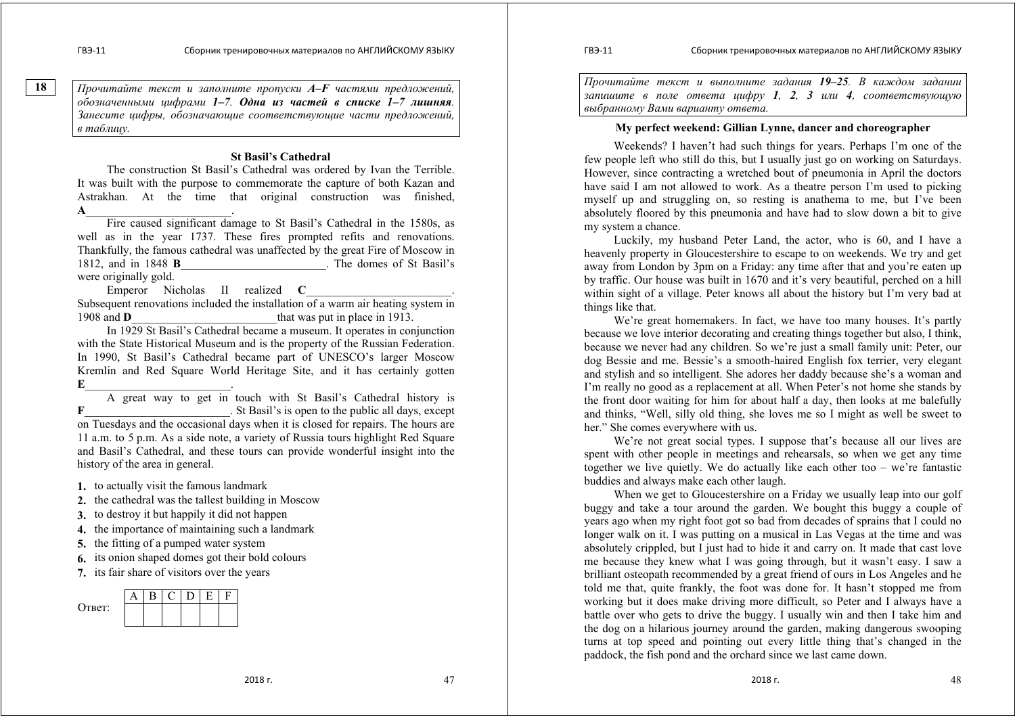*Прочитайте текст <sup>и</sup> заполните пропуски A–F частями предложений, обозначенными цифрами 1–7. Одна из частей <sup>в</sup> списке 1–7 лишняя. Занесите цифры, обозначающие соответствующие части предложений, <sup>в</sup> таблицу.* 

### **St Basil's Cathedral**

The construction St Basil's Cathedral was ordered by Ivan the Terrible. It was built with the purpose to commemorate the capture of both Kazan and Astrakhan. At the time that original construction was finished, **A**

Fire caused significant damage to St Basil's Cathedral in the 1580s, as well as in the year 1737. These fires prompted refits and renovations. Thankfully, the famous cathedral was unaffected by the great Fire of Moscow in 1812, and in 1848 **B**\_\_\_\_\_\_\_\_\_\_\_\_\_\_\_\_\_\_\_\_\_\_\_\_\_. The domes of St Basil's were originally gold.

Emperor Nicholas II realized **C** \_\_\_\_\_\_\_\_\_\_\_\_\_\_\_\_\_\_\_\_\_\_\_\_\_. Subsequent renovations included the installation of a warm air heating system in 1908 and **D**that was put in place in 1913.

In 1929 St Basil's Cathedral became a museum. It operates in conjunction with the State Historical Museum and is the property of the Russian Federation. In 1990, St Basil's Cathedral became part of UNESCO's larger Moscow Kremlin and Red Square World Heritage Site, and it has certainly gotten **E** \_\_\_\_\_\_\_\_\_\_\_\_\_\_\_\_\_\_\_\_\_\_\_\_\_.

A great way to get in touch with St Basil's Cathedral history is **F**\_\_\_\_\_\_\_\_\_\_\_\_\_\_\_\_\_\_\_\_\_\_\_\_\_. St Basil's is open to the public all days, except on Tuesdays and the occasional days when it is closed for repairs. The hours are 11 a.m. to 5 p.m. As a side note, a variety of Russia tours highlight Red Square

and Basil's Cathedral, and these tours can provide wonderful insight into the history of the area in general.

**1.** to actually visit the famous landmark

**2.** the cathedral was the tallest building in Moscow

**3.** to destroy it but happily it did not happen

**4.** the importance of maintaining such a landmark

**5.** the fitting of a pumped water system

**6.** its onion shaped domes got their bold colours

**7.** its fair share of visitors over the years



ГВЭ‐<sup>11</sup> Сборник тренировочных материалов по АНГЛИЙСКОМУ ЯЗЫКУ

*Прочитайте текст <sup>и</sup> выполните задания 19–25. В каждом задании запишите <sup>в</sup> поле ответа цифру 1, 2, 3 или 4, соответствующую выбранному Вами варианту ответа.* 

### **My perfect weekend: Gillian Lynne, dancer and choreographer**

Weekends? I haven't had such things for years. Perhaps I'm one of the few people left who still do this, but I usually just go on working on Saturdays. However, since contracting a wretched bout of pneumonia in April the doctors have said I am not allowed to work. As a theatre person I'm used to picking myself up and struggling on, so resting is anathema to me, but I've been absolutely floored by this pneumonia and have had to slow down a bit to give my system a chance.

Luckily, my husband Peter Land, the actor, who is 60, and I have a heavenly property in Gloucestershire to escape to on weekends. We try and get away from London by 3pm on a Friday: any time after that and you're eaten up by traffic. Our house was built in 1670 and it's very beautiful, perched on a hill within sight of a village. Peter knows all about the history but I'm very bad at things like that.

We're great homemakers. In fact, we have too many houses. It's partly because we love interior decorating and creating things together but also, I think, because we never had any children. So we're just a small family unit: Peter, our dog Bessie and me. Bessie's a smooth-haired English fox terrier, very elegant and stylish and so intelligent. She adores her daddy because she's a woman and I'm really no good as a replacement at all. When Peter's not home she stands by the front door waiting for him for about half a day, then looks at me balefully and thinks, "Well, silly old thing, she loves me so I might as well be sweet to her." She comes everywhere with us.

We're not great social types. I suppose that's because all our lives are spent with other people in meetings and rehearsals, so when we get any time together we live quietly. We do actually like each other too – we're fantastic buddies and always make each other laugh.

When we get to Gloucestershire on a Friday we usually leap into our golf buggy and take a tour around the garden. We bought this buggy a couple of years ago when my right foot got so bad from decades of sprains that I could no longer walk on it. I was putting on a musical in Las Vegas at the time and was absolutely crippled, but I just had to hide it and carry on. It made that cast love me because they knew what I was going through, but it wasn't easy. I saw a brilliant osteopath recommended by a great friend of ours in Los Angeles and he told me that, quite frankly, the foot was done for. It hasn't stopped me from working but it does make driving more difficult, so Peter and I always have a battle over who gets to drive the buggy. I usually win and then I take him and the dog on a hilarious journey around the garden, making dangerous swooping turns at top speed and pointing out every little thing that's changed in the paddock, the fish pond and the orchard since we last came down.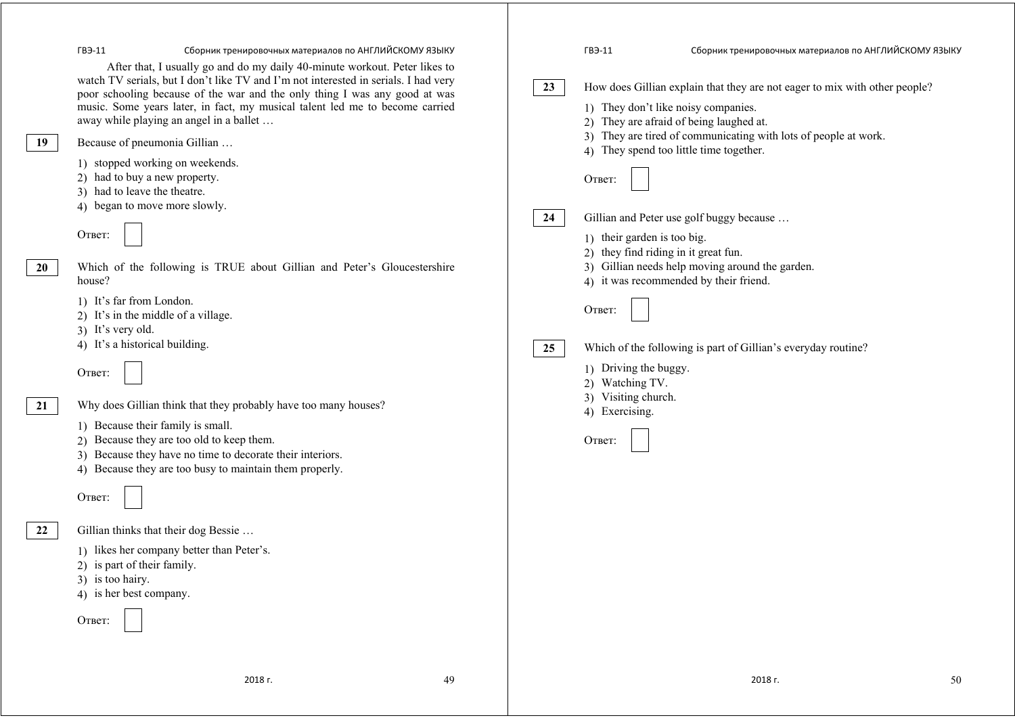|                 | Сборник тренировочных материалов по АНГЛИЙСКОМУ ЯЗЫКУ<br>ГВЭ-11                                                                                                                                                                                                                                                                                                                                                                                                                                                                                                                                                                                                                                                                                                                        |                | Сборник тренировочных материалов по АНГЛИЙСКОМУ ЯЗЫКУ<br>ГВЭ-11                                                                                                                                                                                                                                                                                                                                                                                                                                                                                                                                                                |  |
|-----------------|----------------------------------------------------------------------------------------------------------------------------------------------------------------------------------------------------------------------------------------------------------------------------------------------------------------------------------------------------------------------------------------------------------------------------------------------------------------------------------------------------------------------------------------------------------------------------------------------------------------------------------------------------------------------------------------------------------------------------------------------------------------------------------------|----------------|--------------------------------------------------------------------------------------------------------------------------------------------------------------------------------------------------------------------------------------------------------------------------------------------------------------------------------------------------------------------------------------------------------------------------------------------------------------------------------------------------------------------------------------------------------------------------------------------------------------------------------|--|
| 19<br><b>20</b> | After that, I usually go and do my daily 40-minute workout. Peter likes to<br>watch TV serials, but I don't like TV and I'm not interested in serials. I had very<br>poor schooling because of the war and the only thing I was any good at was<br>music. Some years later, in fact, my musical talent led me to become carried<br>away while playing an angel in a ballet<br>Because of pneumonia Gillian<br>1) stopped working on weekends.<br>2) had to buy a new property.<br>had to leave the theatre.<br>3)<br>4) began to move more slowly.<br>Ответ:<br>Which of the following is TRUE about Gillian and Peter's Gloucestershire<br>house?<br>1) It's far from London.<br>2) It's in the middle of a village.<br>3) It's very old.<br>4) It's a historical building.<br>Ответ: | 23<br>24<br>25 | How does Gillian explain that they are not eager to mix with other people?<br>1) They don't like noisy companies.<br>2) They are afraid of being laughed at.<br>3) They are tired of communicating with lots of people at work.<br>4) They spend too little time together.<br>Ответ:<br>Gillian and Peter use golf buggy because<br>1) their garden is too big.<br>2) they find riding in it great fun.<br>3) Gillian needs help moving around the garden.<br>4) it was recommended by their friend.<br>Ответ:<br>Which of the following is part of Gillian's everyday routine?<br>1) Driving the buggy.<br>Watching TV.<br>2) |  |
| 21              | Why does Gillian think that they probably have too many houses?                                                                                                                                                                                                                                                                                                                                                                                                                                                                                                                                                                                                                                                                                                                        |                | 3) Visiting church.                                                                                                                                                                                                                                                                                                                                                                                                                                                                                                                                                                                                            |  |
|                 | 1) Because their family is small.                                                                                                                                                                                                                                                                                                                                                                                                                                                                                                                                                                                                                                                                                                                                                      |                | 4) Exercising.                                                                                                                                                                                                                                                                                                                                                                                                                                                                                                                                                                                                                 |  |
|                 | 2) Because they are too old to keep them.                                                                                                                                                                                                                                                                                                                                                                                                                                                                                                                                                                                                                                                                                                                                              |                | Ответ:                                                                                                                                                                                                                                                                                                                                                                                                                                                                                                                                                                                                                         |  |
|                 | 3) Because they have no time to decorate their interiors.<br>4) Because they are too busy to maintain them properly.                                                                                                                                                                                                                                                                                                                                                                                                                                                                                                                                                                                                                                                                   |                |                                                                                                                                                                                                                                                                                                                                                                                                                                                                                                                                                                                                                                |  |
|                 | Ответ:                                                                                                                                                                                                                                                                                                                                                                                                                                                                                                                                                                                                                                                                                                                                                                                 |                |                                                                                                                                                                                                                                                                                                                                                                                                                                                                                                                                                                                                                                |  |
| 22              | Gillian thinks that their dog Bessie                                                                                                                                                                                                                                                                                                                                                                                                                                                                                                                                                                                                                                                                                                                                                   |                |                                                                                                                                                                                                                                                                                                                                                                                                                                                                                                                                                                                                                                |  |
|                 | 1) likes her company better than Peter's.<br>2) is part of their family.<br>3) is too hairy.<br>4) is her best company.<br>Ответ:                                                                                                                                                                                                                                                                                                                                                                                                                                                                                                                                                                                                                                                      |                |                                                                                                                                                                                                                                                                                                                                                                                                                                                                                                                                                                                                                                |  |
|                 |                                                                                                                                                                                                                                                                                                                                                                                                                                                                                                                                                                                                                                                                                                                                                                                        |                |                                                                                                                                                                                                                                                                                                                                                                                                                                                                                                                                                                                                                                |  |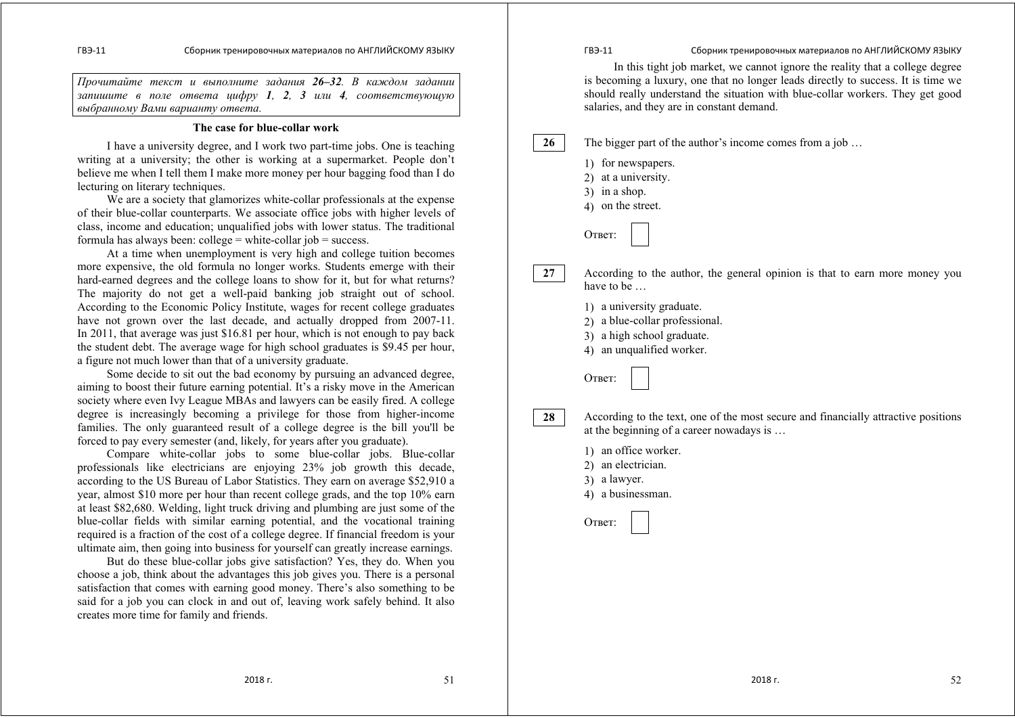*Прочитайте текст <sup>и</sup> выполните задания 26–32. В каждом задании запишите <sup>в</sup> поле ответа цифру 1, 2, 3 или 4, соответствующую выбранному Вами варианту ответа.* 

### **The case for blue-collar work**

I have a university degree, and I work two part-time jobs. One is teaching writing at a university; the other is working at a supermarket. People don't believe me when I tell them I make more money per hour bagging food than I do lecturing on literary techniques.

We are a society that glamorizes white-collar professionals at the expense of their blue-collar counterparts. We associate office jobs with higher levels of class, income and education; unqualified jobs with lower status. The traditional formula has always been: college = white-collar  $job = success$ .

At a time when unemployment is very high and college tuition becomes more expensive, the old formula no longer works. Students emerge with their hard-earned degrees and the college loans to show for it, but for what returns? The majority do not get a well-paid banking job straight out of school. According to the Economic Policy Institute, wages for recent college graduates have not grown over the last decade, and actually dropped from 2007-11. In 2011, that average was just \$16.81 per hour, which is not enough to pay back the student debt. The average wage for high school graduates is \$9.45 per hour, a figure not much lower than that of a university graduate.

Some decide to sit out the bad economy by pursuing an advanced degree, aiming to boost their future earning potential. It's a risky move in the American society where even Ivy League MBAs and lawyers can be easily fired. A college degree is increasingly becoming a privilege for those from higher-income families. The only guaranteed result of a college degree is the bill you'll be forced to pay every semester (and, likely, for years after you graduate).

Compare white-collar jobs to some blue-collar jobs. Blue-collar professionals like electricians are enjoying 23% job growth this decade, according to the US Bureau of Labor Statistics. They earn on average \$52,910 a year, almost \$10 more per hour than recent college grads, and the top 10% earn at least \$82,680. Welding, light truck driving and plumbing are just some of the blue-collar fields with similar earning potential, and the vocational training required is a fraction of the cost of a college degree. If financial freedom is your ultimate aim, then going into business for yourself can greatly increase earnings.

But do these blue-collar jobs give satisfaction? Yes, they do. When you choose a job, think about the advantages this job gives you. There is a personal satisfaction that comes with earning good money. There's also something to be said for a job you can clock in and out of, leaving work safely behind. It also creates more time for family and friends.

#### ГВЭ‐<sup>11</sup> Сборник тренировочных материалов по АНГЛИЙСКОМУ ЯЗЫКУ

In this tight job market, we cannot ignore the reality that a college degree is becoming a luxury, one that no longer leads directly to success. It is time we should really understand the situation with blue-collar workers. They get good salaries, and they are in constant demand.

The bigger part of the author's income comes from a job ... **26** 

| 1) for newspapers.  |
|---------------------|
| 2) at a university. |
| 3) in a shop.       |
| 4) on the street.   |
| Ответ:              |

According to the author, the general opinion is that to earn more money you have to be … **27** 

1) a university graduate.

2) a blue-collar professional.

- 3) a high school graduate.
- 4) an unqualified worker.

Ответ:

**28** 

According to the text, one of the most secure and financially attractive positions at the beginning of a career nowadays is …

1) an office worker.

- 2) an electrician.
- 3) a lawyer.
- 4) a businessman.

Ответ: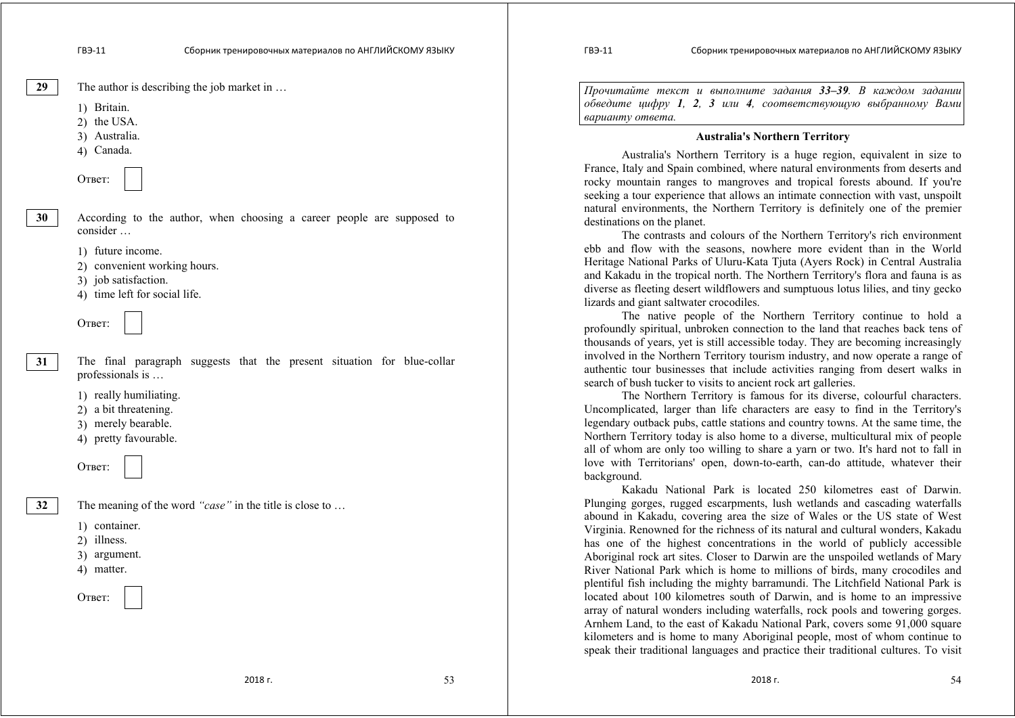| The author is describing the job market in |
|--------------------------------------------|
| 1) Britain.                                |

2) the USA.

- 3) Australia.
- 4) Canada.

Ответ:

According to the author, when choosing a career people are supposed to consider … **30** 

- 1) future income.
- 2) convenient working hours.
- 3) job satisfaction.
- 4) time left for social life.

Ответ:

The final paragraph suggests that the present situation for blue-collar professionals is … **31** 

- 1) really humiliating.
- 2) a bit threatening.
- 3) merely bearable.
- 4) pretty favourable.

Ответ:

**32** 

The meaning of the word *"case"* in the title is close to …

- 1) container.
- 2) illness.
- 3) argument.
- 4) matter.

Ответ:

*Прочитайте текст <sup>и</sup> выполните задания 33–39. В каждом задании обведите цифру 1, 2, 3 или 4, соответствующую выбранному Вами варианту ответа.* 

### **Australia's Northern Territory**

Australia's Northern Territory is a huge region, equivalent in size to France, Italy and Spain combined, where natural environments from deserts and rocky mountain ranges to mangroves and tropical forests abound. If you're seeking a tour experience that allows an intimate connection with vast, unspoilt natural environments, the Northern Territory is definitely one of the premier destinations on the planet.

The contrasts and colours of the Northern Territory's rich environment ebb and flow with the seasons, nowhere more evident than in the World Heritage National Parks of Uluru-Kata Tjuta (Ayers Rock) in Central Australia and Kakadu in the tropical north. The Northern Territory's flora and fauna is as diverse as fleeting desert wildflowers and sumptuous lotus lilies, and tiny gecko lizards and giant saltwater crocodiles.

The native people of the Northern Territory continue to hold a profoundly spiritual, unbroken connection to the land that reaches back tens of thousands of years, yet is still accessible today. They are becoming increasingly involved in the Northern Territory tourism industry, and now operate a range of authentic tour businesses that include activities ranging from desert walks in search of bush tucker to visits to ancient rock art galleries.

The Northern Territory is famous for its diverse, colourful characters. Uncomplicated, larger than life characters are easy to find in the Territory's legendary outback pubs, cattle stations and country towns. At the same time, the Northern Territory today is also home to a diverse, multicultural mix of people all of whom are only too willing to share a yarn or two. It's hard not to fall in love with Territorians' open, down-to-earth, can-do attitude, whatever their background.

Kakadu National Park is located 250 kilometres east of Darwin. Plunging gorges, rugged escarpments, lush wetlands and cascading waterfalls abound in Kakadu, covering area the size of Wales or the US state of West Virginia. Renowned for the richness of its natural and cultural wonders, Kakadu has one of the highest concentrations in the world of publicly accessible Aboriginal rock art sites. Closer to Darwin are the unspoiled wetlands of Mary River National Park which is home to millions of birds, many crocodiles and plentiful fish including the mighty barramundi. The Litchfield National Park is located about 100 kilometres south of Darwin, and is home to an impressive array of natural wonders including waterfalls, rock pools and towering gorges. Arnhem Land, to the east of Kakadu National Park, covers some 91,000 square kilometers and is home to many Aboriginal people, most of whom continue to speak their traditional languages and practice their traditional cultures. To visit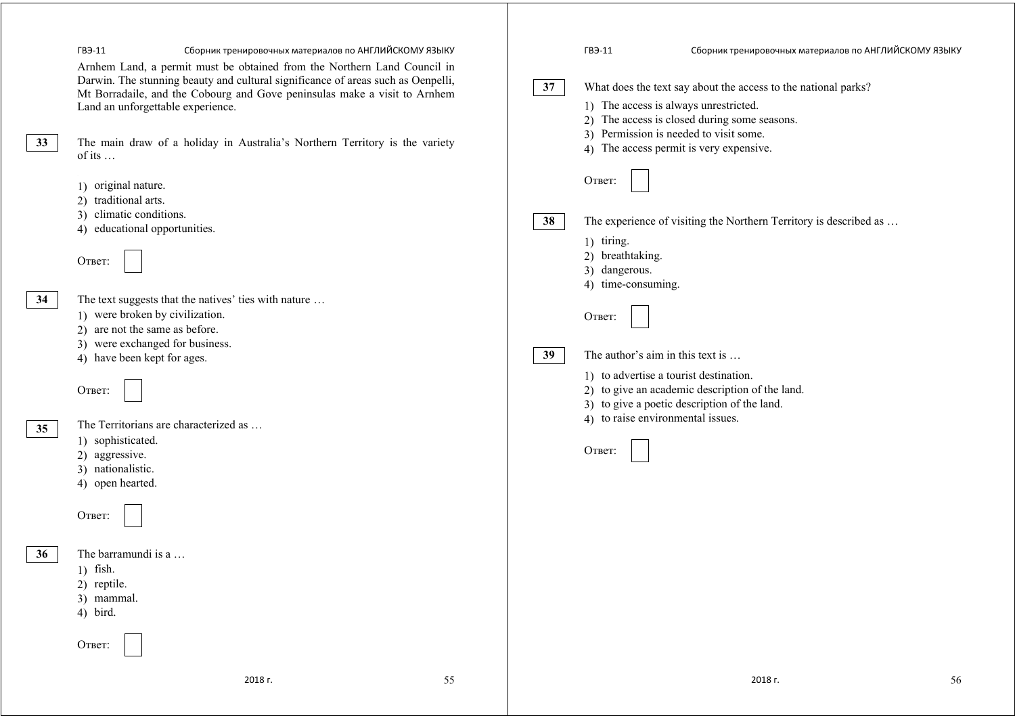|    | Сборник тренировочных материалов по АНГЛИЙСКОМУ ЯЗЫКУ<br><b>FB3-11</b><br>Arnhem Land, a permit must be obtained from the Northern Land Council in<br>Darwin. The stunning beauty and cultural significance of areas such as Oenpelli,<br>Mt Borradaile, and the Cobourg and Gove peninsulas make a visit to Arnhem<br>Land an unforgettable experience. |    | 37 | <b>ГВЭ-11</b><br>1) The access is always unrestricted.                                      | Сборник тренировочных материалов по АНГЛИЙСКОМУ ЯЗЫКУ<br>What does the text say about the access to the national parks?<br>2) The access is closed during some seasons. |    |
|----|----------------------------------------------------------------------------------------------------------------------------------------------------------------------------------------------------------------------------------------------------------------------------------------------------------------------------------------------------------|----|----|---------------------------------------------------------------------------------------------|-------------------------------------------------------------------------------------------------------------------------------------------------------------------------|----|
| 33 | The main draw of a holiday in Australia's Northern Territory is the variety<br>of its $\dots$<br>1) original nature.<br>2) traditional arts.<br>3) climatic conditions.<br>4) educational opportunities.                                                                                                                                                 |    | 38 | 3) Permission is needed to visit some.<br>4) The access permit is very expensive.<br>Ответ: | The experience of visiting the Northern Territory is described as                                                                                                       |    |
| 34 | Ответ:<br>The text suggests that the natives' ties with nature<br>1) were broken by civilization.                                                                                                                                                                                                                                                        |    |    | 1) tiring.<br>2) breathtaking.<br>3) dangerous.<br>4) time-consuming.<br>Ответ:             |                                                                                                                                                                         |    |
|    | 2) are not the same as before.<br>3) were exchanged for business.<br>4) have been kept for ages.<br>Ответ:                                                                                                                                                                                                                                               |    | 39 | The author's aim in this text is<br>1) to advertise a tourist destination.                  | 2) to give an academic description of the land.<br>3) to give a poetic description of the land.                                                                         |    |
| 35 | The Territorians are characterized as<br>1) sophisticated.<br>2) aggressive.<br>3) nationalistic.<br>4) open hearted.<br>Ответ:                                                                                                                                                                                                                          |    |    | 4) to raise environmental issues.<br>Ответ:                                                 |                                                                                                                                                                         |    |
| 36 | The barramundi is a<br>$1)$ fish.<br>2) reptile.<br>3) mammal.<br>$4)$ bird.<br>Ответ:                                                                                                                                                                                                                                                                   |    |    |                                                                                             |                                                                                                                                                                         |    |
|    | 2018 г.                                                                                                                                                                                                                                                                                                                                                  | 55 |    |                                                                                             | 2018 г.                                                                                                                                                                 | 56 |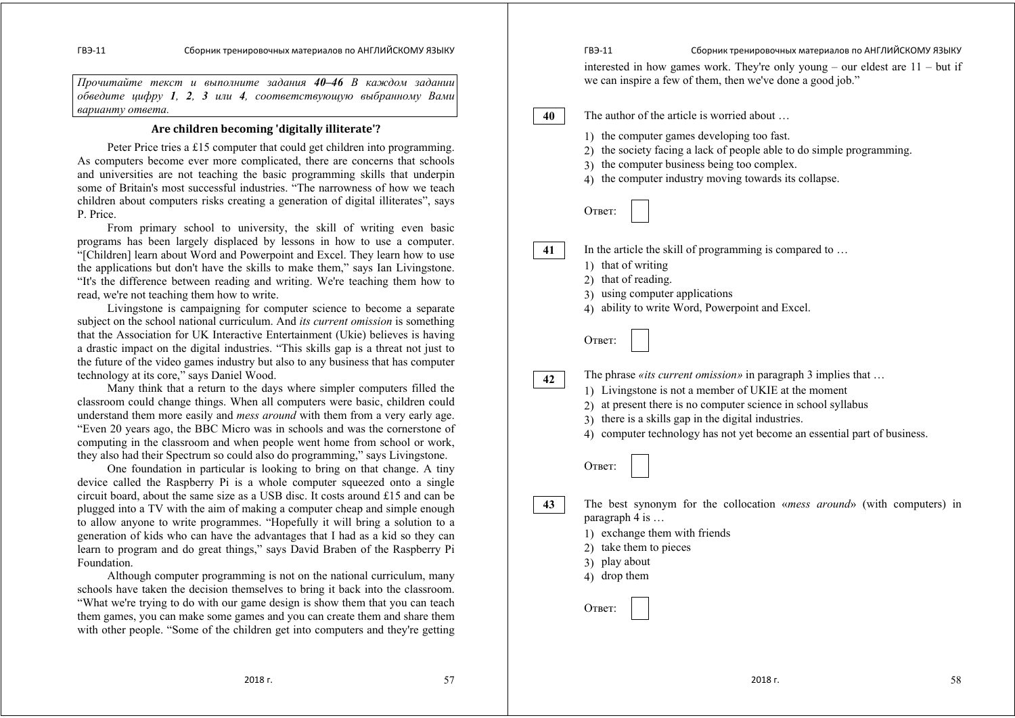*Прочитайте текст <sup>и</sup> выполните задания 40–46 В каждом задании обведите цифру 1, 2, 3 или 4, соответствующую выбранному Вами варианту ответа.* 

### **Are children becoming 'digitally illiterate'?**

Peter Price tries a £15 computer that could get children into programming. As computers become ever more complicated, there are concerns that schools and universities are not teaching the basic programming skills that underpin some of Britain's most successful industries. "The narrowness of how we teach children about computers risks creating a generation of digital illiterates", says P. Price.

From primary school to university, the skill of writing even basic programs has been largely displaced by lessons in how to use a computer. "[Children] learn about Word and Powerpoint and Excel. They learn how to use the applications but don't have the skills to make them," says Ian Livingstone. "It's the difference between reading and writing. We're teaching them how to read, we're not teaching them how to write.

Livingstone is campaigning for computer science to become a separate subject on the school national curriculum. And *its current omission* is something that the Association for UK Interactive Entertainment (Ukie) believes is having a drastic impact on the digital industries. "This skills gap is a threat not just to the future of the video games industry but also to any business that has computer technology at its core," says Daniel Wood.

Many think that a return to the days where simpler computers filled the classroom could change things. When all computers were basic, children could understand them more easily and *mess around* with them from a very early age. "Even 20 years ago, the BBC Micro was in schools and was the cornerstone of computing in the classroom and when people went home from school or work, they also had their Spectrum so could also do programming," says Livingstone.

One foundation in particular is looking to bring on that change. A tiny device called the Raspberry Pi is a whole computer squeezed onto a single circuit board, about the same size as a USB disc. It costs around £15 and can be plugged into a TV with the aim of making a computer cheap and simple enough to allow anyone to write programmes. "Hopefully it will bring a solution to a generation of kids who can have the advantages that I had as a kid so they can learn to program and do great things," says David Braben of the Raspberry Pi Foundation.

Although computer programming is not on the national curriculum, many schools have taken the decision themselves to bring it back into the classroom. "What we're trying to do with our game design is show them that you can teach them games, you can make some games and you can create them and share them with other people. "Some of the children get into computers and they're getting

ГВЭ‐<sup>11</sup> Сборник тренировочных материалов по АНГЛИЙСКОМУ ЯЗЫКУ interested in how games work. They're only young – our eldest are 11 – but if we can inspire a few of them, then we've done a good job." The author of the article is worried about ...<br>1) the computer games developing too fast. 2) the society facing a lack of people able to do simple programming. 3) the computer business being too complex. 4) the computer industry moving towards its collapse. Ответ: In the article the skill of programming is compared to … 1) that of writing 2) that of reading. 3) using computer applications 4) ability to write Word, Powerpoint and Excel. Ответ: The phrase *«its current omission»* in paragraph 3 implies that … 1) Livingstone is not a member of UKIE at the moment 2) at present there is no computer science in school syllabus 3) there is a skills gap in the digital industries. 4) computer technology has not yet become an essential part of business. Ответ: The best synonym for the collocation «*mess around*» (with computers) in paragraph 4 is … 1) exchange them with friends 2) take them to pieces 3) play about 4) drop them Ответ: **40 41 42 43**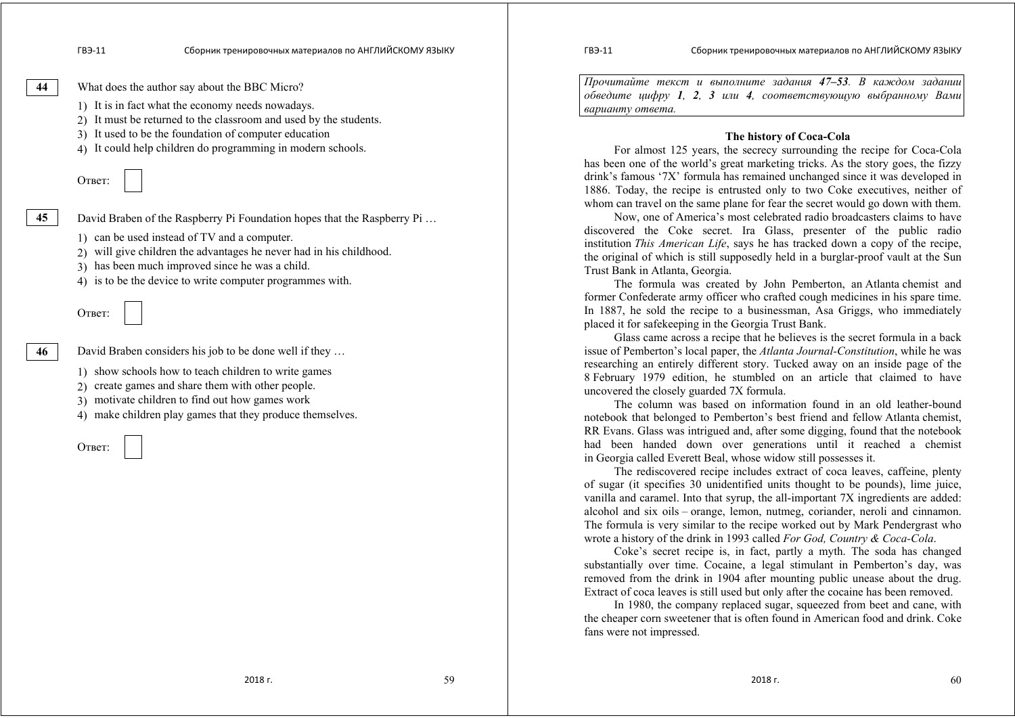**45** 

**46** 

What does the author say about the BBC Micro?

- 1) It is in fact what the economy needs nowadays.
- 2) It must be returned to the classroom and used by the students.
- 3) It used to be the foundation of computer education
- 4) It could help children do programming in modern schools.

Ответ:

David Braben of the Raspberry Pi Foundation hopes that the Raspberry Pi …

1) can be used instead of TV and a computer.

2) will give children the advantages he never had in his childhood.

- 3) has been much improved since he was a child.
- 4) is to be the device to write computer programmes with.

Ответ:

David Braben considers his job to be done well if they …

- 1) show schools how to teach children to write games
- 2) create games and share them with other people.
- 3) motivate children to find out how games work
- 4) make children play games that they produce themselves.

Ответ:

*Прочитайте текст <sup>и</sup> выполните задания 47–53. В каждом задании обведите цифру 1, 2, 3 или 4, соответствующую выбранному Вами варианту ответа.* 

### **The history of Coca-Cola**

For almost 125 years, the secrecy surrounding the recipe for Coca-Cola has been one of the world's great marketing tricks. As the story goes, the fizzy drink's famous '7X' formula has remained unchanged since it was developed in 1886. Today, the recipe is entrusted only to two Coke executives, neither of whom can travel on the same plane for fear the secret would go down with them.

Now, one of America's most celebrated radio broadcasters claims to have discovered the Coke secret. Ira Glass, presenter of the public radio institution *This American Life*, says he has tracked down a copy of the recipe, the original of which is still supposedly held in a burglar-proof vault at the Sun Trust Bank in Atlanta, Georgia.

The formula was created by John Pemberton, an Atlanta chemist and former Confederate army officer who crafted cough medicines in his spare time. In 1887, he sold the recipe to a businessman, Asa Griggs, who immediately placed it for safekeeping in the Georgia Trust Bank.

Glass came across a recipe that he believes is the secret formula in a back issue of Pemberton's local paper, the *Atlanta Journal-Constitution*, while he was researching an entirely different story. Tucked away on an inside page of the 8 February 1979 edition, he stumbled on an article that claimed to have uncovered the closely guarded 7X formula.

The column was based on information found in an old leather-bound notebook that belonged to Pemberton's best friend and fellow Atlanta chemist, RR Evans. Glass was intrigued and, after some digging, found that the notebook had been handed down over generations until it reached a chemist in Georgia called Everett Beal, whose widow still possesses it.

The rediscovered recipe includes extract of coca leaves, caffeine, plenty of sugar (it specifies 30 unidentified units thought to be pounds), lime juice, vanilla and caramel. Into that syrup, the all-important 7X ingredients are added: alcohol and six oils – orange, lemon, nutmeg, coriander, neroli and cinnamon. The formula is very similar to the recipe worked out by Mark Pendergrast who wrote a history of the drink in 1993 called *For God, Country & Coca-Cola*.

Coke's secret recipe is, in fact, partly a myth. The soda has changed substantially over time. Cocaine, a legal stimulant in Pemberton's day, was removed from the drink in 1904 after mounting public unease about the drug. Extract of coca leaves is still used but only after the cocaine has been removed.

In 1980, the company replaced sugar, squeezed from beet and cane, with the cheaper corn sweetener that is often found in American food and drink. Coke fans were not impressed.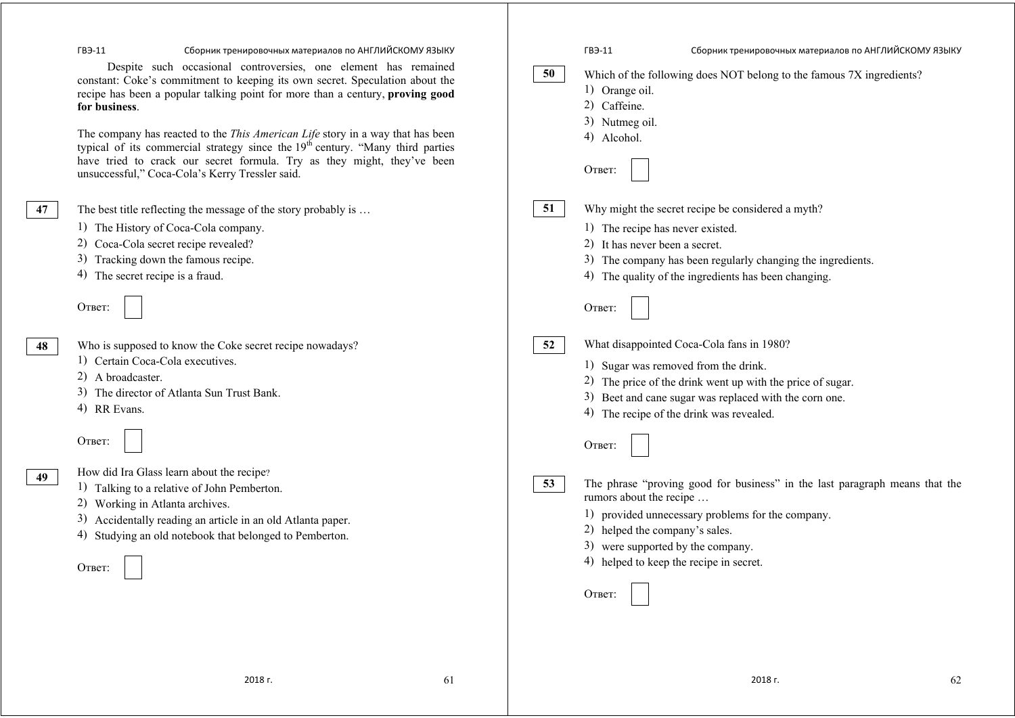|    | ГВЭ-11                               | Сборник тренировочных материалов по АНГЛИЙСКОМУ ЯЗЫКУ                                                                                                                                                                                                                                                                                                                                                                                                                                                                                          |    |    | ГВЭ-11                                                                    | Сборник тренировочных материалов по АНГЛИЙСКОМУ ЯЗЫКУ                                 |    |
|----|--------------------------------------|------------------------------------------------------------------------------------------------------------------------------------------------------------------------------------------------------------------------------------------------------------------------------------------------------------------------------------------------------------------------------------------------------------------------------------------------------------------------------------------------------------------------------------------------|----|----|---------------------------------------------------------------------------|---------------------------------------------------------------------------------------|----|
|    | for business.                        | Despite such occasional controversies, one element has remained<br>constant: Coke's commitment to keeping its own secret. Speculation about the<br>recipe has been a popular talking point for more than a century, proving good<br>The company has reacted to the This American Life story in a way that has been<br>typical of its commercial strategy since the 19 <sup>th</sup> century. "Many third parties<br>have tried to crack our secret formula. Try as they might, they've been<br>unsuccessful," Coca-Cola's Kerry Tressler said. |    | 50 | 1) Orange oil.<br>2) Caffeine.<br>3) Nutmeg oil.<br>4) Alcohol.<br>Ответ: | Which of the following does NOT belong to the famous 7X ingredients?                  |    |
| 47 |                                      | The best title reflecting the message of the story probably is<br>1) The History of Coca-Cola company.                                                                                                                                                                                                                                                                                                                                                                                                                                         |    | 51 |                                                                           | Why might the secret recipe be considered a myth?<br>1) The recipe has never existed. |    |
|    | 2) Coca-Cola secret recipe revealed? |                                                                                                                                                                                                                                                                                                                                                                                                                                                                                                                                                |    |    | 2) It has never been a secret.                                            |                                                                                       |    |
|    | 3) Tracking down the famous recipe.  |                                                                                                                                                                                                                                                                                                                                                                                                                                                                                                                                                |    |    |                                                                           | 3) The company has been regularly changing the ingredients.                           |    |
|    | 4) The secret recipe is a fraud.     |                                                                                                                                                                                                                                                                                                                                                                                                                                                                                                                                                |    |    |                                                                           | 4) The quality of the ingredients has been changing.                                  |    |
|    | Ответ:                               |                                                                                                                                                                                                                                                                                                                                                                                                                                                                                                                                                |    |    | Ответ:                                                                    |                                                                                       |    |
| 48 |                                      | Who is supposed to know the Coke secret recipe nowadays?                                                                                                                                                                                                                                                                                                                                                                                                                                                                                       |    | 52 |                                                                           | What disappointed Coca-Cola fans in 1980?                                             |    |
|    | 1) Certain Coca-Cola executives.     |                                                                                                                                                                                                                                                                                                                                                                                                                                                                                                                                                |    |    |                                                                           | 1) Sugar was removed from the drink.                                                  |    |
|    | 2) A broadcaster.                    |                                                                                                                                                                                                                                                                                                                                                                                                                                                                                                                                                |    |    |                                                                           | 2) The price of the drink went up with the price of sugar.                            |    |
|    |                                      | 3) The director of Atlanta Sun Trust Bank.                                                                                                                                                                                                                                                                                                                                                                                                                                                                                                     |    |    |                                                                           | 3) Beet and cane sugar was replaced with the corn one.                                |    |
|    | 4) RR Evans.                         |                                                                                                                                                                                                                                                                                                                                                                                                                                                                                                                                                |    |    |                                                                           | 4) The recipe of the drink was revealed.                                              |    |
|    | Ответ:                               |                                                                                                                                                                                                                                                                                                                                                                                                                                                                                                                                                |    |    | Ответ:                                                                    |                                                                                       |    |
| 49 |                                      | How did Ira Glass learn about the recipe?                                                                                                                                                                                                                                                                                                                                                                                                                                                                                                      |    | 53 |                                                                           | The phrase "proving good for business" in the last paragraph means that the           |    |
|    |                                      | 1) Talking to a relative of John Pemberton.                                                                                                                                                                                                                                                                                                                                                                                                                                                                                                    |    |    | rumors about the recipe                                                   |                                                                                       |    |
|    | 2) Working in Atlanta archives.      | 3) Accidentally reading an article in an old Atlanta paper.                                                                                                                                                                                                                                                                                                                                                                                                                                                                                    |    |    |                                                                           | 1) provided unnecessary problems for the company.                                     |    |
|    |                                      | 4) Studying an old notebook that belonged to Pemberton.                                                                                                                                                                                                                                                                                                                                                                                                                                                                                        |    |    |                                                                           | 2) helped the company's sales.                                                        |    |
|    |                                      |                                                                                                                                                                                                                                                                                                                                                                                                                                                                                                                                                |    |    |                                                                           | 3) were supported by the company.                                                     |    |
|    | Ответ:                               |                                                                                                                                                                                                                                                                                                                                                                                                                                                                                                                                                |    |    |                                                                           | 4) helped to keep the recipe in secret.                                               |    |
|    |                                      |                                                                                                                                                                                                                                                                                                                                                                                                                                                                                                                                                |    |    | Ответ:                                                                    |                                                                                       |    |
|    |                                      |                                                                                                                                                                                                                                                                                                                                                                                                                                                                                                                                                |    |    |                                                                           |                                                                                       |    |
|    |                                      | 2018 г.                                                                                                                                                                                                                                                                                                                                                                                                                                                                                                                                        | 61 |    |                                                                           | 2018 г.                                                                               | 62 |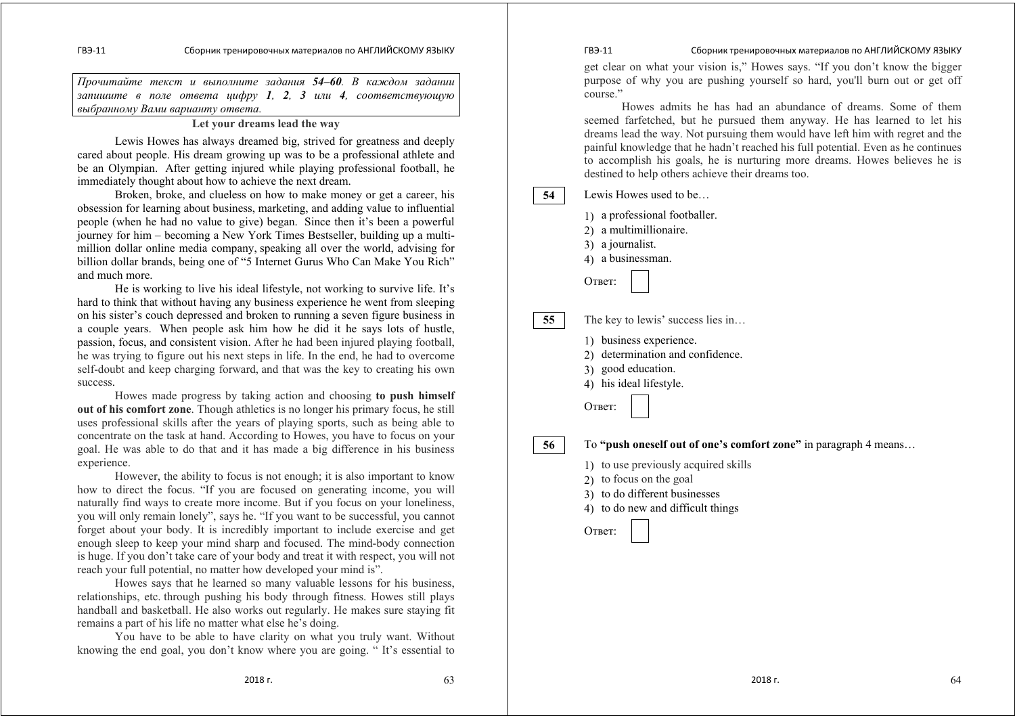*Прочитайте текст <sup>и</sup> выполните задания 54–60. В каждом задании запишите <sup>в</sup> поле ответа цифру 1, 2, 3 или 4, соответствующую выбранному Вами варианту ответа.* 

**Let your dreams lead the way** 

Lewis Howes has always dreamed big, strived for greatness and deeply cared about people. His dream growing up was to be a professional athlete and be an Olympian. After getting injured while playing professional football, he immediately thought about how to achieve the next dream.

Broken, broke, and clueless on how to make money or get a career, his obsession for learning about business, marketing, and adding value to influential people (when he had no value to give) began. Since then it's been a powerful journey for him – becoming a New York Times Bestseller, building up a multimillion dollar online media company, speaking all over the world, advising for billion dollar brands, being one of "5 Internet Gurus Who Can Make You Rich" and much more.

He is working to live his ideal lifestyle, not working to survive life. It's hard to think that without having any business experience he went from sleeping on his sister's couch depressed and broken to running a seven figure business in a couple years. When people ask him how he did it he says lots of hustle, passion, focus, and consistent vision. After he had been injured playing football, he was trying to figure out his next steps in life. In the end, he had to overcome self-doubt and keep charging forward, and that was the key to creating his own success.

Howes made progress by taking action and choosing **to push himself out of his comfort zone**. Though athletics is no longer his primary focus, he still uses professional skills after the years of playing sports, such as being able to concentrate on the task at hand. According to Howes, you have to focus on your goal. He was able to do that and it has made a big difference in his business experience.

However, the ability to focus is not enough; it is also important to know how to direct the focus. "If you are focused on generating income, you will naturally find ways to create more income. But if you focus on your loneliness, you will only remain lonely", says he. "If you want to be successful, you cannot forget about your body. It is incredibly important to include exercise and get enough sleep to keep your mind sharp and focused. The mind-body connection is huge. If you don't take care of your body and treat it with respect, you will not reach your full potential, no matter how developed your mind is".

Howes says that he learned so many valuable lessons for his business, relationships, etc. through pushing his body through fitness. Howes still plays handball and basketball. He also works out regularly. He makes sure staying fit remains a part of his life no matter what else he's doing.

You have to be able to have clarity on what you truly want. Without knowing the end goal, you don't know where you are going. " It's essential to

#### ГВЭ‐<sup>11</sup> Сборник тренировочных материалов по АНГЛИЙСКОМУ ЯЗЫКУ

get clear on what your vision is," Howes says. "If you don't know the bigger purpose of why you are pushing yourself so hard, you'll burn out or get off course."

Howes admits he has had an abundance of dreams. Some of them seemed farfetched, but he pursued them anyway. He has learned to let his dreams lead the way. Not pursuing them would have left him with regret and the painful knowledge that he hadn't reached his full potential. Even as he continues to accomplish his goals, he is nurturing more dreams. Howes believes he is destined to help others achieve their dreams too.

Lewis Howes used to be…

1) a professional footballer.

- 2) a multimillionaire.
- 3) a journalist.
- 4) a businessman.

Ответ:

The key to lewis' success lies in…

- 1) business experience.
- 2) determination and confidence.
- 3) good education.
- 4) his ideal lifestyle.

Ответ:

**56** 

**54** 

**55** 

To **"push oneself out of one's comfort zone"** in paragraph 4 means…

- 1) to use previously acquired skills
- 2) to focus on the goal
- 3) to do different businesses
- 4) to do new and difficult things

Ответ: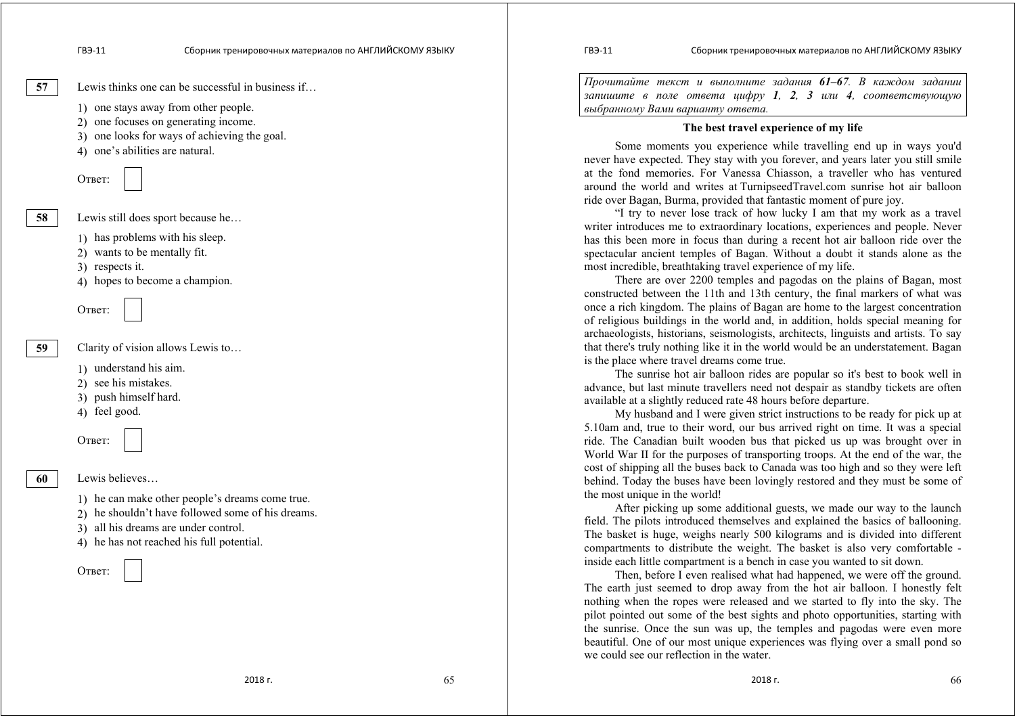Lewis thinks one can be successful in business if… 1) one stays away from other people. 2) one focuses on generating income. 3) one looks for ways of achieving the goal. 4) one's abilities are natural. Ответ:

**58** 

**57** 

Lewis still does sport because he…

1) has problems with his sleep.

2) wants to be mentally fit.

3) respects it.

4) hopes to become a champion.

Ответ:

**59** 

**60** 

Clarity of vision allows Lewis to…

1) understand his aim.

2) see his mistakes.

3) push himself hard.

4) feel good.

Ответ:

Lewis believes…

1) he can make other people's dreams come true.

2) he shouldn't have followed some of his dreams.

3) all his dreams are under control.

4) he has not reached his full potential.

Ответ:

*Прочитайте текст <sup>и</sup> выполните задания 61–67. В каждом задании запишите <sup>в</sup> поле ответа цифру 1, 2, 3 или 4, соответствующую выбранному Вами варианту ответа.* 

### **The best travel experience of my life**

Some moments you experience while travelling end up in ways you'd never have expected. They stay with you forever, and years later you still smile at the fond memories. For Vanessa Chiasson, a traveller who has ventured around the world and writes at TurnipseedTravel.com sunrise hot air balloon ride over Bagan, Burma, provided that fantastic moment of pure joy.

"I try to never lose track of how lucky I am that my work as a travel writer introduces me to extraordinary locations, experiences and people. Never has this been more in focus than during a recent hot air balloon ride over the spectacular ancient temples of Bagan. Without a doubt it stands alone as the most incredible, breathtaking travel experience of my life.

There are over 2200 temples and pagodas on the plains of Bagan, most constructed between the 11th and 13th century, the final markers of what was once a rich kingdom. The plains of Bagan are home to the largest concentration of religious buildings in the world and, in addition, holds special meaning for archaeologists, historians, seismologists, architects, linguists and artists. To say that there's truly nothing like it in the world would be an understatement. Bagan is the place where travel dreams come true.

The sunrise hot air balloon rides are popular so it's best to book well in advance, but last minute travellers need not despair as standby tickets are often available at a slightly reduced rate 48 hours before departure.

My husband and I were given strict instructions to be ready for pick up at 5.10am and, true to their word, our bus arrived right on time. It was a special ride. The Canadian built wooden bus that picked us up was brought over in World War II for the purposes of transporting troops. At the end of the war, the cost of shipping all the buses back to Canada was too high and so they were left behind. Today the buses have been lovingly restored and they must be some of the most unique in the world!

After picking up some additional guests, we made our way to the launch field. The pilots introduced themselves and explained the basics of ballooning. The basket is huge, weighs nearly 500 kilograms and is divided into different compartments to distribute the weight. The basket is also very comfortable inside each little compartment is a bench in case you wanted to sit down.

Then, before I even realised what had happened, we were off the ground. The earth just seemed to drop away from the hot air balloon. I honestly felt nothing when the ropes were released and we started to fly into the sky. The pilot pointed out some of the best sights and photo opportunities, starting with the sunrise. Once the sun was up, the temples and pagodas were even more beautiful. One of our most unique experiences was flying over a small pond so we could see our reflection in the water.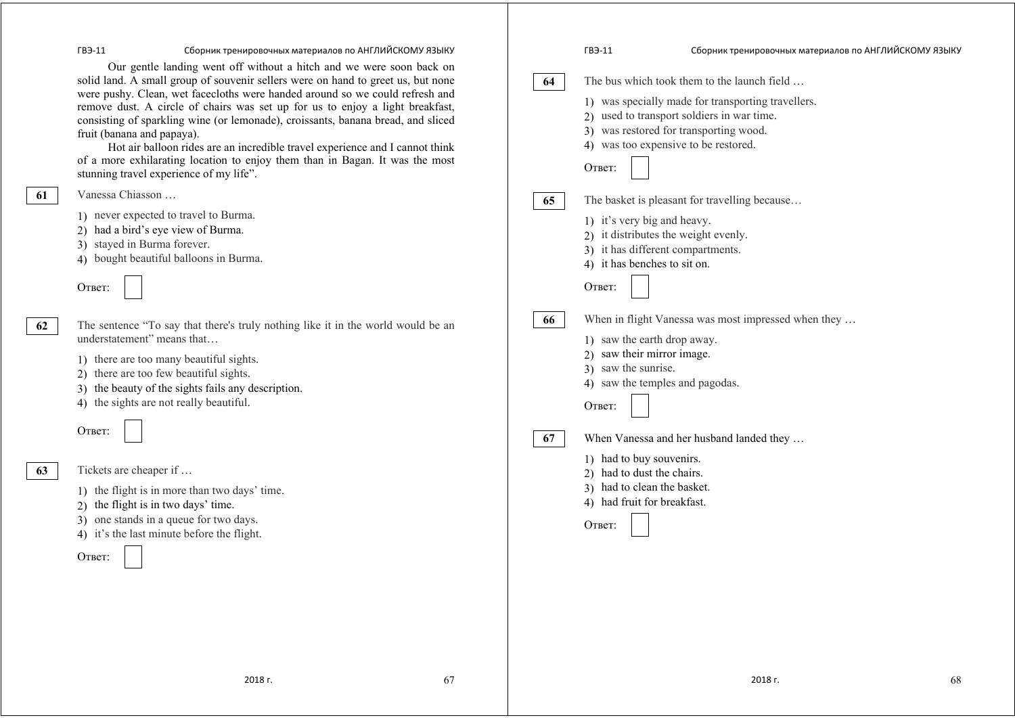| Сборник тренировочных материалов по АНГЛИЙСКОМУ ЯЗЫКУ                            | ГВЭ-11                                                |
|----------------------------------------------------------------------------------|-------------------------------------------------------|
| ГВЭ-11                                                                           | Сборник тренировочных материалов по АНГЛИЙСКОМУ ЯЗЫКУ |
| Our gentle landing went off without a hitch and we were soon back on             | 64                                                    |
| solid land. A small group of souvenir sellers were on hand to greet us, but none | The bus which took them to the launch field           |
| were pushy. Clean, wet facecloths were handed around so we could refresh and     | 1) was specially made for transporting travellers.    |
| remove dust. A circle of chairs was set up for us to enjoy a light breakfast,    | 2) used to transport soldiers in war time.            |
| consisting of sparkling wine (or lemonade), croissants, banana bread, and sliced | 3) was restored for transporting wood.                |
| fruit (banana and papaya).                                                       | 4) was too expensive to be restored.                  |
| Hot air balloon rides are an incredible travel experience and I cannot think     | Ответ:                                                |
| of a more exhilarating location to enjoy them than in Bagan. It was the most     | 65                                                    |
| stunning travel experience of my life".                                          | The basket is pleasant for travelling because         |
| Vanessa Chiasson                                                                 | 1) it's very big and heavy.                           |
| 1) never expected to travel to Burma.                                            | 2) it distributes the weight evenly.                  |
| 2) had a bird's eye view of Burma.                                               | 3) it has different compartments.                     |
| 3) stayed in Burma forever.                                                      | 4) it has benches to sit on.                          |
| 4) bought beautiful balloons in Burma.                                           | Ответ:                                                |
| Ответ:                                                                           | When in flight Vanessa was most impressed when they   |
| The sentence "To say that there's truly nothing like it in the world would be an | 66                                                    |
| understatement" means that                                                       | 1) saw the earth drop away.                           |
| 1) there are too many beautiful sights.                                          | 2) saw their mirror image.                            |
| 2) there are too few beautiful sights.                                           | 3) saw the sunrise.                                   |
| 3) the beauty of the sights fails any description.                               | 4) saw the temples and pagodas.                       |
| 4) the sights are not really beautiful.                                          | Ответ:                                                |
| Ответ:                                                                           | 67                                                    |
| Tickets are cheaper if                                                           | When Vanessa and her husband landed they              |
| 1) the flight is in more than two days' time.                                    | 1) had to buy souvenirs.                              |
| 2) the flight is in two days' time.                                              | 2) had to dust the chairs.                            |
| 3) one stands in a queue for two days.                                           | 3) had to clean the basket.                           |
| 4) it's the last minute before the flight.                                       | 4) had fruit for breakfast.                           |
| Ответ:                                                                           | Ответ:                                                |
|                                                                                  |                                                       |

**62** 

**63**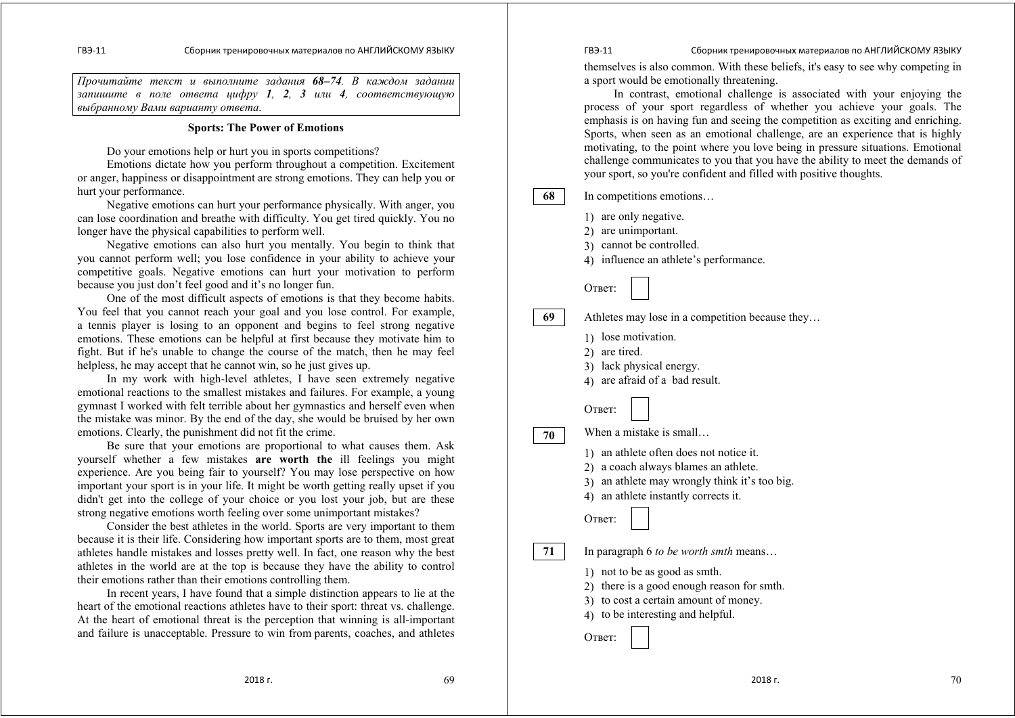*Прочитайте текст <sup>и</sup> выполните задания 68–74. В каждом задании запишите <sup>в</sup> поле ответа цифру 1, 2, 3 или 4, соответствующую выбранному Вами варианту ответа.* 

### **Sports: The Power of Emotions**

Do your emotions help or hurt you in sports competitions?

Emotions dictate how you perform throughout a competition. Excitement or anger, happiness or disappointment are strong emotions. They can help you or hurt your performance.

Negative emotions can hurt your performance physically. With anger, you can lose coordination and breathe with difficulty. You get tired quickly. You no longer have the physical capabilities to perform well.

Negative emotions can also hurt you mentally. You begin to think that you cannot perform well; you lose confidence in your ability to achieve your competitive goals. Negative emotions can hurt your motivation to perform because you just don't feel good and it's no longer fun.

One of the most difficult aspects of emotions is that they become habits. You feel that you cannot reach your goal and you lose control. For example, a tennis player is losing to an opponent and begins to feel strong negative emotions. These emotions can be helpful at first because they motivate him to fight. But if he's unable to change the course of the match, then he may feel helpless, he may accept that he cannot win, so he just gives up.

In my work with high-level athletes, I have seen extremely negative emotional reactions to the smallest mistakes and failures. For example, a young gymnast I worked with felt terrible about her gymnastics and herself even when the mistake was minor. By the end of the day, she would be bruised by her own emotions. Clearly, the punishment did not fit the crime.

Be sure that your emotions are proportional to what causes them. Ask yourself whether a few mistakes **are worth the** ill feelings you might experience. Are you being fair to yourself? You may lose perspective on how important your sport is in your life. It might be worth getting really upset if you didn't get into the college of your choice or you lost your job, but are these strong negative emotions worth feeling over some unimportant mistakes?

Consider the best athletes in the world. Sports are very important to them because it is their life. Considering how important sports are to them, most great athletes handle mistakes and losses pretty well. In fact, one reason why the best athletes in the world are at the top is because they have the ability to control their emotions rather than their emotions controlling them.

In recent years, I have found that a simple distinction appears to lie at the heart of the emotional reactions athletes have to their sport: threat vs. challenge. At the heart of emotional threat is the perception that winning is all-important and failure is unacceptable. Pressure to win from parents, coaches, and athletes

#### ГВЭ‐<sup>11</sup> Сборник тренировочных материалов по АНГЛИЙСКОМУ ЯЗЫКУ

themselves is also common. With these beliefs, it's easy to see why competing in a sport would be emotionally threatening.

In contrast, emotional challenge is associated with your enjoying the process of your sport regardless of whether you achieve your goals. The emphasis is on having fun and seeing the competition as exciting and enriching. Sports, when seen as an emotional challenge, are an experience that is highly motivating, to the point where you love being in pressure situations. Emotional challenge communicates to you that you have the ability to meet the demands of your sport, so you're confident and filled with positive thoughts.

In competitions emotions…

- 1) are only negative.
- 2) are unimportant.
- 3) cannot be controlled.
- 4) influence an athlete's performance.

### Ответ:

**68** 

**69** 

**70** 

Athletes may lose in a competition because they…

- 1) lose motivation.
- 2) are tired.
- 3) lack physical energy.
- 4) are afraid of a bad result.

## Ответ:

When a mistake is small…

- 1) an athlete often does not notice it.
- 2) a coach always blames an athlete.
- 3) an athlete may wrongly think it's too big.
- 4) an athlete instantly corrects it.

### Ответ:

In paragraph 6 *to be worth smth* means… **71** 

- 1) not to be as good as smth.
- 2) there is a good enough reason for smth.
- 3) to cost a certain amount of money.
- 4) to be interesting and helpful.

### Ответ: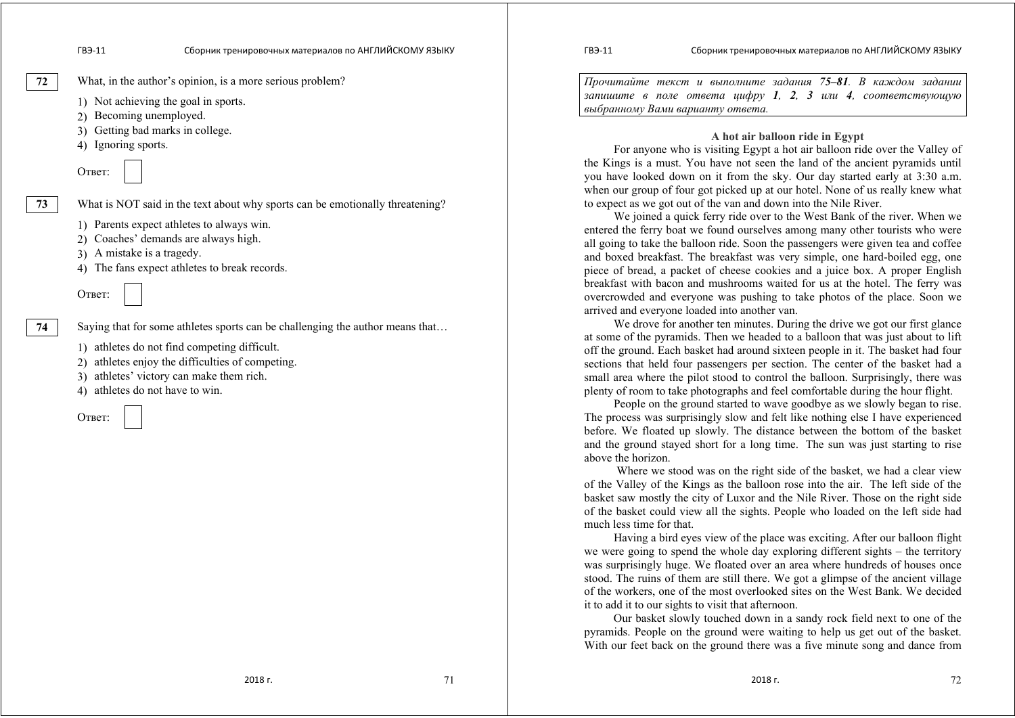What, in the author's opinion, is a more serious problem?

- 1) Not achieving the goal in sports.
- 2) Becoming unemployed.
- 3) Getting bad marks in college.
- 4) Ignoring sports.

Ответ:

**73** 

**74** 

**72** 

What is NOT said in the text about why sports can be emotionally threatening?

- 1) Parents expect athletes to always win.
- 2) Coaches' demands are always high.
- 3) A mistake is a tragedy.
- 4) The fans expect athletes to break records.

Ответ:

Saying that for some athletes sports can be challenging the author means that…

- 1) athletes do not find competing difficult.
- 2) athletes enjoy the difficulties of competing.
- 3) athletes' victory can make them rich.
- 4) athletes do not have to win.

Ответ:

*Прочитайте текст <sup>и</sup> выполните задания 75–81. В каждом задании запишите <sup>в</sup> поле ответа цифру 1, 2, 3 или 4, соответствующую выбранному Вами варианту ответа.* 

### **A hot air balloon ride in Egypt**

For anyone who is visiting Egypt a hot air balloon ride over the Valley of the Kings is a must. You have not seen the land of the ancient pyramids until you have looked down on it from the sky. Our day started early at 3:30 a.m. when our group of four got picked up at our hotel. None of us really knew what to expect as we got out of the van and down into the Nile River.

We joined a quick ferry ride over to the West Bank of the river. When we entered the ferry boat we found ourselves among many other tourists who were all going to take the balloon ride. Soon the passengers were given tea and coffee and boxed breakfast. The breakfast was very simple, one hard-boiled egg, one piece of bread, a packet of cheese cookies and a juice box. A proper English breakfast with bacon and mushrooms waited for us at the hotel. The ferry was overcrowded and everyone was pushing to take photos of the place. Soon we arrived and everyone loaded into another van.

We drove for another ten minutes. During the drive we got our first glance at some of the pyramids. Then we headed to a balloon that was just about to lift off the ground. Each basket had around sixteen people in it. The basket had four sections that held four passengers per section. The center of the basket had a small area where the pilot stood to control the balloon. Surprisingly, there was plenty of room to take photographs and feel comfortable during the hour flight.

People on the ground started to wave goodbye as we slowly began to rise. The process was surprisingly slow and felt like nothing else I have experienced before. We floated up slowly. The distance between the bottom of the basket and the ground stayed short for a long time. The sun was just starting to rise above the horizon.

 Where we stood was on the right side of the basket, we had a clear view of the Valley of the Kings as the balloon rose into the air. The left side of the basket saw mostly the city of Luxor and the Nile River. Those on the right side of the basket could view all the sights. People who loaded on the left side had much less time for that.

Having a bird eyes view of the place was exciting. After our balloon flight we were going to spend the whole day exploring different sights – the territory was surprisingly huge. We floated over an area where hundreds of houses once stood. The ruins of them are still there. We got a glimpse of the ancient village of the workers, one of the most overlooked sites on the West Bank. We decided it to add it to our sights to visit that afternoon.

Our basket slowly touched down in a sandy rock field next to one of the pyramids. People on the ground were waiting to help us get out of the basket. With our feet back on the ground there was a five minute song and dance from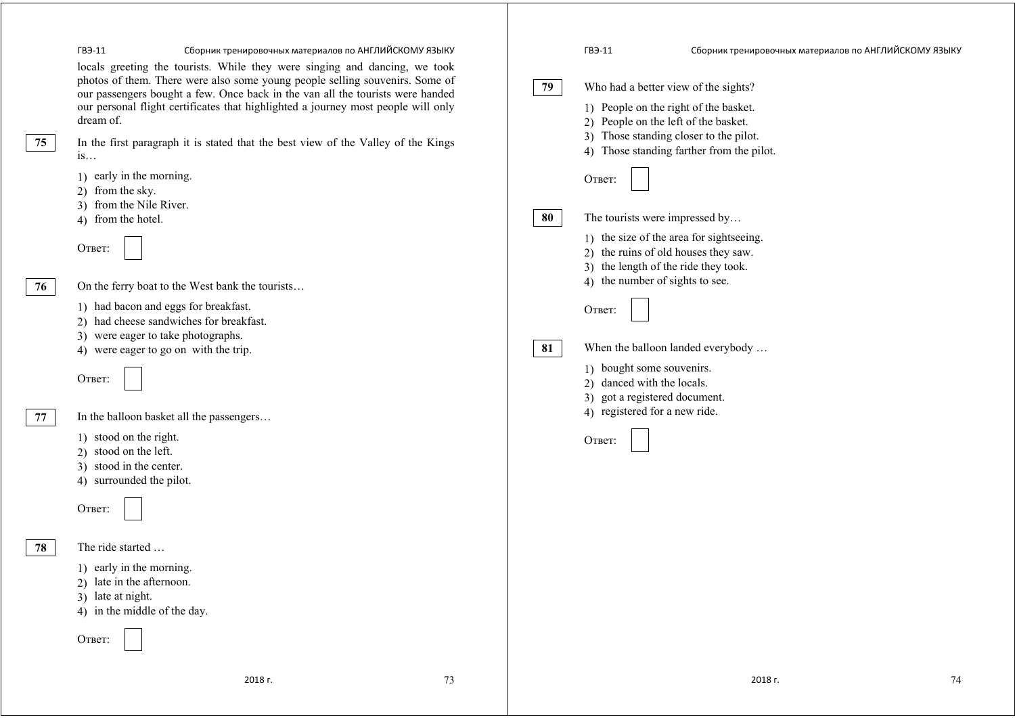|    | ГВЭ-11<br>Сборник тренировочных материалов по АНГЛИЙСКОМУ ЯЗЫКУ<br>locals greeting the tourists. While they were singing and dancing, we took                                                                                                                                                                                                                                                               |    |    | ГВЭ-11                                                                                                                                                                                                                 | Сборник тренировочных материалов по АНГЛИЙСКОМУ ЯЗЫКУ |    |
|----|-------------------------------------------------------------------------------------------------------------------------------------------------------------------------------------------------------------------------------------------------------------------------------------------------------------------------------------------------------------------------------------------------------------|----|----|------------------------------------------------------------------------------------------------------------------------------------------------------------------------------------------------------------------------|-------------------------------------------------------|----|
| 75 | photos of them. There were also some young people selling souvenirs. Some of<br>our passengers bought a few. Once back in the van all the tourists were handed<br>our personal flight certificates that highlighted a journey most people will only<br>dream of.<br>In the first paragraph it is stated that the best view of the Valley of the Kings<br>is<br>1) early in the morning.<br>2) from the sky. |    | 79 | Who had a better view of the sights?<br>1) People on the right of the basket.<br>2) People on the left of the basket.<br>3) Those standing closer to the pilot.<br>4) Those standing farther from the pilot.<br>Ответ: |                                                       |    |
|    | 3) from the Nile River.<br>4) from the hotel.                                                                                                                                                                                                                                                                                                                                                               |    | 80 | The tourists were impressed by                                                                                                                                                                                         |                                                       |    |
|    | Ответ:                                                                                                                                                                                                                                                                                                                                                                                                      |    |    | 1) the size of the area for sightseeing.<br>2) the ruins of old houses they saw.<br>3) the length of the ride they took.                                                                                               |                                                       |    |
| 76 | On the ferry boat to the West bank the tourists                                                                                                                                                                                                                                                                                                                                                             |    |    | 4) the number of sights to see.                                                                                                                                                                                        |                                                       |    |
|    | 1) had bacon and eggs for breakfast.<br>2) had cheese sandwiches for breakfast.                                                                                                                                                                                                                                                                                                                             |    |    | Ответ:                                                                                                                                                                                                                 |                                                       |    |
|    | 3) were eager to take photographs.<br>4) were eager to go on with the trip.                                                                                                                                                                                                                                                                                                                                 |    | 81 | When the balloon landed everybody                                                                                                                                                                                      |                                                       |    |
|    | Ответ:                                                                                                                                                                                                                                                                                                                                                                                                      |    |    | 1) bought some souvenirs.<br>2) danced with the locals.<br>3) got a registered document.<br>4) registered for a new ride.                                                                                              |                                                       |    |
| 77 | In the balloon basket all the passengers                                                                                                                                                                                                                                                                                                                                                                    |    |    |                                                                                                                                                                                                                        |                                                       |    |
|    | 1) stood on the right.<br>2) stood on the left.                                                                                                                                                                                                                                                                                                                                                             |    |    | Ответ:                                                                                                                                                                                                                 |                                                       |    |
|    | 3) stood in the center.<br>4) surrounded the pilot.                                                                                                                                                                                                                                                                                                                                                         |    |    |                                                                                                                                                                                                                        |                                                       |    |
|    | Ответ:                                                                                                                                                                                                                                                                                                                                                                                                      |    |    |                                                                                                                                                                                                                        |                                                       |    |
| 78 | The ride started                                                                                                                                                                                                                                                                                                                                                                                            |    |    |                                                                                                                                                                                                                        |                                                       |    |
|    | 1) early in the morning.                                                                                                                                                                                                                                                                                                                                                                                    |    |    |                                                                                                                                                                                                                        |                                                       |    |
|    | 2) late in the afternoon.<br>3) late at night.                                                                                                                                                                                                                                                                                                                                                              |    |    |                                                                                                                                                                                                                        |                                                       |    |
|    | 4) in the middle of the day.                                                                                                                                                                                                                                                                                                                                                                                |    |    |                                                                                                                                                                                                                        |                                                       |    |
|    | Ответ:                                                                                                                                                                                                                                                                                                                                                                                                      |    |    |                                                                                                                                                                                                                        |                                                       |    |
|    | 2018 г.                                                                                                                                                                                                                                                                                                                                                                                                     | 73 |    |                                                                                                                                                                                                                        | 2018 г.                                               | 74 |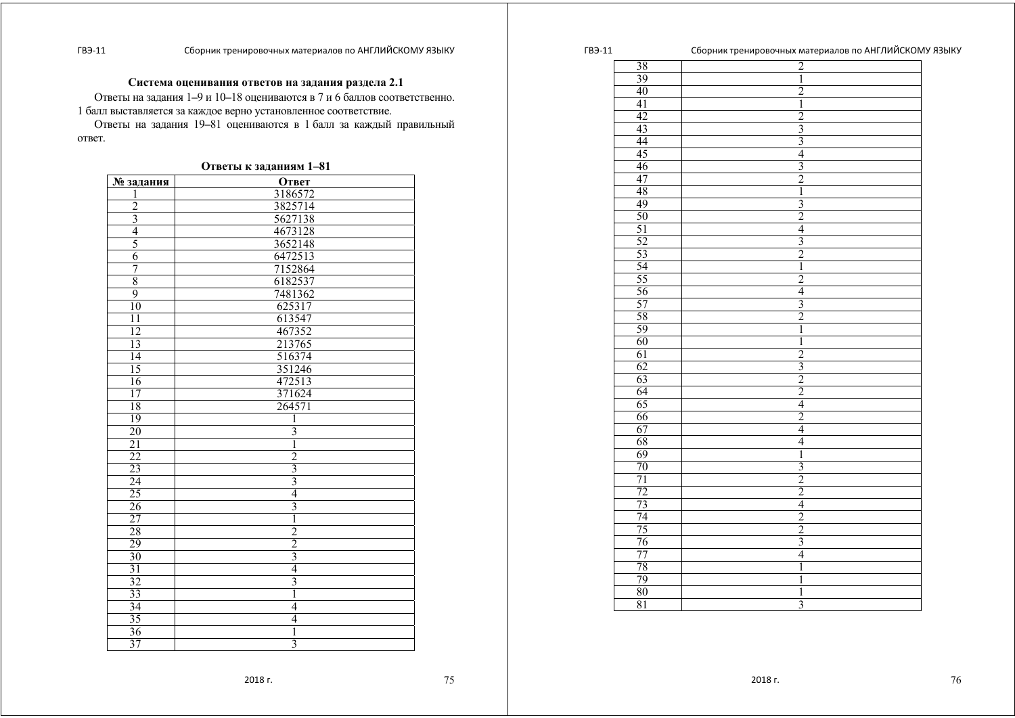### **Система оценивания ответов на задания раздела 2.1**

Ответы на задания 1*–*9 и 10*–*18 оцениваются <sup>в</sup> 7 и 6 баллов соответственно. балл выставляется за каждое верно установленное соответствие.

Ответы на задания 19*–*81 оцениваются <sup>в</sup> 1 балл за каждый правильный ответ.

**Ответы <sup>к</sup> заданиям 1–81** 

| № задания       | Ответ                     |
|-----------------|---------------------------|
| 1               | 3186572                   |
| $\overline{2}$  | 3825714                   |
| $\frac{3}{4}$   | 5627138                   |
|                 | 4673128                   |
| 5               | 3652148                   |
| $\overline{6}$  | 6472513                   |
| 7               | 7152864                   |
| 8               | 6182537                   |
| 9               | 7481362                   |
| $\overline{10}$ | 625317                    |
| 11              | 613547                    |
| 12              | 467352                    |
| 13              | 213765                    |
| $\overline{14}$ | 516374                    |
| $\frac{1}{15}$  | 351246                    |
| 16              | 472513                    |
| $\overline{17}$ | 371624                    |
| $\overline{18}$ | 264571                    |
| 19              | $\mathbf{1}$              |
| 20              | $\overline{3}$            |
| $\overline{21}$ | $\overline{1}$            |
| $\overline{22}$ | $\overline{2}$            |
| $\overline{23}$ | $\overline{\overline{3}}$ |
| 24              | $\overline{\mathbf{3}}$   |
| 25              | $\overline{4}$            |
| 26              | $\overline{\mathbf{3}}$   |
| 27              | $\overline{1}$            |
| 28              | $\overline{2}$            |
| 29              | $\overline{2}$            |
| $\overline{30}$ | $\overline{\mathbf{3}}$   |
| $\overline{31}$ | $\overline{4}$            |
| 32              | $\overline{\mathbf{3}}$   |
| 33              | $\overline{1}$            |
| $\overline{34}$ | $\overline{4}$            |
| 35              | $\overline{4}$            |
| $\overline{36}$ | $\mathbf{1}$              |
| $\overline{37}$ | $\overline{3}$            |

| $\frac{38}{39}$                                                  | $\overline{2}$           |
|------------------------------------------------------------------|--------------------------|
|                                                                  | $\overline{1}$           |
| 40                                                               | $\overline{c}$           |
| $\overline{41}$                                                  | Ī                        |
| 42                                                               |                          |
| 43                                                               | $\frac{2}{3}$            |
| $\overline{44}$                                                  |                          |
| $\frac{45}{46}$                                                  | $\frac{3}{4}$            |
|                                                                  | $\frac{1}{3}$            |
| 47                                                               | $\overline{2}$           |
| 48                                                               | $\overline{1}$           |
| 49                                                               | $\overline{\mathbf{3}}$  |
| 50                                                               | $\overline{2}$           |
|                                                                  | $\overline{4}$           |
|                                                                  |                          |
| $rac{51}{52}$<br>$rac{52}{53}$<br>$rac{54}{55}$<br>$rac{55}{56}$ | $\frac{3}{2}$            |
|                                                                  | $\overline{1}$           |
|                                                                  | $\overline{2}$           |
|                                                                  | $\overline{4}$           |
|                                                                  |                          |
|                                                                  | $rac{3}{2}$              |
| $rac{57}{58}$                                                    | $\overline{1}$           |
| 60                                                               | $\overline{1}$           |
| 61                                                               |                          |
| $\overline{62}$                                                  | $\frac{2}{3}$            |
| 63                                                               |                          |
| 64                                                               | $\frac{2}{2}$            |
| 65                                                               | $\overline{4}$           |
| 66                                                               | $\overline{2}$           |
| 67                                                               | $\overline{4}$           |
| 68                                                               | $\overline{4}$           |
| 69                                                               | $\overline{1}$           |
| 70                                                               |                          |
|                                                                  | $\frac{3}{2}$            |
| $\frac{71}{72}$                                                  |                          |
| $\overline{73}$                                                  | $\overline{\mathcal{A}}$ |
| 74                                                               |                          |
| 75                                                               | $\frac{2}{2}$            |
| 76                                                               | $\overline{3}$           |
| $\overline{77}$                                                  | $\overline{4}$           |
| 78                                                               | $\mathbf{1}$             |
| 79                                                               | $\overline{1}$           |
| 80                                                               | $\mathbf{1}$             |
| 81                                                               | $\overline{3}$           |
|                                                                  |                          |

г. 75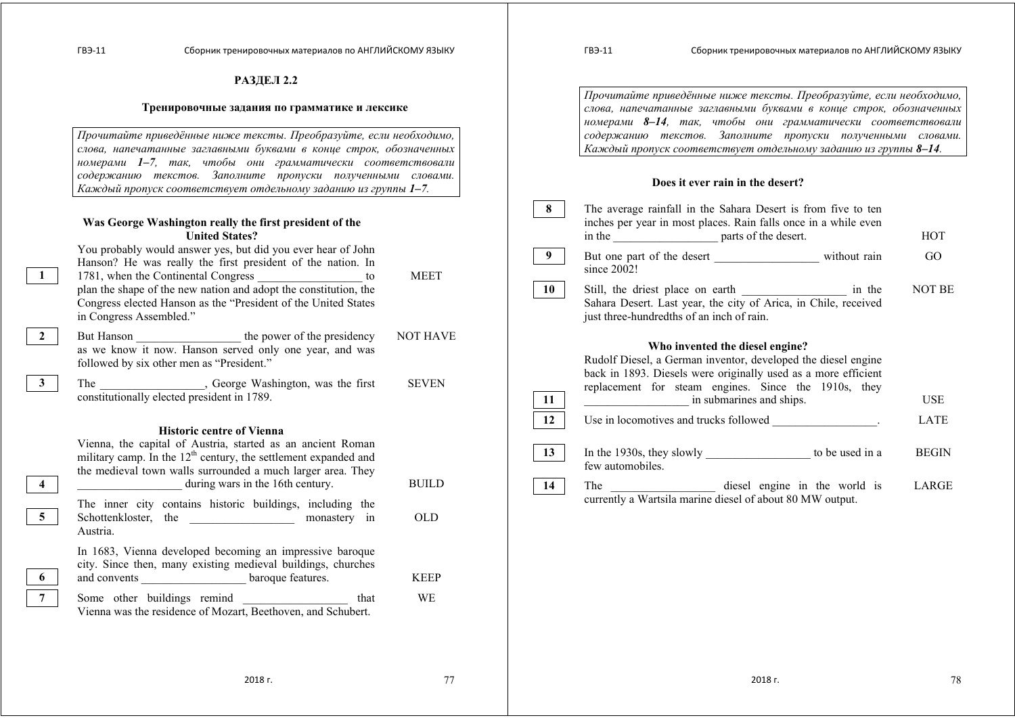**2** 

in Congress Assembled."

**РАЗДЕЛ 2.2** 

*Прочитайте приведённые ниже тексты. Преобразуйте, если необходимо, слова, напечатанные заглавными буквами <sup>в</sup> конце строк, обозначенных номерами 1–7, так, чтобы они грамматически соответствовали содержанию текстов. Заполните пропуски полученными словами. Каждый пропуск соответствует отдельному заданию из группы 1–7.* 

**Was George Washington really the first president of the United States?** You probably would answer yes, but did you ever hear of John Hanson? He was really the first president of the nation. In 1781, when the Continental Congress to plan the shape of the new nation and adopt the constitution, the Congress elected Hanson as the "President of the United States

But Hanson the power of the presidency as we know it now. Hanson served only one year, and was

**Тренировочные задания по грамматике <sup>и</sup> лексике**

*Прочитайте приведённые ниже тексты. Преобразуйте, если необходимо, слова, напечатанные заглавными буквами <sup>в</sup> конце строк, обозначенных номерами 8–14, так, чтобы они грамматически соответствовали содержанию текстов. Заполните пропуски полученными словами. Каждый пропуск соответствует отдельному заданию из группы 8–14.* 

### **Does it ever rain in the desert?**

| 8  | The average rainfall in the Sahara Desert is from five to ten<br>inches per year in most places. Rain falls once in a while even                                                                                                                       | <b>HOT</b>    |
|----|--------------------------------------------------------------------------------------------------------------------------------------------------------------------------------------------------------------------------------------------------------|---------------|
| 9  | since 2002!                                                                                                                                                                                                                                            | GO            |
| 10 | Sahara Desert. Last year, the city of Arica, in Chile, received<br>just three-hundredths of an inch of rain.                                                                                                                                           | <b>NOT BE</b> |
| 11 | Who invented the diesel engine?<br>Rudolf Diesel, a German inventor, developed the diesel engine<br>back in 1893. Diesels were originally used as a more efficient<br>replacement for steam engines. Since the 1910s, they<br>in submarines and ships. | <b>USE</b>    |
| 12 | Use in locomotives and trucks followed in the set of the set of the set of the set of the set of the set of the set of the set of the set of the set of the set of the set of the set of the set of the set of the set of the                          | <b>LATE</b>   |
| 13 | In the 1930s, they slowly _______________________ to be used in a<br>few automobiles.                                                                                                                                                                  | <b>BEGIN</b>  |
| 14 | currently a Wartsila marine diesel of about 80 MW output.                                                                                                                                                                                              | LARGE         |
|    |                                                                                                                                                                                                                                                        |               |

### followed by six other men as "President." The \_\_\_\_\_\_\_\_\_\_\_\_\_\_, George Washington, was the first constitutionally elected president in 1789. **Historic centre of Vienna**  Vienna, the capital of Austria, started as an ancient Roman military camp. In the  $12<sup>th</sup>$  century, the settlement expanded and the medieval town walls surrounded a much larger area. They during wars in the 16th century. BUILD The inner city contains historic buildings, including the Schottenkloster, the monastery in Austria. In 1683, Vienna developed becoming an impressive baroque city. Since then, many existing medieval buildings, churches and convents baroque features. KEEP Some other buildings remind that Vienna was the residence of Mozart, Beethoven, and Schubert. **3 4 5 6 7**

2018 г. 77

MEET

NOT HAVE

**SEVEN** 

OLD

WE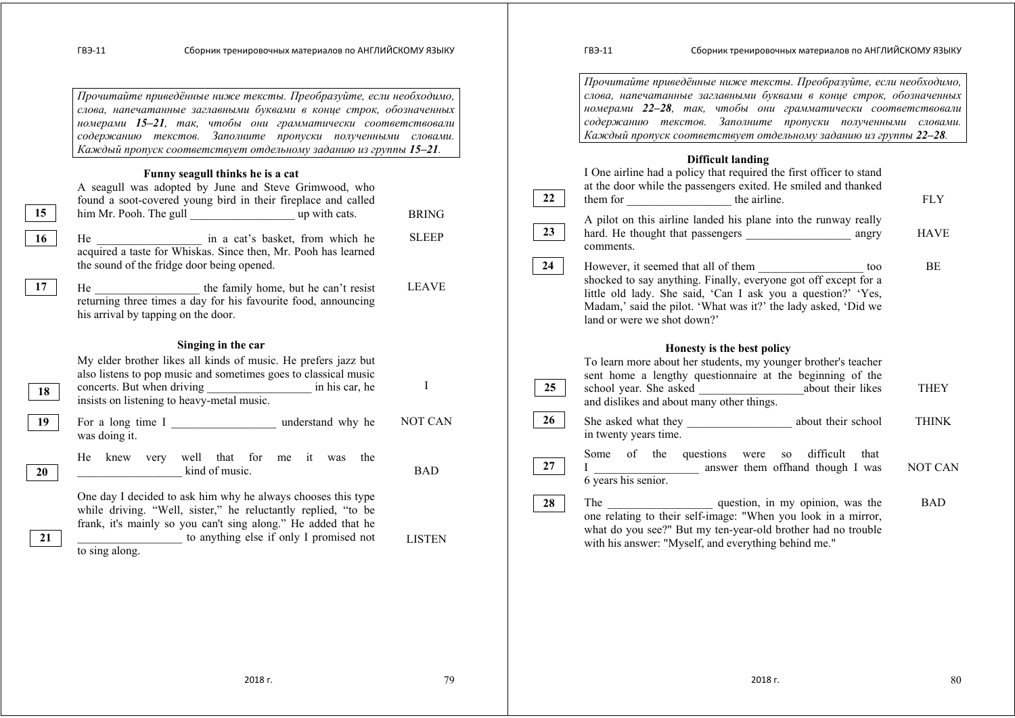*Прочитайте приведённые ниже тексты. Преобразуйте, если необходимо, слова, напечатанные заглавными буквами <sup>в</sup> конце строк, обозначенных номерами 15–21, так, чтобы они грамматически соответствовали содержанию текстов. Заполните пропуски полученными словами. Каждый пропуск соответствует отдельному заданию из группы 15–21.* 

### **Funny seagull thinks he is a cat**

| 15 | A seagull was adopted by June and Steve Grimwood, who<br>found a soot-covered young bird in their fireplace and called                                                                         | <b>BRING</b>   |
|----|------------------------------------------------------------------------------------------------------------------------------------------------------------------------------------------------|----------------|
| 16 | He<br>in a cat's basket, from which he<br>acquired a taste for Whiskas. Since then, Mr. Pooh has learned<br>the sound of the fridge door being opened.                                         | <b>SLEEP</b>   |
| 17 | He<br>the family home, but he can't resist<br>returning three times a day for his favourite food, announcing<br>his arrival by tapping on the door.                                            | <b>LEAVE</b>   |
|    | Singing in the car                                                                                                                                                                             |                |
|    | My elder brother likes all kinds of music. He prefers jazz but                                                                                                                                 |                |
| 18 | also listens to pop music and sometimes goes to classical music<br>concerts. But when driving<br>in his car, he<br>insists on listening to heavy-metal music.                                  | I              |
| 19 | was doing it.                                                                                                                                                                                  | <b>NOT CAN</b> |
| 20 | knew very well that for<br>He<br>me it<br>the<br>was<br>kind of music.                                                                                                                         | <b>BAD</b>     |
|    | One day I decided to ask him why he always chooses this type<br>while driving. "Well, sister," he reluctantly replied, "to be<br>frank, it's mainly so you can't sing along." He added that he |                |
| 21 | to anything else if only I promised not                                                                                                                                                        | LISTEN         |
|    | to sing along.                                                                                                                                                                                 |                |

*Прочитайте приведённые ниже тексты. Преобразуйте, если необходимо, слова, напечатанные заглавными буквами <sup>в</sup> конце строк, обозначенных номерами 22–28, так, чтобы они грамматически соответствовали содержанию текстов. Заполните пропуски полученными словами. Каждый пропуск соответствует отдельному заданию из группы 22–28.*  **Difficult landing** I One airline had a policy that required the first officer to stand at the door while the passengers exited. He smiled and thanked them for the airline. FLY A pilot on this airline landed his plane into the runway really hard. He thought that passengers angry comments. HAVE However, it seemed that all of them \_\_\_\_\_\_\_\_\_\_\_\_\_\_\_\_\_\_ too shocked to say anything. Finally, everyone got off except for a little old lady. She said, 'Can I ask you a question?' 'Yes, Madam,' said the pilot. 'What was it?' the lady asked, 'Did we land or were we shot down?' BE **Honesty is the best policy** To learn more about her students, my younger brother's teacher sent home a lengthy questionnaire at the beginning of the school year. She asked about their likes and dislikes and about many other things. **THEY** She asked what they about their school in twenty years time. THINK Some of the questions were so difficult that

ГВЭ‐<sup>11</sup> Сборник тренировочных материалов по АНГЛИЙСКОМУ ЯЗЫКУ

I answer them offhand though I was

The question, in my opinion, was the one relating to their self-image: "When you look in a mirror, what do you see?" But my ten-year-old brother had no trouble

with his answer: "Myself, and everything behind me."

6 years his senior.

**22** 

**23** 

**24** 

**25** 

**26**

**27** 

**28** 

NOT CAN

BAD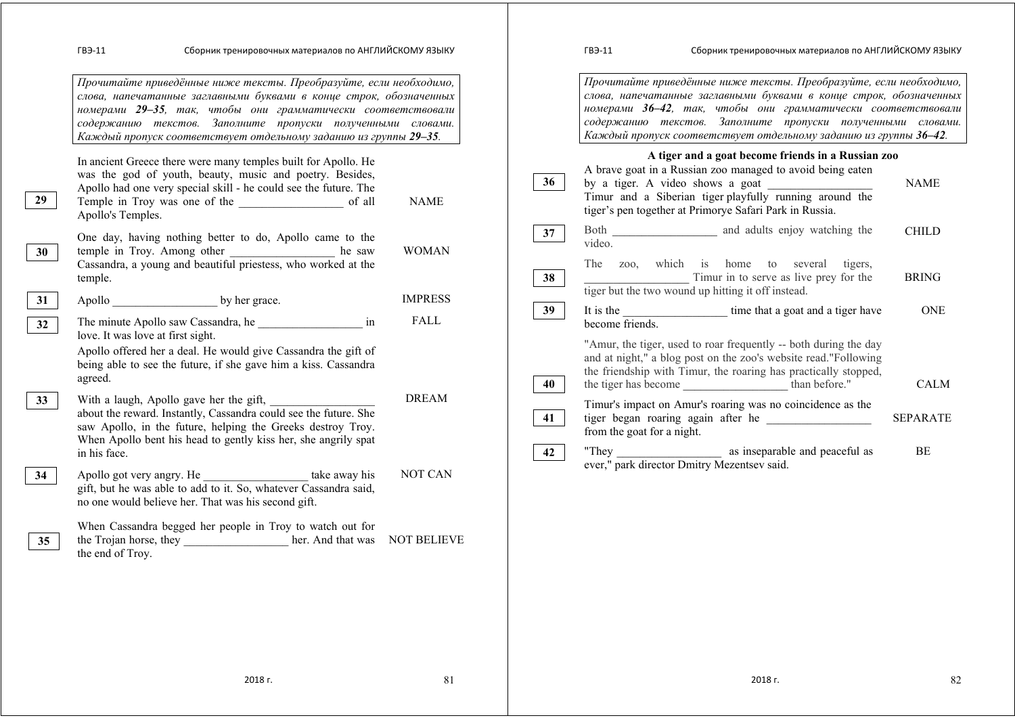|    | Сборник тренировочных материалов по АНГЛИЙСКОМУ ЯЗЫКУ<br>ГВЭ-11                                                                                                                                                                                                                                                                             |                      | ГВЭ-11<br>Сборник тренировочных материалов по АНГЛИЙСКОМУ ЯЗЫКУ                                                                                                                                                                                                                                                                             |                 |
|----|---------------------------------------------------------------------------------------------------------------------------------------------------------------------------------------------------------------------------------------------------------------------------------------------------------------------------------------------|----------------------|---------------------------------------------------------------------------------------------------------------------------------------------------------------------------------------------------------------------------------------------------------------------------------------------------------------------------------------------|-----------------|
|    | Прочитайте приведённые ниже тексты. Преобразуйте, если необходимо,<br>слова, напечатанные заглавными буквами в конце строк, обозначенных<br>номерами 29-35, так, чтобы они грамматически соответствовали<br>содержанию текстов. Заполните пропуски полученными словами.<br>Каждый пропуск соответствует отдельному заданию из группы 29-35. |                      | Прочитайте приведённые ниже тексты. Преобразуйте, если необходимо,<br>слова, напечатанные заглавными буквами в конце строк, обозначенных<br>номерами 36-42, так, чтобы они грамматически соответствовали<br>содержанию текстов. Заполните пропуски полученными словами.<br>Каждый пропуск соответствует отдельному заданию из группы 36-42. |                 |
| 29 | In ancient Greece there were many temples built for Apollo. He<br>was the god of youth, beauty, music and poetry. Besides,<br>Apollo had one very special skill - he could see the future. The<br>Apollo's Temples.                                                                                                                         | 36<br><b>NAME</b>    | A tiger and a goat become friends in a Russian zoo<br>A brave goat in a Russian zoo managed to avoid being eaten<br>Timur and a Siberian tiger playfully running around the<br>tiger's pen together at Primorye Safari Park in Russia.                                                                                                      | <b>NAME</b>     |
| 30 | One day, having nothing better to do, Apollo came to the<br>temple in Troy. Among other _____________ he saw<br>Cassandra, a young and beautiful priestess, who worked at the                                                                                                                                                               | 37<br><b>WOMAN</b>   | video.<br>The zoo, which is home to several tigers,                                                                                                                                                                                                                                                                                         | <b>CHILD</b>    |
| 31 | temple.<br>Apollo by her grace.                                                                                                                                                                                                                                                                                                             | 38<br><b>IMPRESS</b> | Timur in to serve as live prey for the<br>tiger but the two wound up hitting it off instead.                                                                                                                                                                                                                                                | <b>BRING</b>    |
| 32 | love. It was love at first sight.                                                                                                                                                                                                                                                                                                           | 39<br><b>FALL</b>    | become friends.                                                                                                                                                                                                                                                                                                                             | <b>ONE</b>      |
|    | Apollo offered her a deal. He would give Cassandra the gift of<br>being able to see the future, if she gave him a kiss. Cassandra<br>agreed.                                                                                                                                                                                                | 40                   | "Amur, the tiger, used to roar frequently -- both during the day<br>and at night," a blog post on the zoo's website read."Following<br>the friendship with Timur, the roaring has practically stopped,<br>the tiger has become than before."                                                                                                | <b>CALM</b>     |
| 33 | about the reward. Instantly, Cassandra could see the future. She<br>saw Apollo, in the future, helping the Greeks destroy Troy.<br>When Apollo bent his head to gently kiss her, she angrily spat                                                                                                                                           | <b>DREAM</b><br>41   | Timur's impact on Amur's roaring was no coincidence as the<br>from the goat for a night.                                                                                                                                                                                                                                                    | <b>SEPARATE</b> |
| 34 | in his face.<br>Apollo got very angry. He _______________________ take away his<br>gift, but he was able to add to it. So, whatever Cassandra said,<br>no one would believe her. That was his second gift.                                                                                                                                  | 42<br><b>NOT CAN</b> | "They as inseparable and peaceful as<br>ever," park director Dmitry Mezentsev said.                                                                                                                                                                                                                                                         | BE              |
| 35 | When Cassandra begged her people in Troy to watch out for<br>the Trojan horse, they ____________________ her. And that was NOT BELIEVE<br>the end of Troy.                                                                                                                                                                                  |                      |                                                                                                                                                                                                                                                                                                                                             |                 |
|    |                                                                                                                                                                                                                                                                                                                                             |                      |                                                                                                                                                                                                                                                                                                                                             |                 |
|    |                                                                                                                                                                                                                                                                                                                                             |                      |                                                                                                                                                                                                                                                                                                                                             |                 |

2018 г. в 1942 г. на 1942 г. на 1942 г. на 1942 г. на 1942 г. на 1942 г. на 1942 г. на 1942 г. на 1944 г. на 1<br>После 1942 г. на 1942 г. на 1942 г. на 1942 г. на 1942 г. на 1942 г. на 1942 г. на 1942 г. на 1942 г. на 1942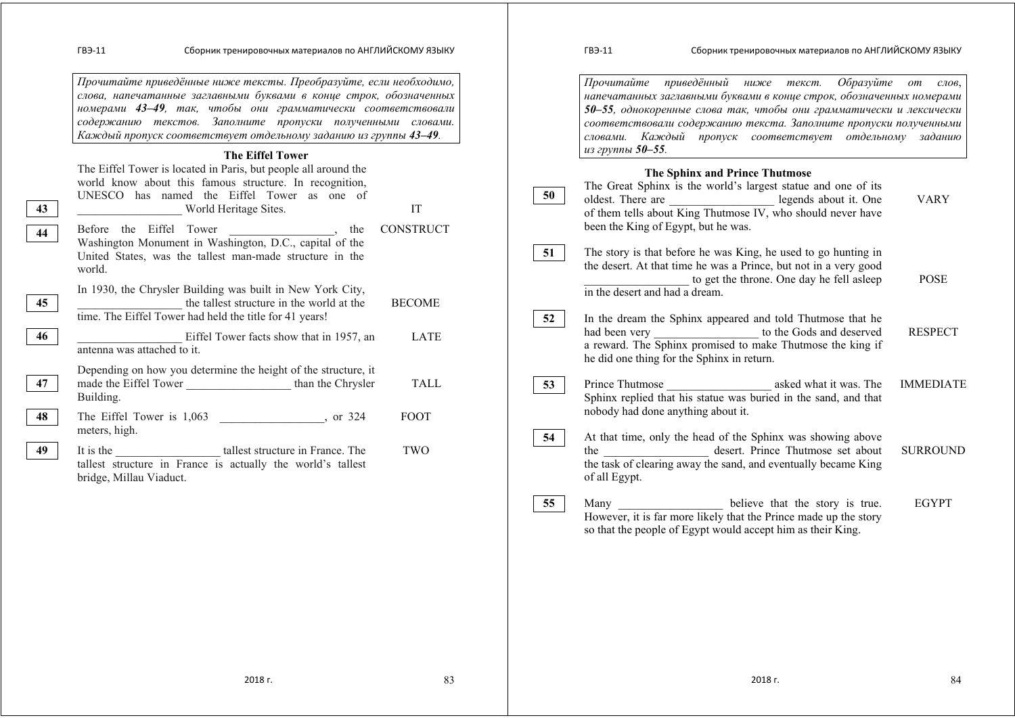|          | Сборник тренировочных материалов по АНГЛИЙСКОМУ ЯЗЫКУ<br>ГВЭ-11                                                                                                                                                                                                                                                                             |                        |    | Сборник тренировочных материалов по АНГЛИЙСКОМУ ЯЗЫКУ<br><b>FB3-11</b>                                                                                                                                                                                                                                                                                    |                  |
|----------|---------------------------------------------------------------------------------------------------------------------------------------------------------------------------------------------------------------------------------------------------------------------------------------------------------------------------------------------|------------------------|----|-----------------------------------------------------------------------------------------------------------------------------------------------------------------------------------------------------------------------------------------------------------------------------------------------------------------------------------------------------------|------------------|
|          | Прочитайте приведённые ниже тексты. Преобразуйте, если необходимо,<br>слова, напечатанные заглавными буквами в конце строк, обозначенных<br>номерами 43-49, так, чтобы они грамматически соответствовали<br>содержанию текстов. Заполните пропуски полученными словами.<br>Каждый пропуск соответствует отдельному заданию из группы 43-49. |                        |    | Прочитайте приведённый ниже текст. Образуйте от слов,<br>напечатанных заглавными буквами в конце строк, обозначенных номерами<br>50-55, однокоренные слова так, чтобы они грамматически и лексически<br>соответствовали содержанию текста. Заполните пропуски полученными<br>словами. Каждый пропуск соответствует отдельному заданию<br>из группы 50-55. |                  |
| 43<br>44 | <b>The Eiffel Tower</b><br>The Eiffel Tower is located in Paris, but people all around the<br>world know about this famous structure. In recognition,<br>UNESCO has named the Eiffel Tower as one of<br>World Heritage Sites.<br>Before the Eiffel Tower ______________, the                                                                | IT<br><b>CONSTRUCT</b> | 50 | The Sphinx and Prince Thutmose<br>The Great Sphinx is the world's largest statue and one of its<br>of them tells about King Thutmose IV, who should never have<br>been the King of Egypt, but he was.                                                                                                                                                     | <b>VARY</b>      |
|          | Washington Monument in Washington, D.C., capital of the<br>United States, was the tallest man-made structure in the<br>world.<br>In 1930, the Chrysler Building was built in New York City,<br>the tallest structure in the world at the                                                                                                    | <b>BECOME</b>          | 51 | The story is that before he was King, he used to go hunting in<br>the desert. At that time he was a Prince, but not in a very good<br>to get the throne. One day he fell asleep<br>in the desert and had a dream.                                                                                                                                         | <b>POSE</b>      |
| 45<br>46 | time. The Eiffel Tower had held the title for 41 years!<br>Eiffel Tower facts show that in 1957, an<br>antenna was attached to it.                                                                                                                                                                                                          | <b>LATE</b>            | 52 | In the dream the Sphinx appeared and told Thutmose that he<br>had been very<br>to the Gods and deserved<br>a reward. The Sphinx promised to make Thutmose the king if<br>he did one thing for the Sphinx in return.                                                                                                                                       | <b>RESPECT</b>   |
| 47<br>48 | Depending on how you determine the height of the structure, it<br>made the Eiffel Tower<br><u>_______________________</u> than the Chrysler<br>Building.<br>The Eiffel Tower is 1,063 _______________, or 324                                                                                                                               | <b>TALL</b><br>FOOT    | 53 | Prince Thutmose<br>asked what it was. The<br>Sphinx replied that his statue was buried in the sand, and that<br>nobody had done anything about it.                                                                                                                                                                                                        | <b>IMMEDIATE</b> |
| 49       | meters, high.<br>tallest structure in France. The<br>It is the<br>tallest structure in France is actually the world's tallest<br>bridge, Millau Viaduct.                                                                                                                                                                                    | <b>TWO</b>             | 54 | At that time, only the head of the Sphinx was showing above<br>the _______________________ desert. Prince Thutmose set about<br>the task of clearing away the sand, and eventually became King<br>of all Egypt.                                                                                                                                           | <b>SURROUND</b>  |
|          |                                                                                                                                                                                                                                                                                                                                             |                        | 55 | Many ____________________ believe that the story is true.<br>However, it is far more likely that the Prince made up the story<br>so that the people of Egypt would accept him as their King.                                                                                                                                                              | <b>EGYPT</b>     |
|          |                                                                                                                                                                                                                                                                                                                                             |                        |    |                                                                                                                                                                                                                                                                                                                                                           |                  |
|          |                                                                                                                                                                                                                                                                                                                                             |                        |    |                                                                                                                                                                                                                                                                                                                                                           |                  |
|          | 2018 г.                                                                                                                                                                                                                                                                                                                                     | 83                     |    | 2018 г.                                                                                                                                                                                                                                                                                                                                                   | 84               |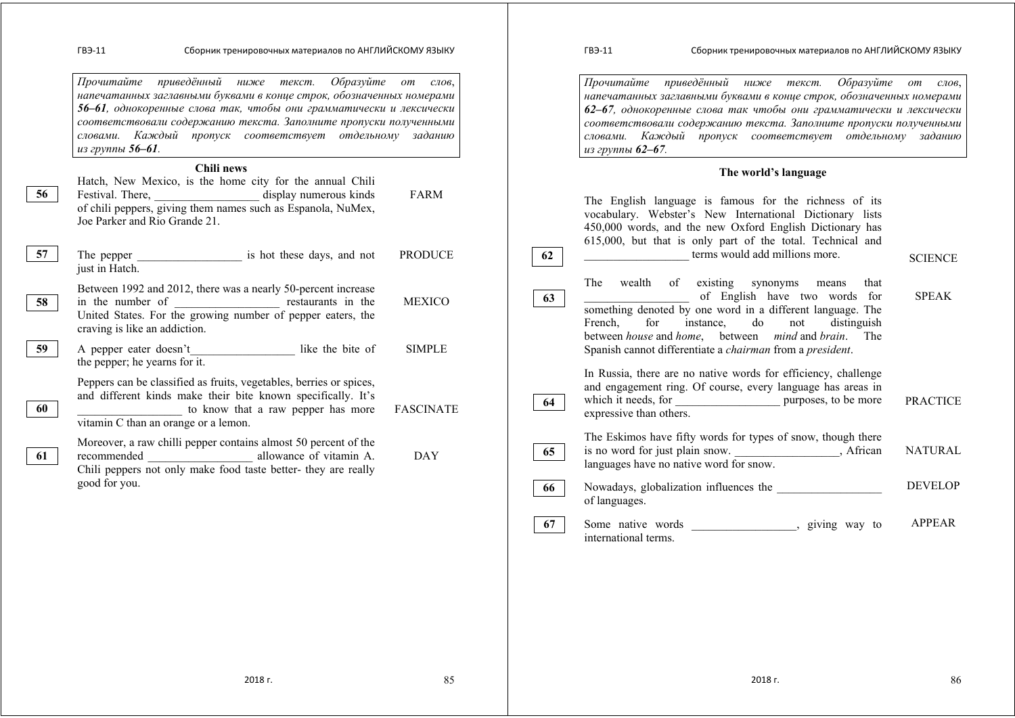|    | ГВЭ-11<br>Сборник тренировочных материалов по АНГЛИЙСКОМУ ЯЗЫКУ                                                                                                                                                                                                                                                                                           |                      | ГВЭ-11<br>Сборник тренировочных материалов по АНГЛИЙСКОМУ ЯЗЫКУ                                                                                                                                                                                                                                                                                          |                 |
|----|-----------------------------------------------------------------------------------------------------------------------------------------------------------------------------------------------------------------------------------------------------------------------------------------------------------------------------------------------------------|----------------------|----------------------------------------------------------------------------------------------------------------------------------------------------------------------------------------------------------------------------------------------------------------------------------------------------------------------------------------------------------|-----------------|
|    | Прочитайте приведённый ниже текст. Образуйте от слов,<br>напечатанных заглавными буквами в конце строк, обозначенных номерами<br>56-61, однокоренные слова так, чтобы они грамматически и лексически<br>соответствовали содержанию текста. Заполните пропуски полученными<br>словами. Каждый пропуск соответствует отдельному заданию<br>из группы 56-61. |                      | Прочитайте приведённый ниже текст. Образуйте от слов,<br>напечатанных заглавными буквами в конце строк, обозначенных номерами<br>62-67, однокоренные слова так чтобы они грамматически и лексически<br>соответствовали содержанию текста. Заполните пропуски полученными<br>словами. Каждый пропуск соответствует отдельному заданию<br>из группы 62-67. |                 |
|    | Chili news                                                                                                                                                                                                                                                                                                                                                |                      | The world's language                                                                                                                                                                                                                                                                                                                                     |                 |
| 56 | Hatch, New Mexico, is the home city for the annual Chili<br>Festival. There, _____________________ display numerous kinds<br>FARM<br>of chili peppers, giving them names such as Espanola, NuMex,<br>Joe Parker and Rio Grande 21.                                                                                                                        |                      | The English language is famous for the richness of its<br>vocabulary. Webster's New International Dictionary lists<br>450,000 words, and the new Oxford English Dictionary has                                                                                                                                                                           |                 |
| 57 | just in Hatch.                                                                                                                                                                                                                                                                                                                                            | <b>PRODUCE</b><br>62 | 615,000, but that is only part of the total. Technical and<br>terms would add millions more.                                                                                                                                                                                                                                                             | <b>SCIENCE</b>  |
| 58 | Between 1992 and 2012, there was a nearly 50-percent increase<br>in the number of restaurants in the United States. For the growing number of pepper eaters, the<br><b>MEXICO</b><br>craving is like an addiction.                                                                                                                                        | 63                   | The wealth of existing synonyms means<br>that<br>of English have two words for<br>something denoted by one word in a different language. The<br>for<br>instance,<br>do<br>distinguish<br>French,<br>not<br>between house and home, between mind and brain. The                                                                                           | <b>SPEAK</b>    |
| 59 | A pepper eater doesn't______________________ like the bite of<br>the pepper; he yearns for it.                                                                                                                                                                                                                                                            | <b>SIMPLE</b>        | Spanish cannot differentiate a <i>chairman</i> from a <i>president</i> .                                                                                                                                                                                                                                                                                 |                 |
| 60 | Peppers can be classified as fruits, vegetables, berries or spices,<br>and different kinds make their bite known specifically. It's<br><b>FASCINATE</b><br>to know that a raw pepper has more<br>vitamin C than an orange or a lemon.                                                                                                                     | 64                   | In Russia, there are no native words for efficiency, challenge<br>and engagement ring. Of course, every language has areas in<br>which it needs, for purposes, to be more<br>expressive than others.                                                                                                                                                     | <b>PRACTICE</b> |
| 61 | Moreover, a raw chilli pepper contains almost 50 percent of the<br>recommended allowance of vitamin A.<br><b>DAY</b><br>Chili peppers not only make food taste better- they are really                                                                                                                                                                    | 65                   | The Eskimos have fifty words for types of snow, though there<br>languages have no native word for snow.                                                                                                                                                                                                                                                  | <b>NATURAL</b>  |
|    | good for you.                                                                                                                                                                                                                                                                                                                                             | -66                  | Nowadays, globalization influences the<br>of languages.                                                                                                                                                                                                                                                                                                  | <b>DEVELOP</b>  |
|    |                                                                                                                                                                                                                                                                                                                                                           | 67                   | Some native words _____________________, giving way to<br>international terms.                                                                                                                                                                                                                                                                           | <b>APPEAR</b>   |
|    |                                                                                                                                                                                                                                                                                                                                                           |                      |                                                                                                                                                                                                                                                                                                                                                          |                 |
|    |                                                                                                                                                                                                                                                                                                                                                           |                      |                                                                                                                                                                                                                                                                                                                                                          |                 |
|    |                                                                                                                                                                                                                                                                                                                                                           |                      |                                                                                                                                                                                                                                                                                                                                                          |                 |
|    |                                                                                                                                                                                                                                                                                                                                                           |                      |                                                                                                                                                                                                                                                                                                                                                          |                 |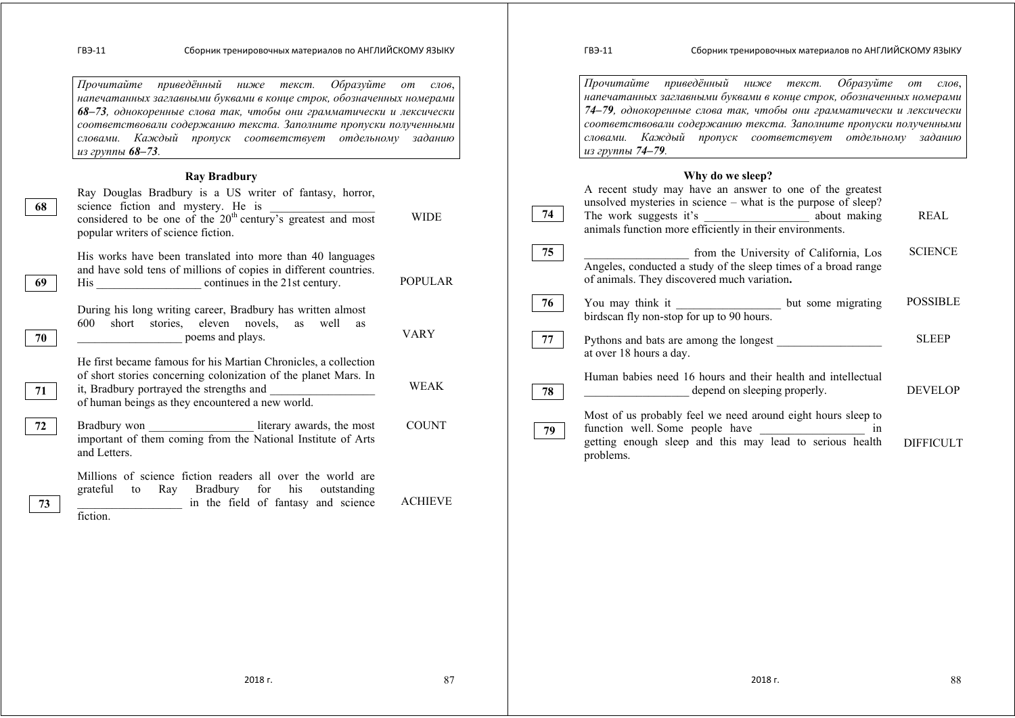**69** 

**70** 

**71** 

**72** 

**73** 

*из группы 68–73.*

*Прочитайте приведённый ниже текст. Образуйте от слов*, *напечатанных заглавными буквами <sup>в</sup> конце строк, обозначенных номерами 68–73, однокоренные слова так, чтобы они грамматически <sup>и</sup> лексически соответствовали содержанию текста. Заполните пропуски полученными словами. Каждый пропуск соответствует отдельному заданию*

#### ГВЭ‐<sup>11</sup> Сборник тренировочных материалов по АНГЛИЙСКОМУ ЯЗЫКУ

*Прочитайте приведённый ниже текст. Образуйте от слов*, *напечатанных заглавными буквами <sup>в</sup> конце строк, обозначенных номерами 74–79, однокоренные слова так, чтобы они грамматически <sup>и</sup> лексически соответствовали содержанию текста. Заполните пропуски полученными словами. Каждый пропуск соответствует отдельному заданию из группы 74–79.*

### **Why do we sleep?**

| <b>Ray Bradbury</b>                                                                                                                                                                                    |                |    | Why do we sleep?                                                                                                                                                                      |                  |
|--------------------------------------------------------------------------------------------------------------------------------------------------------------------------------------------------------|----------------|----|---------------------------------------------------------------------------------------------------------------------------------------------------------------------------------------|------------------|
| Ray Douglas Bradbury is a US writer of fantasy, horror,<br>science fiction and mystery. He is<br>considered to be one of the $20th$ century's greatest and most<br>popular writers of science fiction. | <b>WIDE</b>    | 74 | A recent study may have an answer to one of the greatest<br>unsolved mysteries in science – what is the purpose of sleep?<br>animals function more efficiently in their environments. | <b>REAL</b>      |
| His works have been translated into more than 40 languages<br>and have sold tens of millions of copies in different countries.                                                                         | <b>POPULAR</b> | 75 | from the University of California, Los<br>Angeles, conducted a study of the sleep times of a broad range<br>of animals. They discovered much variation.                               | <b>SCIENCE</b>   |
| During his long writing career, Bradbury has written almost<br>600 short stories, eleven novels, as well as                                                                                            |                | 76 | You may think it _______________________ but some migrating<br>birdscan fly non-stop for up to 90 hours.                                                                              | <b>POSSIBLE</b>  |
| poems and plays.<br>He first became famous for his Martian Chronicles, a collection                                                                                                                    | <b>VARY</b>    | 77 | Pythons and bats are among the longest<br>at over 18 hours a day.                                                                                                                     | <b>SLEEP</b>     |
| of short stories concerning colonization of the planet Mars. In<br>it, Bradbury portrayed the strengths and<br>of human beings as they encountered a new world.                                        | <b>WEAK</b>    | 78 | Human babies need 16 hours and their health and intellectual<br>depend on sleeping properly.                                                                                          | <b>DEVELOP</b>   |
| Bradbury won _______________________ literary awards, the most<br>important of them coming from the National Institute of Arts<br>and Letters.                                                         | <b>COUNT</b>   | 79 | Most of us probably feel we need around eight hours sleep to<br>ın<br>getting enough sleep and this may lead to serious health<br>problems.                                           | <b>DIFFICULT</b> |
| Millions of science fiction readers all over the world are<br>grateful to Ray Bradbury for his outstanding<br>in the field of fantasy and science<br>fiction.                                          | <b>ACHIEVE</b> |    |                                                                                                                                                                                       |                  |
|                                                                                                                                                                                                        |                |    |                                                                                                                                                                                       |                  |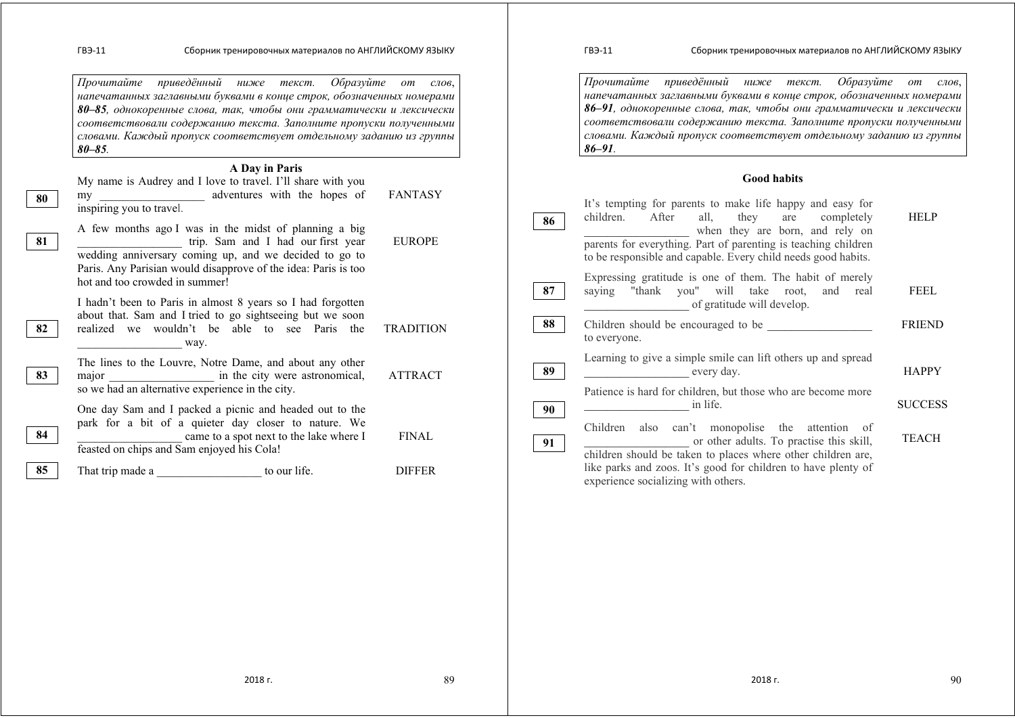*Прочитайте приведённый ниже текст. Образуйте от слов*, *напечатанных заглавными буквами <sup>в</sup> конце строк, обозначенных номерами 80–85, однокоренные слова, так, чтобы они грамматически <sup>и</sup> лексически соответствовали содержанию текста. Заполните пропуски полученными словами. Каждый пропуск соответствует отдельному заданию из группы 80–85.*

### **A Day in Paris**

|                                            | A DAY III I ALIS<br>My name is Audrey and I love to travel. I'll share with you                                                                                                                                         |                  |
|--------------------------------------------|-------------------------------------------------------------------------------------------------------------------------------------------------------------------------------------------------------------------------|------------------|
| my<br>inspiring you to travel.             | adventures with the hopes of                                                                                                                                                                                            | <b>FANTASY</b>   |
| hot and too crowded in summer!             | A few months ago I was in the midst of planning a big<br>trip. Sam and I had our first year<br>wedding anniversary coming up, and we decided to go to<br>Paris. Any Parisian would disapprove of the idea: Paris is too | <b>EUROPE</b>    |
| way.                                       | I hadn't been to Paris in almost 8 years so I had forgotten<br>about that. Sam and I tried to go sightseeing but we soon<br>realized we wouldn't be able to see Paris the                                               | <b>TRADITION</b> |
|                                            | The lines to the Louvre, Notre Dame, and about any other<br>so we had an alternative experience in the city.                                                                                                            | <b>ATTRACT</b>   |
| feasted on chips and Sam enjoyed his Cola! | One day Sam and I packed a picnic and headed out to the<br>park for a bit of a quieter day closer to nature. We<br>came to a spot next to the lake where I                                                              | <b>FINAL</b>     |
|                                            |                                                                                                                                                                                                                         | <b>DIFFER</b>    |

#### ГВЭ‐<sup>11</sup> Сборник тренировочных материалов по АНГЛИЙСКОМУ ЯЗЫКУ

*Прочитайте приведённый ниже текст. Образуйте от слов*, *напечатанных заглавными буквами <sup>в</sup> конце строк, обозначенных номерами 86–91, однокоренные слова, так, чтобы они грамматически <sup>и</sup> лексически соответствовали содержанию текста. Заполните пропуски полученными словами. Каждый пропуск соответствует отдельному заданию из группы 86–91.*

### **Good habits**

| It's tempting for parents to make life happy and easy for<br>After<br>all, they are completely<br>children.<br>when they are born, and rely on<br>parents for everything. Part of parenting is teaching children<br>to be responsible and capable. Every child needs good habits. | <b>HELP</b>    |
|-----------------------------------------------------------------------------------------------------------------------------------------------------------------------------------------------------------------------------------------------------------------------------------|----------------|
| Expressing gratitude is one of them. The habit of merely<br>"thank you" will take root, and real<br>saying<br>of gratitude will develop.                                                                                                                                          | <b>FEEL</b>    |
| Children should be encouraged to be<br>to everyone.                                                                                                                                                                                                                               | <b>FRIEND</b>  |
| Learning to give a simple smile can lift others up and spread<br>every day.                                                                                                                                                                                                       | <b>HAPPY</b>   |
| Patience is hard for children, but those who are become more<br>in life.                                                                                                                                                                                                          | <b>SUCCESS</b> |
| also can't monopolise the attention<br>Children<br>- of<br>or other adults. To practise this skill,<br>children should be taken to places where other children are,<br>like parks and zoos. It's good for children to have plenty of                                              | TEACH          |
| experience socializing with others.                                                                                                                                                                                                                                               |                |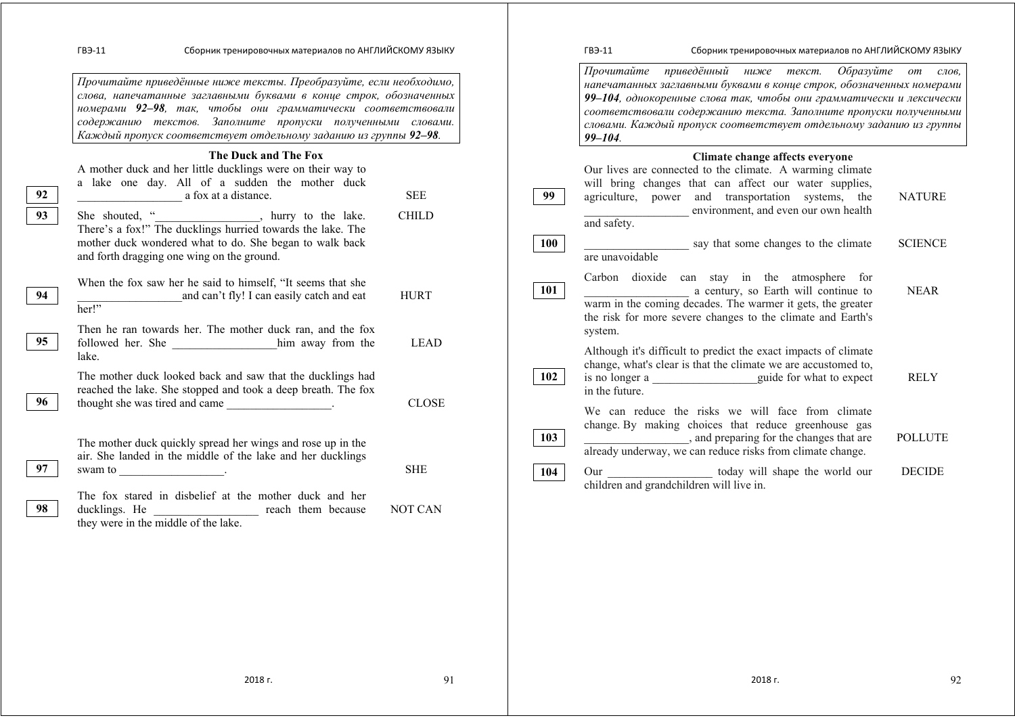|          | Сборник тренировочных материалов по АНГЛИЙСКОМУ ЯЗЫКУ<br>ГВЭ-11                                                                                                                                                                                                                                                                                                                                  |                            |           | Сборник тренировочных материалов по АНГЛИЙСКОМУ ЯЗЫКУ<br>ГВЭ-11                                                                                                                                                                                                                                                                                                  |                                 |
|----------|--------------------------------------------------------------------------------------------------------------------------------------------------------------------------------------------------------------------------------------------------------------------------------------------------------------------------------------------------------------------------------------------------|----------------------------|-----------|------------------------------------------------------------------------------------------------------------------------------------------------------------------------------------------------------------------------------------------------------------------------------------------------------------------------------------------------------------------|---------------------------------|
|          | Прочитайте приведённые ниже тексты. Преобразуйте, если необходимо,<br>слова, напечатанные заглавными буквами в конце строк, обозначенных<br>номерами 92-98, так, чтобы они грамматически соответствовали<br>содержанию текстов. Заполните пропуски полученными словами.<br>Каждый пропуск соответствует отдельному заданию из группы 92-98.                                                      |                            |           | Прочитайте приведённый ниже текст. Образуйте от слов,<br>напечатанных заглавными буквами в конце строк, обозначенных номерами<br>99-104, однокоренные слова так, чтобы они грамматически и лексически<br>соответствовали содержанию текста. Заполните пропуски полученными<br>словами. Каждый пропуск соответствует отдельному заданию из группы<br>$99 - 104$ . |                                 |
| 92<br>93 | The Duck and The Fox<br>A mother duck and her little ducklings were on their way to<br>a lake one day. All of a sudden the mother duck<br>a fox at a distance.<br>She shouted, "<br>The ducklings hurried towards the lake. There's a fox!" The ducklings hurried towards the lake. The<br>mother duck wondered what to do. She began to walk back<br>and forth dragging one wing on the ground. | <b>SEE</b><br><b>CHILD</b> | 99<br>100 | Climate change affects everyone<br>Our lives are connected to the climate. A warming climate<br>will bring changes that can affect our water supplies,<br>agriculture, power and transportation systems, the<br>environment, and even our own health<br>and safety.<br>say that some changes to the climate<br>are unavoidable                                   | <b>NATURE</b><br><b>SCIENCE</b> |
| 94       | When the fox saw her he said to himself, "It seems that she<br>and can't fly! I can easily catch and eat<br>her!                                                                                                                                                                                                                                                                                 | <b>HURT</b>                | 101       | Carbon dioxide can stay in the atmosphere for<br>a century, so Earth will continue to<br>warm in the coming decades. The warmer it gets, the greater<br>the risk for more severe changes to the climate and Earth's                                                                                                                                              | <b>NEAR</b>                     |
| 95       | Then he ran towards her. The mother duck ran, and the fox<br>lake.<br>The mother duck looked back and saw that the ducklings had                                                                                                                                                                                                                                                                 | <b>LEAD</b>                | 102       | system.<br>Although it's difficult to predict the exact impacts of climate<br>change, what's clear is that the climate we are accustomed to,                                                                                                                                                                                                                     | <b>RELY</b>                     |
| 96       | reached the lake. She stopped and took a deep breath. The fox<br>thought she was tired and came<br>The mother duck quickly spread her wings and rose up in the                                                                                                                                                                                                                                   | <b>CLOSE</b>               | 103       | in the future.<br>We can reduce the risks we will face from climate<br>change. By making choices that reduce greenhouse gas<br>and preparing for the changes that are<br>already underway, we can reduce risks from climate change.                                                                                                                              | <b>POLLUTE</b>                  |
| 97       | air. She landed in the middle of the lake and her ducklings<br>swam to $\qquad \qquad$<br>The fox stared in disbelief at the mother duck and her                                                                                                                                                                                                                                                 | <b>SHE</b>                 | 104       | Our ___________________ today will shape the world our<br>children and grandchildren will live in.                                                                                                                                                                                                                                                               | <b>DECIDE</b>                   |
| 98       | they were in the middle of the lake.                                                                                                                                                                                                                                                                                                                                                             | <b>NOT CAN</b>             |           |                                                                                                                                                                                                                                                                                                                                                                  |                                 |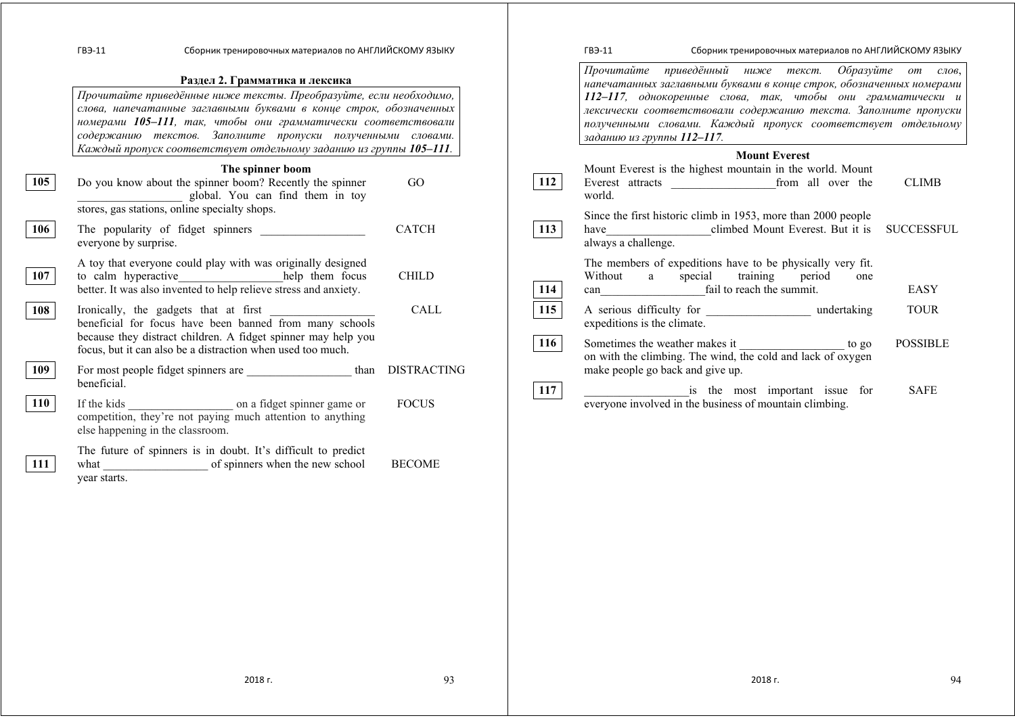|            | Сборник тренировочных материалов по АНГЛИЙСКОМУ ЯЗЫКУ<br>ГВЭ-11                                                                                                                                                                                                                                                                                                                   |               |            | Сборник тренировочных материалов по АНГЛИЙСКОМУ ЯЗЫКУ<br>ГВЭ-11                                                                                                                                                                                                                                                                                                |  |
|------------|-----------------------------------------------------------------------------------------------------------------------------------------------------------------------------------------------------------------------------------------------------------------------------------------------------------------------------------------------------------------------------------|---------------|------------|----------------------------------------------------------------------------------------------------------------------------------------------------------------------------------------------------------------------------------------------------------------------------------------------------------------------------------------------------------------|--|
|            | Раздел 2. Грамматика и лексика<br>Прочитайте приведённые ниже тексты. Преобразуйте, если необходимо,<br>слова, напечатанные заглавными буквами в конце строк, обозначенных<br>номерами 105-111, так, чтобы они грамматически соответствовали<br>содержанию текстов. Заполните пропуски полученными словами.<br>Каждый пропуск соответствует отдельному заданию из группы 105-111. |               |            | Прочитайте приведённый ниже текст. Образуйте от слов,<br>напечатанных заглавными буквами в конце строк, обозначенных номерами<br>112-117, однокоренные слова, так, чтобы они грамматически и<br>лексически соответствовали содержанию текста. Заполните пропуски<br>полученными словами. Каждый пропуск соответствует отдельному<br>заданию из группы 112-117. |  |
| 105        | The spinner boom<br>Do you know about the spinner boom? Recently the spinner<br>global. You can find them in toy<br>stores, gas stations, online specialty shops.                                                                                                                                                                                                                 | GO            | 112        | <b>Mount Everest</b><br>Mount Everest is the highest mountain in the world. Mount<br><b>CLIMB</b><br>world.                                                                                                                                                                                                                                                    |  |
| 106        | The popularity of fidget spinners<br>everyone by surprise.                                                                                                                                                                                                                                                                                                                        | <b>CATCH</b>  | 113        | Since the first historic climb in 1953, more than 2000 people<br>have__________________climbed Mount Everest. But it is SUCCESSFUL<br>always a challenge.                                                                                                                                                                                                      |  |
| 107        | A toy that everyone could play with was originally designed<br>to calm hyperactive help them focus<br>better. It was also invented to help relieve stress and anxiety.                                                                                                                                                                                                            | <b>CHILD</b>  | 114        | The members of expeditions have to be physically very fit.<br>Without<br>a special<br>training<br>period<br>one<br>can experience and the set of the set of the set of the set of the set of the set of the set of the set of the<br>fail to reach the summit.<br>EASY                                                                                         |  |
| 108        | beneficial for focus have been banned from many schools<br>because they distract children. A fidget spinner may help you                                                                                                                                                                                                                                                          | <b>CALL</b>   | 115<br>116 | <b>TOUR</b><br>expeditions is the climate.<br><b>POSSIBLE</b><br>to go                                                                                                                                                                                                                                                                                         |  |
| 109        | focus, but it can also be a distraction when used too much.<br>For most people fidget spinners are _________________________ than DISTRACTING<br>beneficial.                                                                                                                                                                                                                      |               |            | on with the climbing. The wind, the cold and lack of oxygen<br>make people go back and give up.                                                                                                                                                                                                                                                                |  |
| <b>110</b> | competition, they're not paying much attention to anything<br>else happening in the classroom.                                                                                                                                                                                                                                                                                    | <b>FOCUS</b>  | 117        | is the most important issue for<br><b>SAFE</b><br>everyone involved in the business of mountain climbing.                                                                                                                                                                                                                                                      |  |
| 111        | The future of spinners is in doubt. It's difficult to predict<br>year starts.                                                                                                                                                                                                                                                                                                     | <b>BECOME</b> |            |                                                                                                                                                                                                                                                                                                                                                                |  |
|            |                                                                                                                                                                                                                                                                                                                                                                                   |               |            |                                                                                                                                                                                                                                                                                                                                                                |  |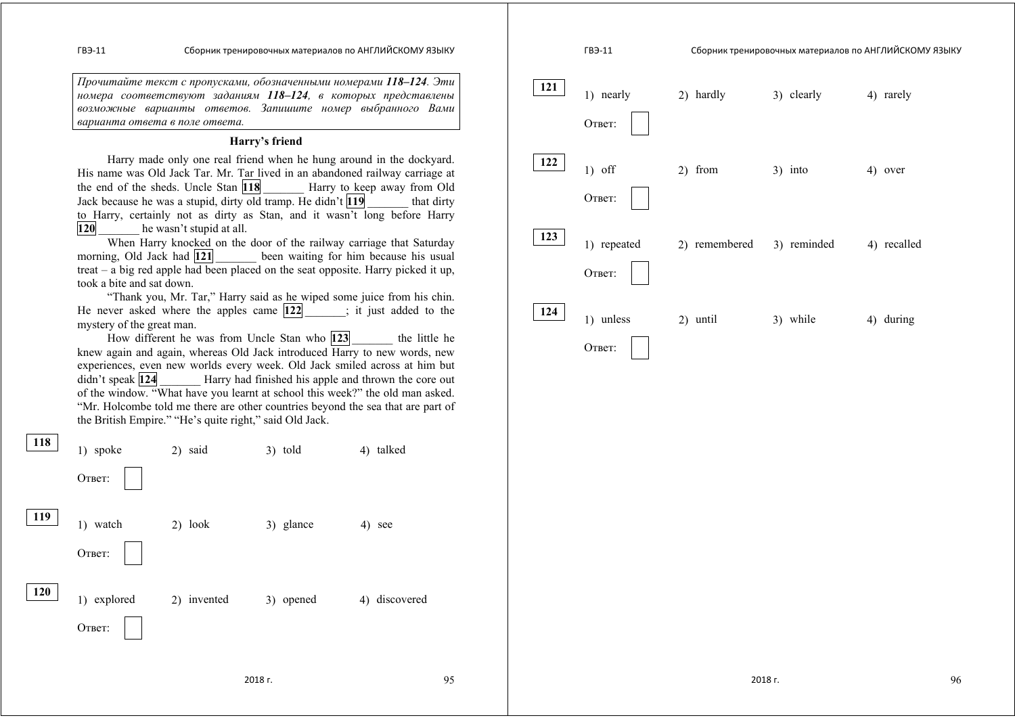*Прочитайте текст <sup>с</sup> пропусками, обозначенными номерами 118–124. Эти номера соответствуют заданиям 118–124, <sup>в</sup> которых представлены возможные варианты ответов. Запишите номер выбранного Вами варианта ответа <sup>в</sup> поле ответа.* 

### **Harry's friend**

Harry made only one real friend when he hung around in the dockyard. His name was Old Jack Tar. Mr. Tar lived in an abandoned railway carriage at the end of the sheds. Uncle Stan  $\boxed{118}$  Harry to keep away from Old the end of the sheds. Uncle Stan 118 Jack because he was a stupid, dirty old tramp. He didn't  $\overline{119}$  that dirty to Harry, certainly not as dirty as Stan, and it wasn't long before Harry **120 he wasn't stupid at all.** 

When Harry knocked on the door of the railway carriage that Saturday<br>morning. Old Jack had  $\boxed{121}$  been waiting for him because his usual been waiting for him because his usual treat – a big red apple had been placed on the seat opposite. Harry picked it up, took a bite and sat down.

"Thank you, Mr. Tar," Harry said as he wiped some juice from his chin. He never asked where the apples came **122** \_\_\_\_\_\_\_; it just added to the mystery of the great man.

How different he was from Uncle Stan who **123** \_\_\_\_\_\_\_ the little he knew again and again, whereas Old Jack introduced Harry to new words, new experiences, even new worlds every week. Old Jack smiled across at him but didn't speak **124 Harry had finished his apple and thrown the core out** of the window. "What have you learnt at school this week?" the old man asked. "Mr. Holcombe told me there are other countries beyond the sea that are part of the British Empire." "He's quite right," said Old Jack.

| 118 | 1) spoke              | 2) said     | 3) told   | 4) talked     |
|-----|-----------------------|-------------|-----------|---------------|
|     | Ответ:                |             |           |               |
| 119 | 1) watch<br>Ответ:    | $2)$ look   | 3) glance | 4) see        |
| 120 | 1) explored<br>Ответ: | 2) invented | 3) opened | 4) discovered |

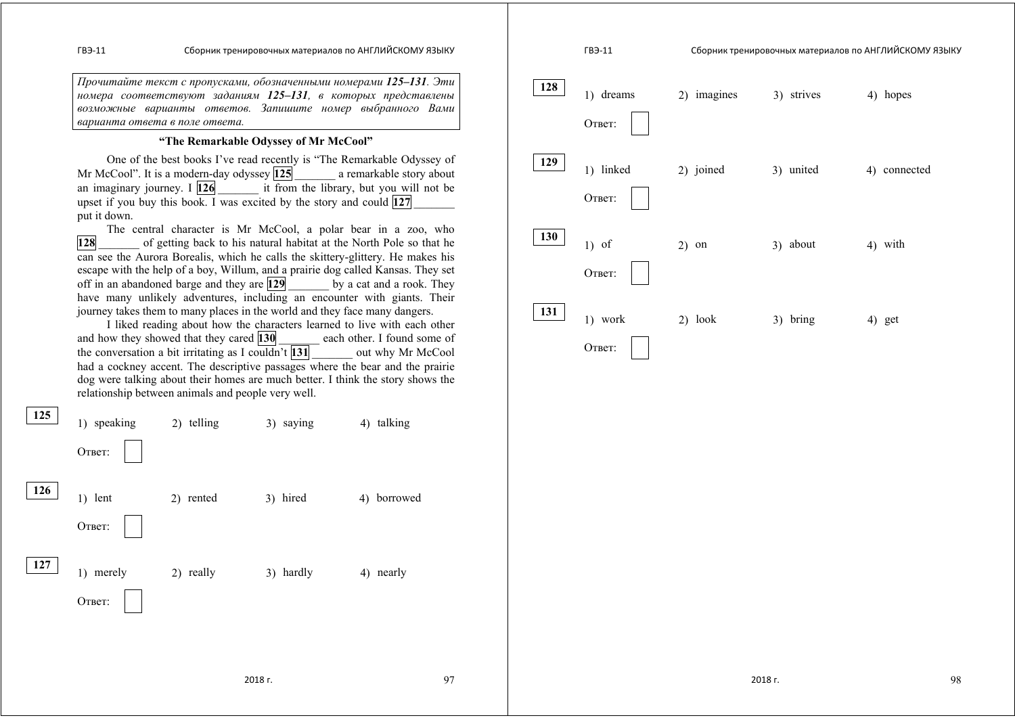*Прочитайте текст <sup>с</sup> пропусками, обозначенными номерами 125–131. Эти номера соответствуют заданиям 125–131, <sup>в</sup> которых представлены возможные варианты ответов. Запишите номер выбранного Вами варианта ответа <sup>в</sup> поле ответа.* 

### **"The Remarkable Odyssey of Mr McCool"**

One of the best books I've read recently is "The Remarkable Odyssey of Mr McCool". It is a modern-day odyssey **125** a remarkable story about an imaginary journey. I  $\overline{126}$  it from the library, but you will not be upset if you buy this book. I was excited by the story and could **127** put it down.

The central character is Mr McCool, a polar bear in a zoo, who **128 of getting back to his natural habitat at the North Pole so that he** can see the Aurora Borealis, which he calls the skittery-glittery. He makes his escape with the help of a boy, Willum, and a prairie dog called Kansas. They set off in an abandoned barge and they are **129** \_\_\_\_\_\_\_ by a cat and a rook. They have many unlikely adventures, including an encounter with giants. Their journey takes them to many places in the world and they face many dangers.

I liked reading about how the characters learned to live with each other and how they showed that they cared  $\frac{130}{131}$  each other. I found some of the conversation a bit irritating as I couldn't  $\frac{131}{131}$  out why Mr McCool the conversation a bit irritating as I couldn't  $\overline{131}$ had a cockney accent. The descriptive passages where the bear and the prairie dog were talking about their homes are much better. I think the story shows the relationship between animals and people very well.

| 125 | 1) speaking         | 2) telling | 3) saying | 4) talking  |    |
|-----|---------------------|------------|-----------|-------------|----|
|     | Ответ:              |            |           |             |    |
| 126 | 1) lent<br>Ответ:   | 2) rented  | 3) hired  | 4) borrowed |    |
| 127 | 1) merely<br>Ответ: | 2) really  | 3) hardly | 4) nearly   |    |
|     |                     |            | 2018 г.   |             | 97 |

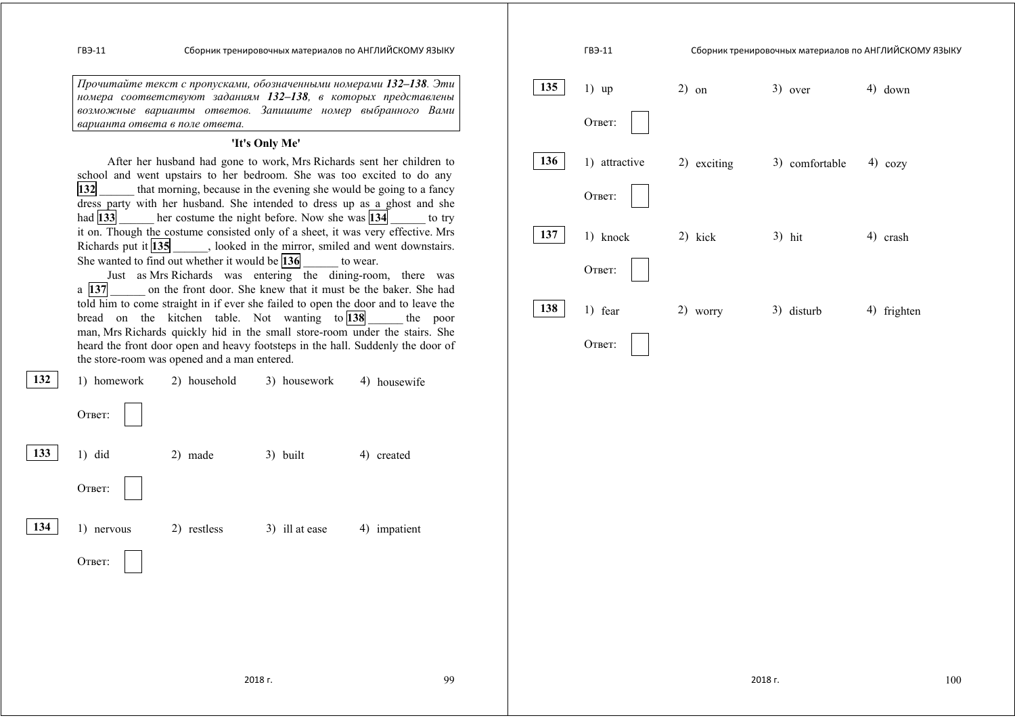*Прочитайте текст <sup>с</sup> пропусками, обозначенными номерами 132–138. Эти номера соответствуют заданиям 132–138, <sup>в</sup> которых представлены возможные варианты ответов. Запишите номер выбранного Вами варианта ответа <sup>в</sup> поле ответа.* 

#### **'It's Only Me'**

After her husband had gone to work, Mrs Richards sent her children to school and went upstairs to her bedroom. She was too excited to do any **132** \_\_\_\_\_\_ that morning, because in the evening she would be going to a fancy dress party with her husband. She intended to dress up as a ghost and she had **133**  her costume the night before. Now she was **134** to try it on. Though the costume consisted only of a sheet, it was very effective. Mrs Richards put it  $\boxed{135}$ , looked in the mirror, smiled and went downstairs. Richards put it **135** \_\_\_\_\_\_, looked in the mirror, smiled and went downstairs. She wanted to find out whether it would be **136**  \_\_\_\_\_\_ to wear.

Just as Mrs Richards was entering the dining-room, there was <sup>a</sup>**137**  told him to come straight in if ever she failed to open the door and to leave the on the front door. She knew that it must be the baker. She had bread on the kitchen table. Not wanting to 138 the poor man, Mrs Richards quickly hid in the small store-room under the stairs. She heard the front door open and heavy footsteps in the hall. Suddenly the door of the store-room was opened and a man entered.

| 132 | 1) homework | 2) household | 3) housework   | 4) housewife |    |
|-----|-------------|--------------|----------------|--------------|----|
|     | Ответ:      |              |                |              |    |
| 133 | $1)$ did    | 2) made      | 3) built       | 4) created   |    |
|     | Ответ:      |              |                |              |    |
| 134 | 1) nervous  | 2) restless  | 3) ill at ease | 4) impatient |    |
|     | Ответ:      |              |                |              |    |
|     |             |              |                |              |    |
|     |             |              |                |              |    |
|     |             |              |                |              |    |
|     |             |              | 2018 г.        |              | 99 |

|     | ГВЭ-11        |             |                | Сборник тренировочных материалов по АНГЛИЙСКОМУ ЯЗЫКУ |
|-----|---------------|-------------|----------------|-------------------------------------------------------|
| 135 | $1)$ up       | $2)$ on     | 3) over        | 4) down                                               |
|     | Ответ:        |             |                |                                                       |
| 136 | 1) attractive | 2) exciting | 3) comfortable | 4) $cozy$                                             |
|     | Ответ:        |             |                |                                                       |
| 137 | 1) knock      | 2) kick     | $3)$ hit       | 4) crash                                              |
|     | Ответ:        |             |                |                                                       |
| 138 | 1) fear       | 2) worry    | 3) disturb     | 4) frighten                                           |
|     | Ответ:        |             |                |                                                       |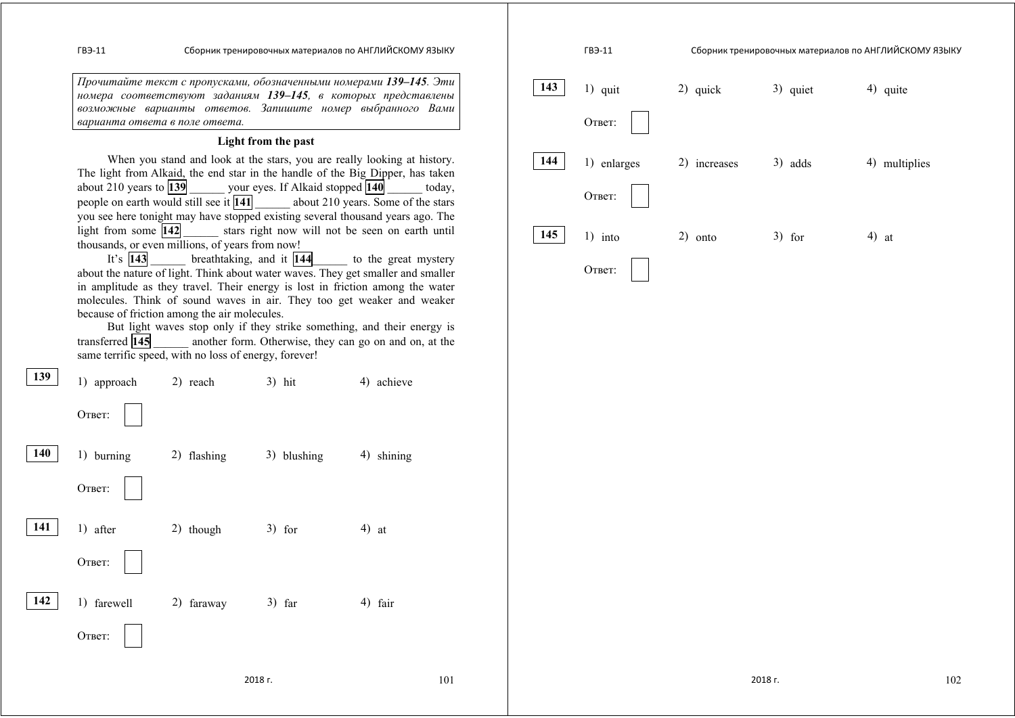*Прочитайте текст <sup>с</sup> пропусками, обозначенными номерами 139–145. Эти номера соответствуют заданиям 139–145, <sup>в</sup> которых представлены возможные варианты ответов. Запишите номер выбранного Вами варианта ответа <sup>в</sup> поле ответа.* 

### **Light from the past**

When you stand and look at the stars, you are really looking at history. The light from Alkaid, the end star in the handle of the Big Dipper, has taken about 210 years to  $\boxed{139}$  vour eyes. If Alkaid stopped  $\boxed{140}$  today, your eyes. If Alkaid stopped **140** today, people on earth would still see it **141** about 210 years. Some of the stars you see here tonight may have stopped existing several thousand years ago. The light from some **142** stars right now will not be seen on earth until thousands, or even millions, of years from now!<br>It's  $\overline{143}$  breathtaking, and it  $\overline{14}$ 

 $b$ reathtaking, and it  $\overline{144}$  to the great mystery about the nature of light. Think about water waves. They get smaller and smaller in amplitude as they travel. Their energy is lost in friction among the water molecules. Think of sound waves in air. They too get weaker and weaker because of friction among the air molecules.

But light waves stop only if they strike something, and their energy is transferred  $\overline{145}$  another form. Otherwise, they can go on and on, at the another form. Otherwise, they can go on and on, at the same terrific speed, with no loss of energy, forever!

| 139 | 1) approach | 2) reach    | $3)$ hit    | 4) achieve |
|-----|-------------|-------------|-------------|------------|
|     | Ответ:      |             |             |            |
| 140 | 1) burning  | 2) flashing | 3) blushing | 4) shining |
|     | Ответ:      |             |             |            |
| 141 | 1) after    | 2) though   | $3)$ for    | 4) at      |
|     | Ответ:      |             |             |            |
| 142 | 1) farewell | 2) faraway  | $3)$ far    | 4) fair    |
|     | Ответ:      |             |             |            |
|     |             |             |             |            |

ГВЭ‐<sup>11</sup> Сборник тренировочных материалов по АНГЛИЙСКОМУ ЯЗЫКУ 1) quit 2) quick  $3)$  quiet  $4)$  quite Ответ: 1) enlarges 2) increases 3) adds 4) multiplies Ответ: 1) into 2) onto 3) for 4) at Ответ: **143 144 145**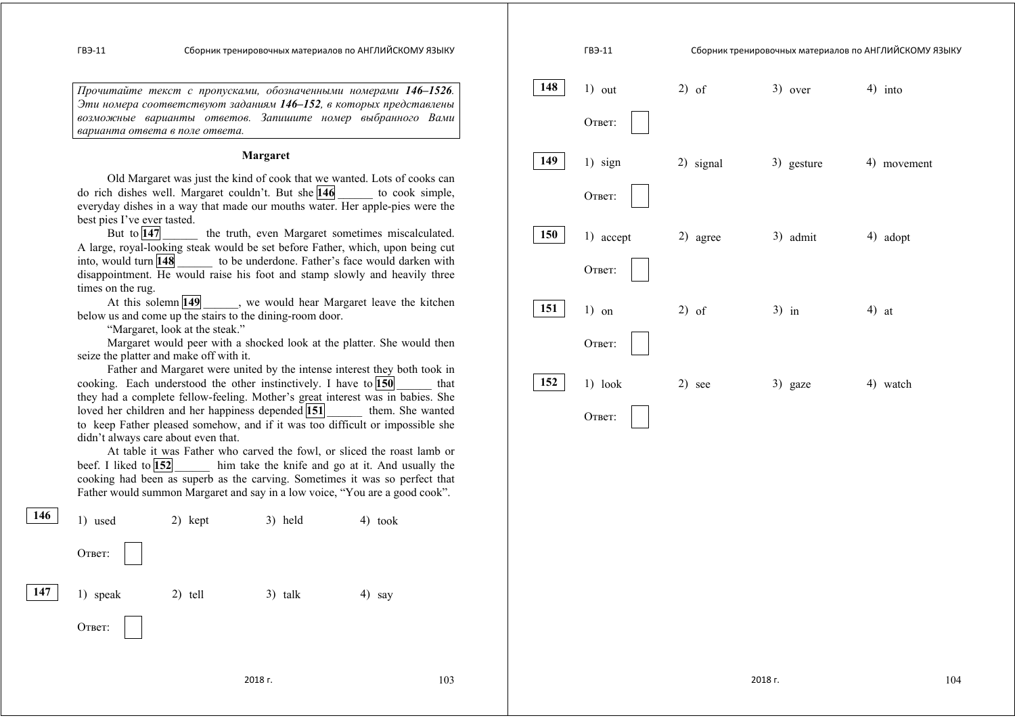*Прочитайте текст <sup>с</sup> пропусками, обозначенными номерами 146–1526. Эти номера соответствуют заданиям 146–152, <sup>в</sup> которых представлены возможные варианты ответов. Запишите номер выбранного Вами варианта ответа <sup>в</sup> поле ответа.* 

### **Margaret**

Old Margaret was just the kind of cook that we wanted. Lots of cooks can do rich dishes well. Margaret couldn't. But she **146** \_\_\_\_\_\_ to cook simple, everyday dishes in a way that made our mouths water. Her apple-pies were the best pies I've ever tasted.

But to **147 he truth, even Margaret sometimes miscalculated.** A large, royal-looking steak would be set before Father, which, upon being cut into, would turn **148** \_\_\_\_\_\_ to be underdone. Father's face would darken with disappointment. He would raise his foot and stamp slowly and heavily three times on the rug.

At this solemn **149** \_\_\_\_\_\_, we would hear Margaret leave the kitchen below us and come up the stairs to the dining-room door.

"Margaret, look at the steak."

Margaret would peer with a shocked look at the platter. She would then seize the platter and make off with it.

Father and Margaret were united by the intense interest they both took in cooking. Each understood the other instinctively. I have to  $\overline{150}$  that they had a complete fellow-feeling. Mother's great interest was in babies. She loved her children and her happiness depended **151 depended them.** She wanted to keep Father pleased somehow, and if it was too difficult or impossible she didn't always care about even that.

At table it was Father who carved the fowl, or sliced the roast lamb or beef. I liked to **152** \_\_\_\_\_\_ him take the knife and go at it. And usually the cooking had been as superb as the carving. Sometimes it was so perfect that Father would summon Margaret and say in a low voice, "You are a good cook".



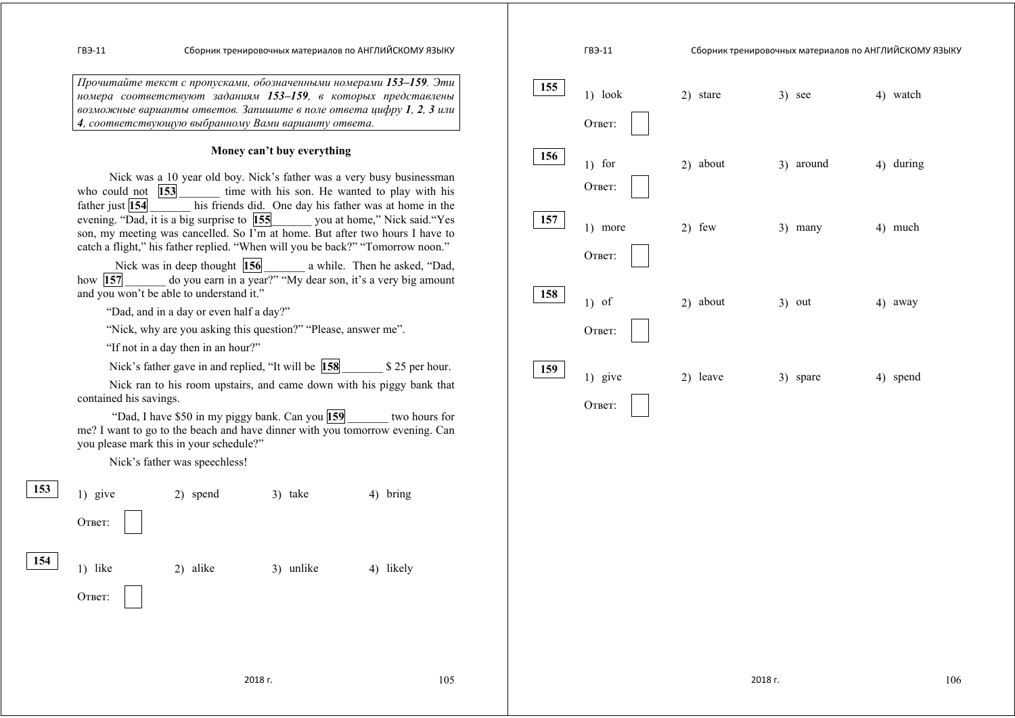*Прочитайте текст <sup>с</sup> пропусками, обозначенными номерами 153–159. Эти номера соответствуют заданиям 153–159, <sup>в</sup> которых представлены возможные варианты ответов. Запишите <sup>в</sup> поле ответа цифру 1, 2, 3 или 4, соответствующую выбранному Вами варианту ответа.* 

### **Money can't buy everything**

Nick was a 10 year old boy. Nick's father was a very busy businessman<br>who could not  $\overline{153}$  time with his son. He wanted to play with his time with his son. He wanted to play with his father just **154** his friends did. One day his father was at home in the evening. "Dad, it is a big surprise to **155**\_\_\_\_\_\_\_ you at home," Nick said."Yes son, my meeting was cancelled. So I'm at home. But after two hours I have to catch a flight," his father replied. "When will you be back?" "Tomorrow noon."

Nick was in deep thought **156** a while. Then he asked, "Dad, how **157 do you earn in a year?" "My dear son, it's a very big amount** and you won't be able to understand it."

"Dad, and in a day or even half a day?"

"Nick, why are you asking this question?" "Please, answer me".

"If not in a day then in an hour?"

Nick's father gave in and replied, "It will be **158** \$ 25 per hour.

 Nick ran to his room upstairs, and came down with his piggy bank that contained his savings.

 "Dad, I have \$50 in my piggy bank. Can you **159** \_\_\_\_\_\_\_ two hours for me? I want to go to the beach and have dinner with you tomorrow evening. Can you please mark this in your schedule?"

Nick's father was speechless!

| 153 | 1) give | 2) spend | 3) take   | 4) bring  |
|-----|---------|----------|-----------|-----------|
|     | Ответ:  |          |           |           |
| 154 | 1) like | 2) alike | 3) unlike | 4) likely |
|     | Ответ:  |          |           |           |
|     |         |          |           |           |

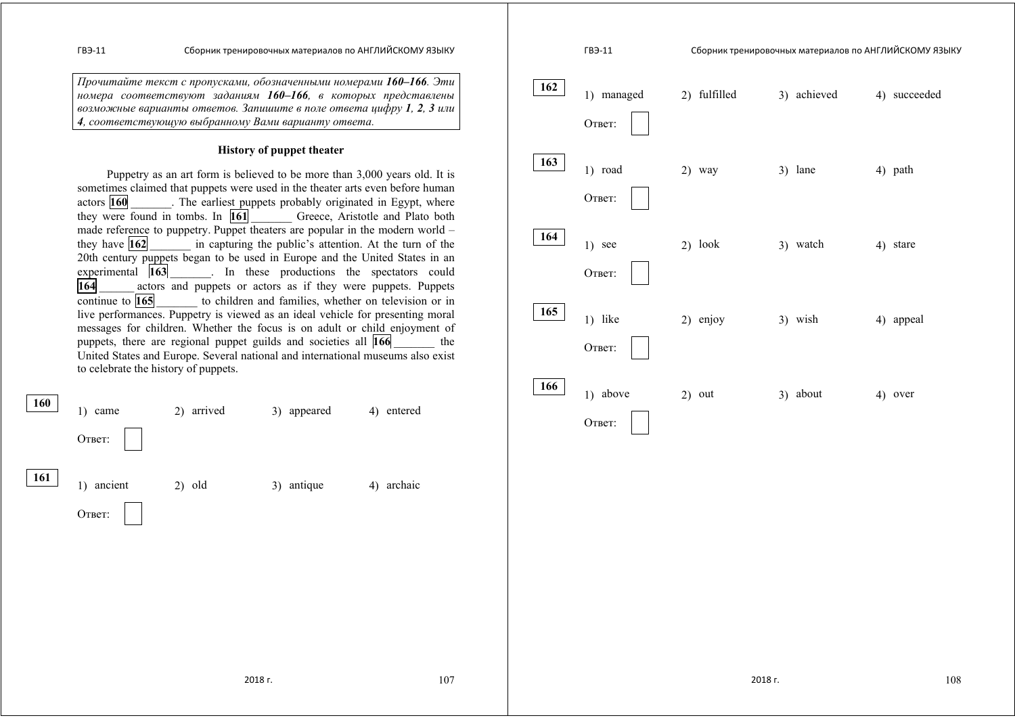*Прочитайте текст <sup>с</sup> пропусками, обозначенными номерами 160–166. Эти номера соответствуют заданиям 160–166, <sup>в</sup> которых представлены возможные варианты ответов. Запишите <sup>в</sup> поле ответа цифру 1, 2, 3 или 4, соответствующую выбранному Вами варианту ответа.* 

### **History of puppet theater**

Puppetry as an art form is believed to be more than 3,000 years old. It is sometimes claimed that puppets were used in the theater arts even before human actors **160** \_\_\_\_\_\_\_. The earliest puppets probably originated in Egypt, where they were found in tombs. In **161** Greece, Aristotle and Plato both made reference to puppetry. Puppet theaters are popular in the modern world – they have  $\overline{162}$  in capturing the public's attention. At the turn of the in capturing the public's attention. At the turn of the 20th century puppets began to be used in Europe and the United States in an experimental 163 and in these productions the spectators could **164**  actors and puppets or actors as if they were puppets. Puppets continue to **165**  live performances. Puppetry is viewed as an ideal vehicle for presenting moral to children and families, whether on television or in messages for children. Whether the focus is on adult or child enjoyment of puppets, there are regional puppet guilds and societies all **166** the United States and Europe. Several national and international museums also exist to celebrate the history of puppets.

| 160 | 1)<br>came           | arrived<br>2) | 3) appeared   | entered<br>4) |
|-----|----------------------|---------------|---------------|---------------|
|     | Ответ:               |               |               |               |
| 161 | 1) ancient<br>Ответ: | $2)$ old      | antique<br>3) | archaic<br>4) |

|     | $FB$ $-11$           |              | Сборник тренировочных материалов по АНГЛИЙСКОМУ ЯЗЫКУ |              |
|-----|----------------------|--------------|-------------------------------------------------------|--------------|
| 162 | 1) managed<br>Ответ: | 2) fulfilled | 3) achieved                                           | 4) succeeded |
| 163 | 1) road<br>Ответ:    | $2)$ way     | 3) lane                                               | 4) path      |
| 164 | 1) see<br>Ответ:     | 2) look      | 3) watch                                              | 4) stare     |
| 165 | 1) like<br>Ответ:    | 2) enjoy     | 3) wish                                               | 4) appeal    |
| 166 | 1) above<br>Ответ:   | $2)$ out     | 3) about                                              | 4) over      |
|     |                      |              |                                                       |              |
|     |                      |              |                                                       |              |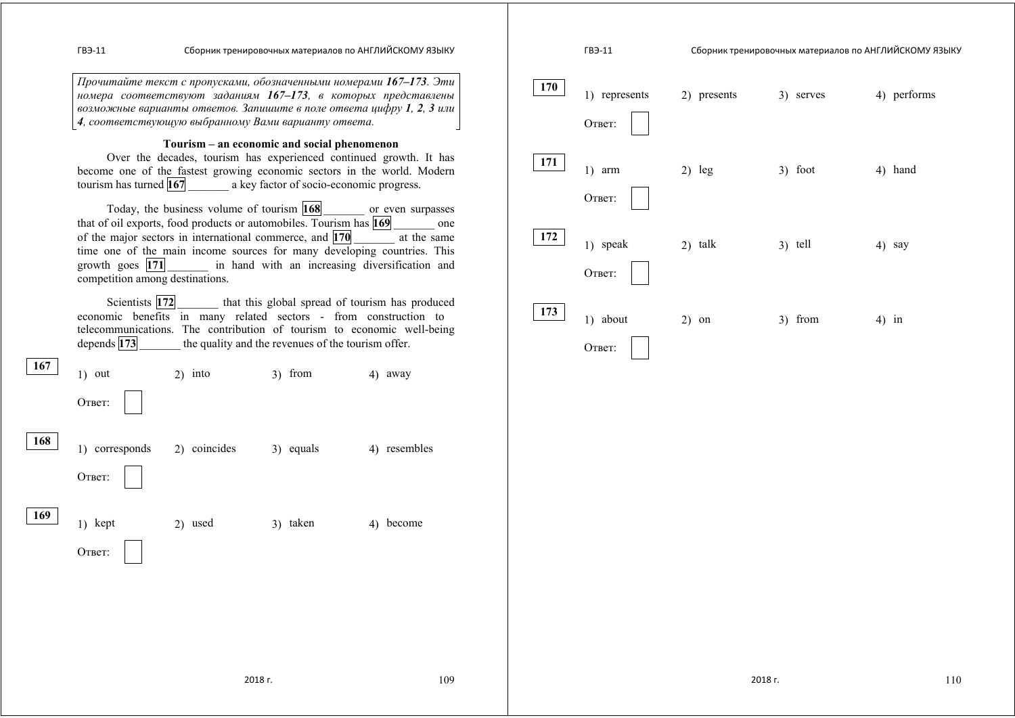*Прочитайте текст <sup>с</sup> пропусками, обозначенными номерами 167–173. Эти номера соответствуют заданиям 167–173, <sup>в</sup> которых представлены возможные варианты ответов. Запишите <sup>в</sup> поле ответа цифру 1, 2, 3 или 4, соответствующую выбранному Вами варианту ответа.* 

#### **Tourism – an economic and social phenomenon**

Over the decades, tourism has experienced continued growth. It has become one of the fastest growing economic sectors in the world. Modern tourism has turned  $\overline{167}$  a key factor of socio-economic progress. a key factor of socio-economic progress.

Today, the business volume of tourism **168** or even surpasses that of oil exports, food products or automobiles. Tourism has **169** one of the major sectors in international commerce, and  $\overline{170}$   $\overline{170}$  at the same time one of the main income sources for many developing countries. This growth goes  $\overline{171}$  in hand with an increasing diversification and in hand with an increasing diversification and competition among destinations.

| Scientists $ 172 $ | that this global spread of tourism has produced                        |
|--------------------|------------------------------------------------------------------------|
|                    | economic benefits in many related sectors - from construction to       |
|                    | telecommunications. The contribution of tourism to economic well-being |
| depends $ 173 $    | the quality and the revenues of the tourism offer.                     |

| 167 | $1)$ out                 | 2) into      | 3) from   | 4) away      |
|-----|--------------------------|--------------|-----------|--------------|
|     | Ответ:                   |              |           |              |
| 168 | 1) corresponds<br>Ответ: | 2) coincides | 3) equals | 4) resembles |
| 169 | 1) kept<br>Ответ:        | 2) used      | 3) taken  | become<br>4) |

|     | ГВЭ-11                  |             | Сборник тренировочных материалов по АНГЛИЙСКОМУ ЯЗЫКУ |             |
|-----|-------------------------|-------------|-------------------------------------------------------|-------------|
| 170 | 1) represents<br>Ответ: | 2) presents | 3) serves                                             | 4) performs |
| 171 | $1)$ arm<br>Ответ:      | $2)$ leg    | 3) foot                                               | 4) hand     |
| 172 | 1) speak<br>Ответ:      | 2) talk     | 3) tell                                               | 4) say      |
| 173 | 1) about<br>Ответ:      | $2)$ on     | 3) from                                               | $4)$ in     |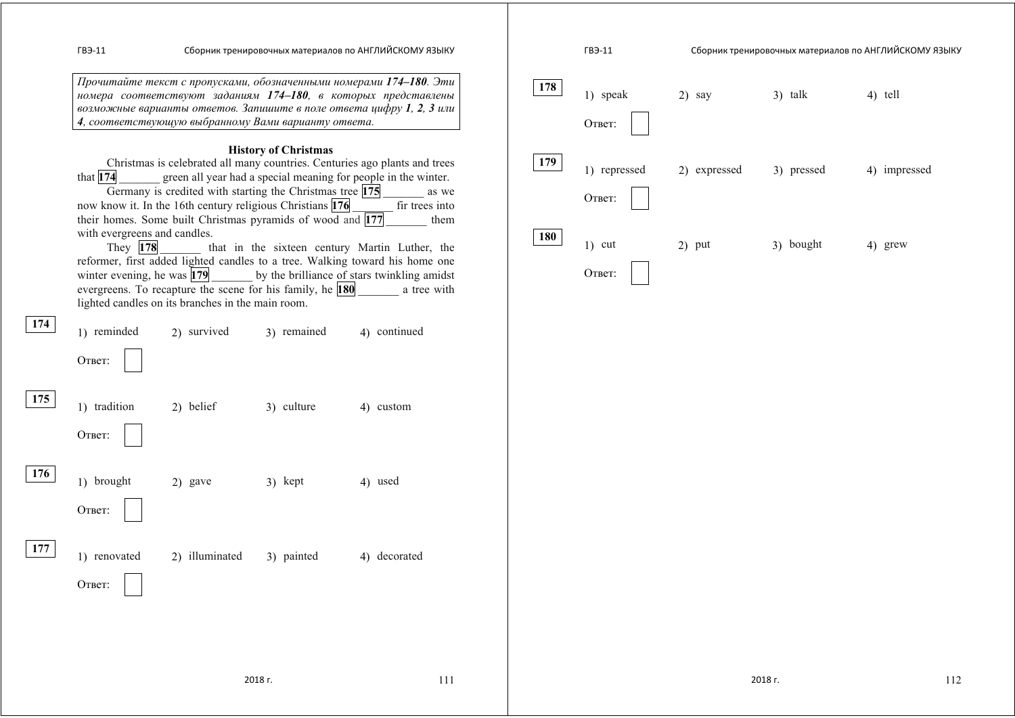*Прочитайте текст <sup>с</sup> пропусками, обозначенными номерами 174–180. Эти номера соответствуют заданиям 174–180, <sup>в</sup> которых представлены возможные варианты ответов. Запишите <sup>в</sup> поле ответа цифру 1, 2, 3 или 4, соответствующую выбранному Вами варианту ответа.* 

### **History of Christmas**

Christmas is celebrated all many countries. Centuries ago plants and trees that  $\overline{174}$  green all year had a special meaning for people in the winter. green all year had a special meaning for people in the winter. Germany is credited with starting the Christmas tree **175** as we now know it. In the 16th century religious Christians **176 a fir trees into** their homes. Some built Christmas pyramids of wood and **177** them with evergreens and candles. They 178 **that in the sixteen century Martin Luther**, the

reformer, first added lighted candles to a tree. Walking toward his home one winter evening, he was  $\boxed{179}$  by the brilliance of stars twinkling amidst by the brilliance of stars twinkling amidst evergreens. To recapture the scene for his family, he  $\overline{180}$  a tree with lighted candles on its branches in the main room.

| 174        | 1) reminded            | 2) survived    | 3) remained | 4) continued |
|------------|------------------------|----------------|-------------|--------------|
|            | Ответ:                 |                |             |              |
| 175        | 1) tradition<br>Ответ: | 2) belief      | 3) culture  | 4) custom    |
| 176        | 1) brought<br>Ответ:   | 2) gave        | 3) kept     | 4) used      |
| <b>177</b> | 1) renovated<br>Ответ: | 2) illuminated | 3) painted  | 4) decorated |

ГВЭ‐<sup>11</sup> Сборник тренировочных материалов по АНГЛИЙСКОМУ ЯЗЫКУ 1) speak  $2)$  say  $3)$  talk  $4)$  tell Ответ: 1) repressed 2) expressed 3) pressed 4) impressed Ответ: 1) cut 2) put 3) bought 4) grew Ответ: **178 179 180**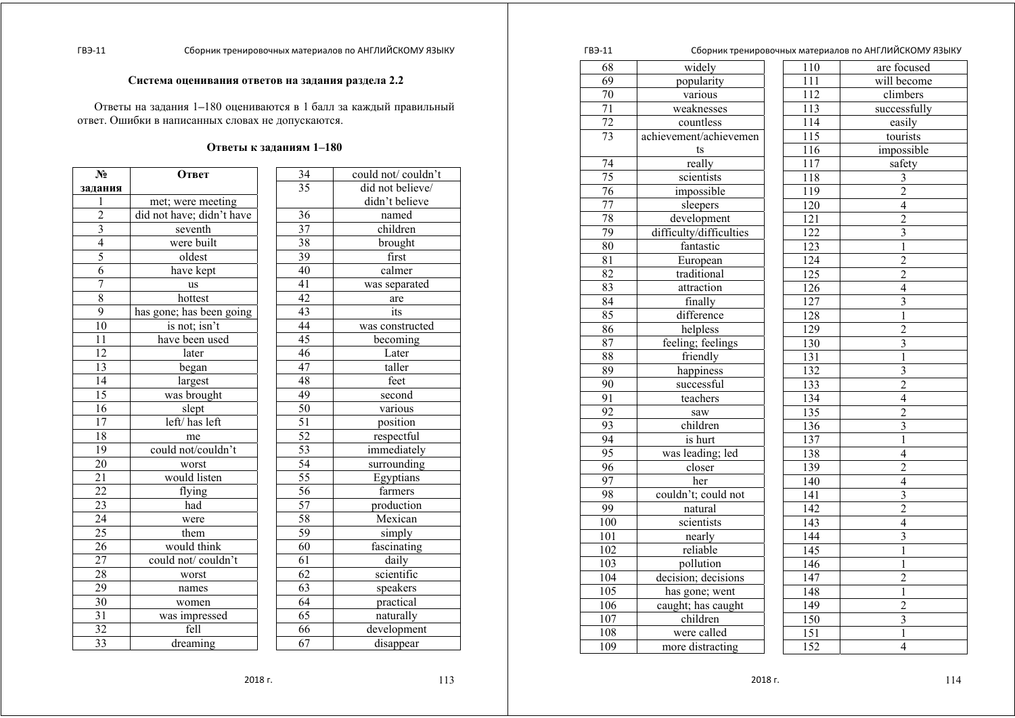### **Система оценивания ответов на задания раздела 2.2**

Ответы на задания 1 *–*180 оцениваются <sup>в</sup> 1 балл за каждый правильный ответ. Ошибки <sup>в</sup> написанных словах не допускаются.

#### **Ответы <sup>к</sup> заданиям 1–180**

| No                                                      | Ответ                     |  |
|---------------------------------------------------------|---------------------------|--|
| задания                                                 |                           |  |
| 1                                                       | met; were meeting         |  |
|                                                         | did not have; didn't have |  |
| $\frac{2}{3}$ $\frac{3}{4}$ $\frac{4}{5}$ $\frac{5}{6}$ | seventh                   |  |
|                                                         | were built                |  |
|                                                         | oldest                    |  |
|                                                         | have kept                 |  |
| $\overline{7}$                                          | <b>us</b>                 |  |
| $\overline{8}$                                          | hottest                   |  |
| $\overline{9}$                                          | has gone; has been going  |  |
| 10                                                      | is not; isn't             |  |
| $\overline{11}$                                         | have been used            |  |
| $\overline{12}$                                         | later                     |  |
| $\overline{13}$                                         | began                     |  |
| $\overline{14}$                                         | largest                   |  |
| $\overline{15}$                                         | was brought               |  |
| $\overline{16}$                                         | slept                     |  |
| 17                                                      | left/has left             |  |
| 18                                                      | me                        |  |
| 19                                                      | could not/couldn't        |  |
| $\overline{20}$                                         | worst                     |  |
| 21                                                      | would listen              |  |
| 22                                                      | flying                    |  |
| 23                                                      | had                       |  |
| $\overline{24}$                                         | were                      |  |
| 25                                                      | them                      |  |
| 26                                                      | would think               |  |
| 27                                                      | could not/couldn't        |  |
| 28                                                      | worst                     |  |
| 29                                                      | names                     |  |
| 30                                                      | women                     |  |
| 31                                                      | was impressed             |  |
| 32                                                      | fell                      |  |
| $\overline{33}$                                         | dreaming                  |  |

| 34              | could not/couldn't |
|-----------------|--------------------|
| $\overline{35}$ | did not believe/   |
|                 | didn't believe     |
| 36              | named              |
| 37              | children           |
| 38              | brought            |
| 39              | first              |
| $\overline{40}$ | calmer             |
| 41              | was separated      |
| 42              | are                |
| 43              | its                |
| 44              | was constructed    |
| 45              | becoming           |
| 46              | Later              |
| 47              | taller             |
| 48              | feet               |
| 49              | second             |
| 50              | various            |
| 51              | position           |
| $\overline{52}$ | respectful         |
| $\overline{53}$ | immediately        |
| $\overline{54}$ | surrounding        |
| 55              | Egyptians          |
| 56              | farmers            |
| $\overline{57}$ | production         |
| 58              | Mexican            |
| 59              | simply             |
| 60              | fascinating        |
| 61              | daily              |
| 62              | scientific         |
| 63              | speakers           |
| $\overline{64}$ | practical          |
| $\overline{65}$ | naturally          |
| 66              | development        |
| 67              | disappear          |

### ГВЭ‐<sup>11</sup> Сборник тренировочных материалов по АНГЛИЙСКОМУ ЯЗЫКУ

| 68<br>widely<br>69<br>popularity<br>70<br>various<br>$\overline{71}$<br>weaknesses<br>72<br>countless<br>73<br>achievement/achievemen<br>ts<br>$\overline{74}$<br>really<br>75<br>scientists<br>76<br>impossible<br>77<br>sleepers<br>78<br>development<br>79<br>difficulty/difficulties<br>80<br>fantastic<br>81<br>European<br>82<br>traditional<br>83<br>attraction<br>84<br>finally<br>$\overline{85}$<br>difference<br>86<br>helpless<br>87<br>feeling; feelings<br>88<br>friendly<br>89<br>happiness<br>90<br>successful<br>91<br>teachers<br>92<br>saw<br>93<br>children<br>$\overline{94}$<br>is hurt<br>95<br>was leading; led<br>96<br>closer<br>97<br>her<br>98<br>couldn't; could not<br>99<br>natural<br>100<br>scientists<br>101<br>nearly<br>102<br>reliable<br>103<br>pollution<br>decision; decisions<br>104<br>105<br>has gone; went<br>106<br>caught; has caught<br>107<br>children<br>108<br>were called<br>109 |                  |  |
|-------------------------------------------------------------------------------------------------------------------------------------------------------------------------------------------------------------------------------------------------------------------------------------------------------------------------------------------------------------------------------------------------------------------------------------------------------------------------------------------------------------------------------------------------------------------------------------------------------------------------------------------------------------------------------------------------------------------------------------------------------------------------------------------------------------------------------------------------------------------------------------------------------------------------------------|------------------|--|
|                                                                                                                                                                                                                                                                                                                                                                                                                                                                                                                                                                                                                                                                                                                                                                                                                                                                                                                                     |                  |  |
|                                                                                                                                                                                                                                                                                                                                                                                                                                                                                                                                                                                                                                                                                                                                                                                                                                                                                                                                     |                  |  |
|                                                                                                                                                                                                                                                                                                                                                                                                                                                                                                                                                                                                                                                                                                                                                                                                                                                                                                                                     |                  |  |
|                                                                                                                                                                                                                                                                                                                                                                                                                                                                                                                                                                                                                                                                                                                                                                                                                                                                                                                                     |                  |  |
|                                                                                                                                                                                                                                                                                                                                                                                                                                                                                                                                                                                                                                                                                                                                                                                                                                                                                                                                     |                  |  |
|                                                                                                                                                                                                                                                                                                                                                                                                                                                                                                                                                                                                                                                                                                                                                                                                                                                                                                                                     |                  |  |
|                                                                                                                                                                                                                                                                                                                                                                                                                                                                                                                                                                                                                                                                                                                                                                                                                                                                                                                                     |                  |  |
|                                                                                                                                                                                                                                                                                                                                                                                                                                                                                                                                                                                                                                                                                                                                                                                                                                                                                                                                     |                  |  |
|                                                                                                                                                                                                                                                                                                                                                                                                                                                                                                                                                                                                                                                                                                                                                                                                                                                                                                                                     |                  |  |
|                                                                                                                                                                                                                                                                                                                                                                                                                                                                                                                                                                                                                                                                                                                                                                                                                                                                                                                                     |                  |  |
|                                                                                                                                                                                                                                                                                                                                                                                                                                                                                                                                                                                                                                                                                                                                                                                                                                                                                                                                     |                  |  |
|                                                                                                                                                                                                                                                                                                                                                                                                                                                                                                                                                                                                                                                                                                                                                                                                                                                                                                                                     |                  |  |
|                                                                                                                                                                                                                                                                                                                                                                                                                                                                                                                                                                                                                                                                                                                                                                                                                                                                                                                                     |                  |  |
|                                                                                                                                                                                                                                                                                                                                                                                                                                                                                                                                                                                                                                                                                                                                                                                                                                                                                                                                     |                  |  |
|                                                                                                                                                                                                                                                                                                                                                                                                                                                                                                                                                                                                                                                                                                                                                                                                                                                                                                                                     |                  |  |
|                                                                                                                                                                                                                                                                                                                                                                                                                                                                                                                                                                                                                                                                                                                                                                                                                                                                                                                                     |                  |  |
|                                                                                                                                                                                                                                                                                                                                                                                                                                                                                                                                                                                                                                                                                                                                                                                                                                                                                                                                     |                  |  |
|                                                                                                                                                                                                                                                                                                                                                                                                                                                                                                                                                                                                                                                                                                                                                                                                                                                                                                                                     |                  |  |
|                                                                                                                                                                                                                                                                                                                                                                                                                                                                                                                                                                                                                                                                                                                                                                                                                                                                                                                                     |                  |  |
|                                                                                                                                                                                                                                                                                                                                                                                                                                                                                                                                                                                                                                                                                                                                                                                                                                                                                                                                     |                  |  |
|                                                                                                                                                                                                                                                                                                                                                                                                                                                                                                                                                                                                                                                                                                                                                                                                                                                                                                                                     |                  |  |
|                                                                                                                                                                                                                                                                                                                                                                                                                                                                                                                                                                                                                                                                                                                                                                                                                                                                                                                                     |                  |  |
|                                                                                                                                                                                                                                                                                                                                                                                                                                                                                                                                                                                                                                                                                                                                                                                                                                                                                                                                     |                  |  |
|                                                                                                                                                                                                                                                                                                                                                                                                                                                                                                                                                                                                                                                                                                                                                                                                                                                                                                                                     |                  |  |
|                                                                                                                                                                                                                                                                                                                                                                                                                                                                                                                                                                                                                                                                                                                                                                                                                                                                                                                                     |                  |  |
|                                                                                                                                                                                                                                                                                                                                                                                                                                                                                                                                                                                                                                                                                                                                                                                                                                                                                                                                     |                  |  |
|                                                                                                                                                                                                                                                                                                                                                                                                                                                                                                                                                                                                                                                                                                                                                                                                                                                                                                                                     |                  |  |
|                                                                                                                                                                                                                                                                                                                                                                                                                                                                                                                                                                                                                                                                                                                                                                                                                                                                                                                                     |                  |  |
|                                                                                                                                                                                                                                                                                                                                                                                                                                                                                                                                                                                                                                                                                                                                                                                                                                                                                                                                     |                  |  |
|                                                                                                                                                                                                                                                                                                                                                                                                                                                                                                                                                                                                                                                                                                                                                                                                                                                                                                                                     |                  |  |
|                                                                                                                                                                                                                                                                                                                                                                                                                                                                                                                                                                                                                                                                                                                                                                                                                                                                                                                                     |                  |  |
|                                                                                                                                                                                                                                                                                                                                                                                                                                                                                                                                                                                                                                                                                                                                                                                                                                                                                                                                     |                  |  |
|                                                                                                                                                                                                                                                                                                                                                                                                                                                                                                                                                                                                                                                                                                                                                                                                                                                                                                                                     |                  |  |
|                                                                                                                                                                                                                                                                                                                                                                                                                                                                                                                                                                                                                                                                                                                                                                                                                                                                                                                                     |                  |  |
|                                                                                                                                                                                                                                                                                                                                                                                                                                                                                                                                                                                                                                                                                                                                                                                                                                                                                                                                     |                  |  |
|                                                                                                                                                                                                                                                                                                                                                                                                                                                                                                                                                                                                                                                                                                                                                                                                                                                                                                                                     |                  |  |
|                                                                                                                                                                                                                                                                                                                                                                                                                                                                                                                                                                                                                                                                                                                                                                                                                                                                                                                                     |                  |  |
|                                                                                                                                                                                                                                                                                                                                                                                                                                                                                                                                                                                                                                                                                                                                                                                                                                                                                                                                     |                  |  |
|                                                                                                                                                                                                                                                                                                                                                                                                                                                                                                                                                                                                                                                                                                                                                                                                                                                                                                                                     |                  |  |
|                                                                                                                                                                                                                                                                                                                                                                                                                                                                                                                                                                                                                                                                                                                                                                                                                                                                                                                                     |                  |  |
|                                                                                                                                                                                                                                                                                                                                                                                                                                                                                                                                                                                                                                                                                                                                                                                                                                                                                                                                     |                  |  |
|                                                                                                                                                                                                                                                                                                                                                                                                                                                                                                                                                                                                                                                                                                                                                                                                                                                                                                                                     |                  |  |
|                                                                                                                                                                                                                                                                                                                                                                                                                                                                                                                                                                                                                                                                                                                                                                                                                                                                                                                                     |                  |  |
|                                                                                                                                                                                                                                                                                                                                                                                                                                                                                                                                                                                                                                                                                                                                                                                                                                                                                                                                     | more distracting |  |

|    | 110              | are focused              |
|----|------------------|--------------------------|
|    | 111              | will become              |
|    | 112              | climbers                 |
|    | 113              | successfully             |
|    | 114              | easily                   |
| en | 115              | tourists                 |
|    | 116              | impossible               |
|    | $\overline{117}$ | safety                   |
|    | 118              | 3                        |
|    | 119              | $\overline{2}$           |
|    | 120              | $\overline{4}$           |
|    | 121              | $\overline{2}$           |
|    | 122              | $\overline{\mathbf{3}}$  |
|    | $\overline{123}$ | $\mathbf{1}$             |
|    | $\overline{124}$ | $\overline{2}$           |
|    | $\overline{125}$ | $\overline{2}$           |
|    | 126              | $\overline{4}$           |
|    | 127              | 3                        |
|    | 128              | $\overline{1}$           |
|    | 129              | $\overline{2}$           |
|    | 130              | $\overline{\mathbf{3}}$  |
|    | 131              | $\overline{1}$           |
|    | 132              | $\overline{3}$           |
|    | 133              | $\overline{2}$           |
|    | 134              | $\overline{4}$           |
|    | $\overline{135}$ | $\overline{2}$           |
|    | 136              | $\overline{3}$           |
|    | 137              | $\overline{1}$           |
|    | 138              | $\overline{\mathcal{L}}$ |
|    | 139              | $\overline{2}$           |
|    | 140              | $\overline{4}$           |
|    | $\overline{141}$ | $\overline{\mathbf{3}}$  |
|    | 142              | $\overline{c}$           |
|    | 143              | $\overline{4}$           |
|    | 144              | $\overline{\mathbf{3}}$  |
|    | 145              | $\mathbf{1}$             |
|    | 146              | $\overline{1}$           |
|    | 147              | $\overline{2}$           |
|    | 148              | $\overline{1}$           |
|    | 149              | $\overline{c}$           |
|    | 150              | $\overline{\mathbf{3}}$  |
|    | $\overline{151}$ | $\mathbf{1}$             |
|    | 152              | $\overline{4}$           |
|    |                  |                          |

г. 113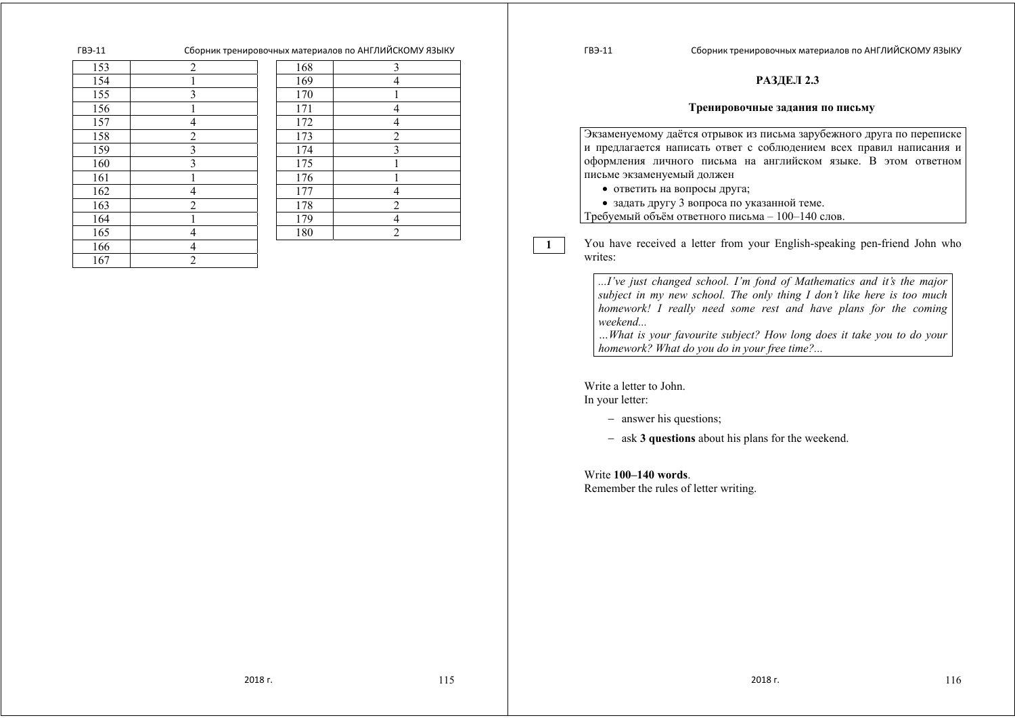153 2 154 1 155 3

#### ГВЭ‐<sup>11</sup> Сборник тренировочных материалов по АНГЛИЙСКОМУ ЯЗЫКУ

**1** 

ГВЭ‐<sup>11</sup> Сборник тренировочных материалов по АНГЛИЙСКОМУ ЯЗЫКУ

### **РАЗДЕЛ 2.3**

#### **Тренировочные задания по письму**

Экзаменуемому даётся отрывок из письма зарубежного друга по переписке <sup>и</sup> предлагается написать ответ <sup>с</sup> соблюдением всех правил написания <sup>и</sup> оформления личного письма на английском языке. В этом ответном письме экзаменуемый должен

- ответить на вопросы друга;
- задать другу 3 вопроса по указанной теме.

Требуемый объём ответного письма – 100–140 слов.

You have received a letter from your English-speaking pen-friend John who writes:

*...I've just changed school. I'm fond of Mathematics and it's the major subject in my new school. The only thing I don't like here is too much homework! I really need some rest and have plans for the coming weekend...* 

*…What is your favourite subject? How long does it take you to do your homework? What do you do in your free time?...*

Write a letter to John. In your letter:

- answer his questions;
- ask **3 questions** about his plans for the weekend.

Write **100–140 words**. Remember the rules of letter writing.

| $\overline{A}$           |  |
|--------------------------|--|
| $\sqrt{2}$               |  |
| $\overline{3}$           |  |
| $\overline{\mathbf{3}}$  |  |
| 1                        |  |
| $\overline{\mathcal{L}}$ |  |
| $\overline{2}$           |  |
| 1                        |  |
| 4                        |  |
| 4                        |  |
| $\overline{c}$           |  |

| $\mathbf{3}$   |
|----------------|
|                |
|                |
|                |
| 4              |
| $\overline{2}$ |
| $\mathbf{3}$   |
|                |
|                |
| 4              |
| $\overline{c}$ |
| 4              |
| $\overline{2}$ |
|                |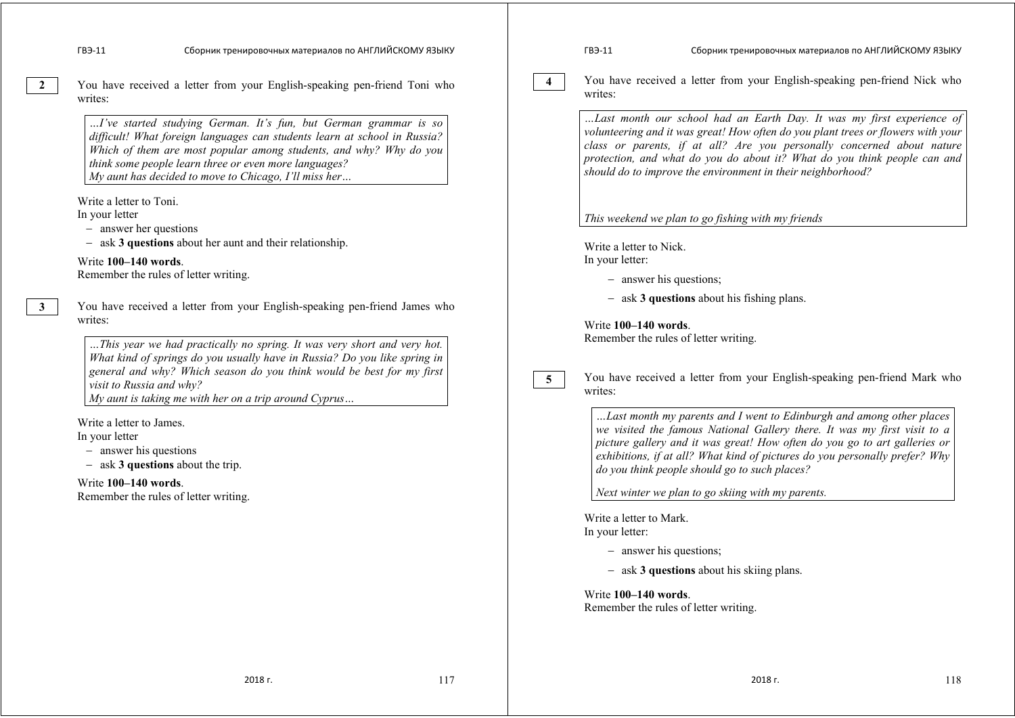$2<sup>1</sup>$ 

**3** 

#### ГВЭ‐<sup>11</sup> Сборник тренировочных материалов по АНГЛИЙСКОМУ ЯЗЫКУ

ГВЭ‐<sup>11</sup> Сборник тренировочных материалов по АНГЛИЙСКОМУ ЯЗЫКУ You have received a letter from your English-speaking pen-friend Toni who writes: *…I've started studying German. It's fun, but German grammar is so difficult! What foreign languages can students learn at school in Russia? Which of them are most popular among students, and why? Why do you think some people learn three or even more languages? My aunt has decided to move to Chicago, I'll miss her…*  Write a letter to Toni. In your letter answer her questions ask **3 questions** about her aunt and their relationship. Write **100–140 words**. Remember the rules of letter writing. You have received a letter from your English-speaking pen-friend James who writes: *…This year we had practically no spring. It was very short and very hot. What kind of springs do you usually have in Russia? Do you like spring in general and why? Which season do you think would be best for my first visit to Russia and why? My aunt is taking me with her on a trip around Cyprus…*  Write a letter to James. In your letter answer his questions ask **3 questions** about the trip. Write **100–140 words**. Remember the rules of letter writing. You have received a letter from your English-speaking pen-friend Nick who writes: *…Last month our school had an Earth Day. It was my first experience of volunteering and it was great! How often do you plant trees or flowers with your*  class or parents, if at all? Are you personally concerned about nature *protection, and what do you do about it? What do you think people can and should do to improve the environment in their neighborhood? This weekend we plan to go fishing with my friends*  Write a letter to Nick. In your letter: answer his questions; ask **3 questions** about his fishing plans. Write **100–140 words**. Remember the rules of letter writing. You have received a letter from your English-speaking pen-friend Mark who writes: *…Last month my parents and I went to Edinburgh and among other places we visited the famous National Gallery there. It was my first visit to a picture gallery and it was great! How often do you go to art galleries or exhibitions, if at all? What kind of pictures do you personally prefer? Why do you think people should go to such places? Next winter we plan to go skiing with my parents.*  Write a letter to Mark. In your letter: - answer his questions; ask **3 questions** about his skiing plans. **4 5** 

> Write **100–140 words**. Remember the rules of letter writing.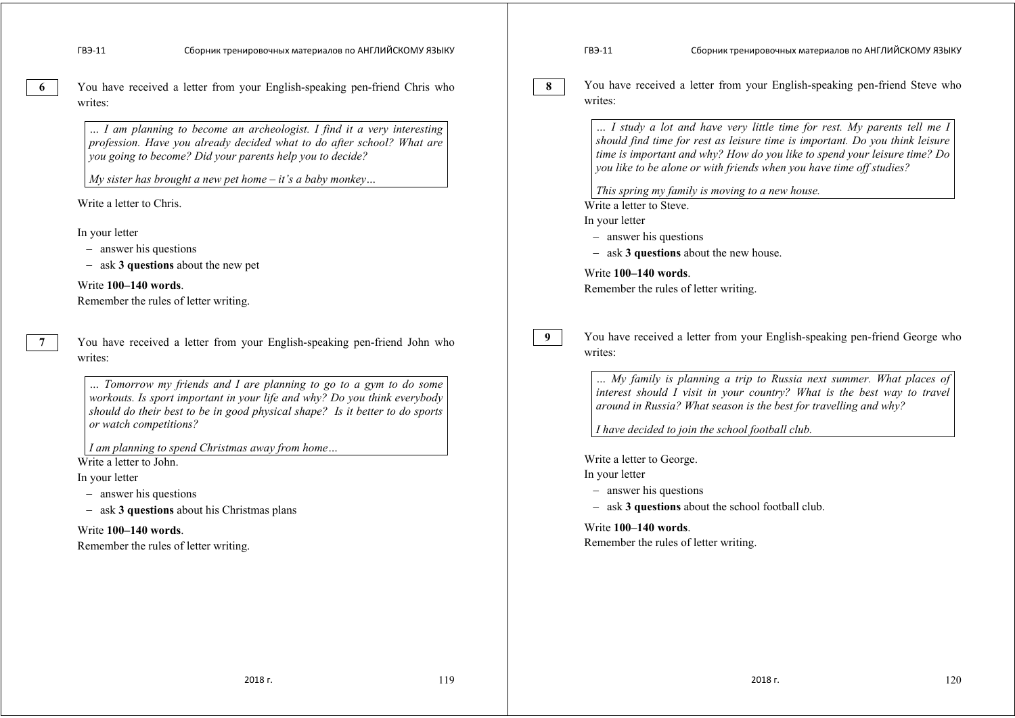**7** 

You have received a letter from your English-speaking pen-friend Chris who writes:

*… I am planning to become an archeologist. I find it a very interesting profession. Have you already decided what to do after school? What are you going to become? Did your parents help you to decide?* 

*My sister has brought a new pet home – it's a baby monkey…* 

Write a letter to Chris.

In your letter

- answer his questions
- ask **3 questions** about the new pet

Write **100–140 words**. Remember the rules of letter writing.

You have received a letter from your English-speaking pen-friend John who writes:

*… Tomorrow my friends and I are planning to go to a gym to do some workouts. Is sport important in your life and why? Do you think everybody should do their best to be in good physical shape? Is it better to do sports or watch competitions?* 

*I am planning to spend Christmas away from home…* 

Write a letter to John.

In your letter

- answer his questions

ask **3 questions** about his Christmas plans

Write **100–140 words**. Remember the rules of letter writing.

**8** 

**9** 

You have received a letter from your English-speaking pen-friend Steve who writes:

*… I study a lot and have very little time for rest. My parents tell me I should find time for rest as leisure time is important. Do you think leisure time is important and why? How do you like to spend your leisure time? Do you like to be alone or with friends when you have time off studies?* 

*This spring my family is moving to a new house.* 

Write a letter to Steve.

In your letter

- answer his questions
- ask **3 questions** about the new house.

Write **100–140 words**. Remember the rules of letter writing.

You have received a letter from your English-speaking pen-friend George who writes:

*… My family is planning a trip to Russia next summer. What places of interest should I visit in your country? What is the best way to travel around in Russia? What season is the best for travelling and why?* 

*I have decided to join the school football club.* 

Write a letter to George.

In your letter

- answer his questions
- ask **3 questions** about the school football club.

Write **100–140 words**. Remember the rules of letter writing.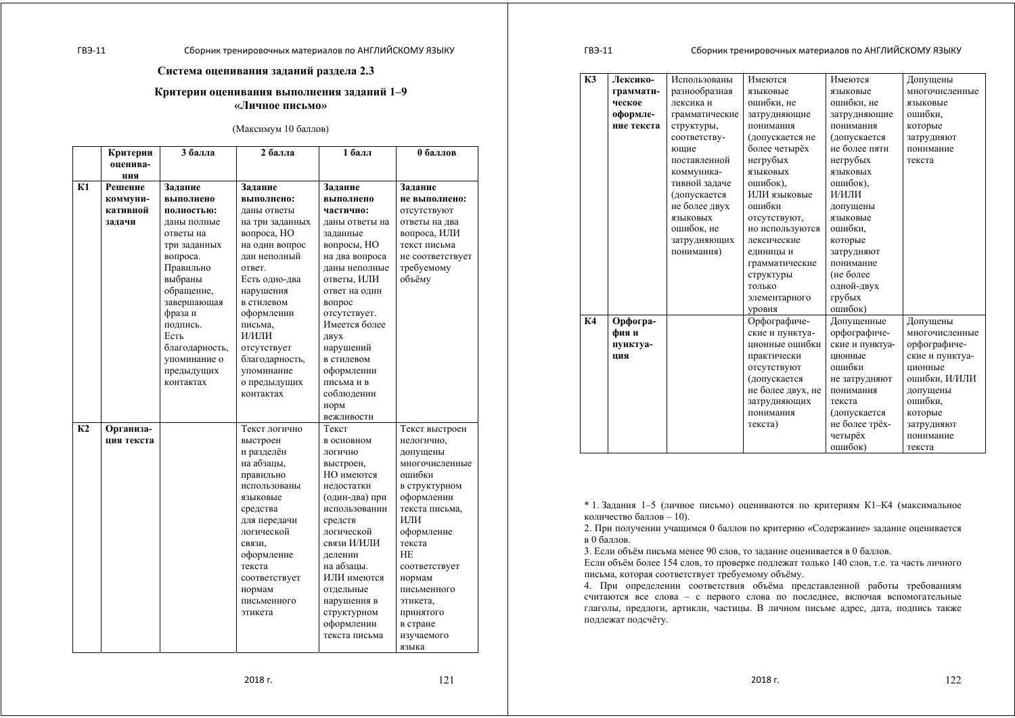### **Система оценивания заданий раздела 2.3**

#### **Критерии оценивания выполнения заданий 1** *–***9 «Личное письмо»**

#### (Максимум 10 баллов)

|                | Критерии   | 3 балла        | 2 балла         | 1 балл         | 0 баллов         |
|----------------|------------|----------------|-----------------|----------------|------------------|
|                | оценива-   |                |                 |                |                  |
|                | ния        |                |                 |                |                  |
| K1             | Решение    | Задание        | Задание         | Задание        | Задание          |
|                | коммуни-   | выполнено      | выполнено:      | выполнено      | не выполнено:    |
|                | кативной   | полностью:     | даны ответы     | частично:      | отсутствуют      |
|                | задачи     | даны полные    | на три заданных | даны ответы на | ответы на два    |
|                |            | ответы на      | вопроса, НО     | заданные       | вопроса, ИЛИ     |
|                |            | три заданных   | на один вопрос  | вопросы, НО    | текст письма     |
|                |            | вопроса.       | дан неполный    | на два вопроса | не соответствует |
|                |            | Правильно      | ответ.          | даны неполные  | требуемому       |
|                |            | выбраны        | Есть одно-два   | ответы, ИЛИ    | объёму           |
|                |            | обращение,     | нарушения       | ответ на один  |                  |
|                |            | завершающая    | в стилевом      | вопрос         |                  |
|                |            | фраза и        | оформлении      | отсутствует.   |                  |
|                |            | подпись.       | письма,         | Имеется более  |                  |
|                |            | Есть           | И/ИЛИ           | двух           |                  |
|                |            | благодарность, | отсутствует     | нарушений      |                  |
|                |            | упоминание о   | благодарность,  | в стилевом     |                  |
|                |            | предыдущих     | упоминание      | оформлении     |                  |
|                |            | контактах      | о предыдущих    | письма и в     |                  |
|                |            |                | контактах       | соблюдении     |                  |
|                |            |                |                 | норм           |                  |
|                |            |                |                 | вежливости     |                  |
| K <sub>2</sub> | Организа-  |                | Текст логично   | Текст          | Текст выстроен   |
|                | ция текста |                | выстроен        | в основном     | нелогично,       |
|                |            |                | и разделён      | логично        | допущены         |
|                |            |                | на абзацы,      | выстроен,      | многочисленные   |
|                |            |                | правильно       | НО имеются     | ошибки           |
|                |            |                | использованы    | недостатки     | в структурном    |
|                |            |                | языковые        | (один-два) при | оформлении       |
|                |            |                | средства        | использовании  | текста письма,   |
|                |            |                | для передачи    | средств        | ИЛИ              |
|                |            |                | логической      | логической     | оформление       |
|                |            |                | связи,          | связи И/ИЛИ    | текста           |
|                |            |                | оформление      | делении        | HE               |
|                |            |                | текста          | на абзацы.     | соответствует    |
|                |            |                | соответствует   | ИЛИ имеются    | нормам           |
|                |            |                | нормам          | отдельные      | письменного      |
|                |            |                | письменного     | нарушения в    | этикета,         |
|                |            |                | этикета         | структурном    | принятого        |
|                |            |                |                 | оформлении     | в стране         |
|                |            |                |                 | текста письма  | изучаемого       |
|                |            |                |                 |                | языка            |

#### ГВЭ‐<sup>11</sup> Сборник тренировочных материалов по АНГЛИЙСКОМУ ЯЗЫКУ

| K3             | Лексико-   | Использованы   | Имеются           | Имеются         | Допущены        |
|----------------|------------|----------------|-------------------|-----------------|-----------------|
|                | граммати-  | разнообразная  | языковые          | языковые        | многочисленные  |
|                | ческое     | лексика и      | ошибки, не        | ошибки, не      | языковые        |
|                | оформле-   | грамматические | затрудняющие      | затрудняющие    | ошибки,         |
|                | ние текста | структуры,     | понимания         | понимания       | которые         |
|                |            | соответству-   | (допускается не   | (допускается    | затрудняют      |
|                |            | ющие           | более четырёх     | не более пяти   | понимание       |
|                |            | поставленной   | негрубых          | негрубых        | текста          |
|                |            | коммуника-     | <b>ЯЗЫКОВЫХ</b>   | языковых        |                 |
|                |            | тивной задаче  | ошибок),          | ошибок),        |                 |
|                |            | (допускается   | ИЛИ языковые      | И/ИЛИ           |                 |
|                |            | не более двух  | ошибки            | допущены        |                 |
|                |            | языковых       | отсутствуют,      | языковые        |                 |
|                |            | ошибок, не     | но используются   | ошибки,         |                 |
|                |            | затрудняющих   | лексические       | которые         |                 |
|                |            | понимания)     | единицы и         | затрудняют      |                 |
|                |            |                | грамматические    | понимание       |                 |
|                |            |                | структуры         | (не более       |                 |
|                |            |                | только            | одной-двух      |                 |
|                |            |                | элементарного     | грубых          |                 |
|                |            |                | уровня            | ошибок)         |                 |
| K <sub>4</sub> | Орфогра-   |                | Орфографиче-      | Допущенные      | Допущены        |
|                | фия и      |                | ские и пунктуа-   | орфографиче-    | многочисленные  |
|                | пунктуа-   |                | ционные ошибки    | ские и пунктуа- | орфографиче-    |
|                | ЦИЯ        |                | практически       | ционные         | ские и пунктуа- |
|                |            |                | отсутствуют       | ошибки          | ционные         |
|                |            |                | (допускается      | не затрудняют   | ошибки, И/ИЛИ   |
|                |            |                | не более двух, не | понимания       | допущены        |
|                |            |                | затрудняющих      | текста          | ошибки.         |
|                |            |                | понимания         | (допускается    | которые         |
|                |            |                | текста)           | не более трёх-  | затрудняют      |
|                |            |                |                   | четырёх         | понимание       |
|                |            |                |                   | ошибок)         | текста          |

\* 1. Задания 1–5 (личное письмо) оцениваются по критериям К1– К4 (максимальное количество баллов – 10).

2. При получении учащимся 0 баллов по критерию «Содержание» задание оценивается <sup>в</sup> 0 баллов.

3. Если объём письма менее 90 слов, то задание оценивается <sup>в</sup> 0 баллов.

Если объём более 154 слов, то проверке подлежат только 140 слов, т.е. та часть личного письма, которая соответствует требуемому объёму.

4. При определении соответствия объёма представленной работы требованиям считаются все слова – с первого слова по последнее, включая вспомогательные глаголы, предлоги, артикли, частицы. В личном письме адрес, дата, подпись также подлежат подсчёту.